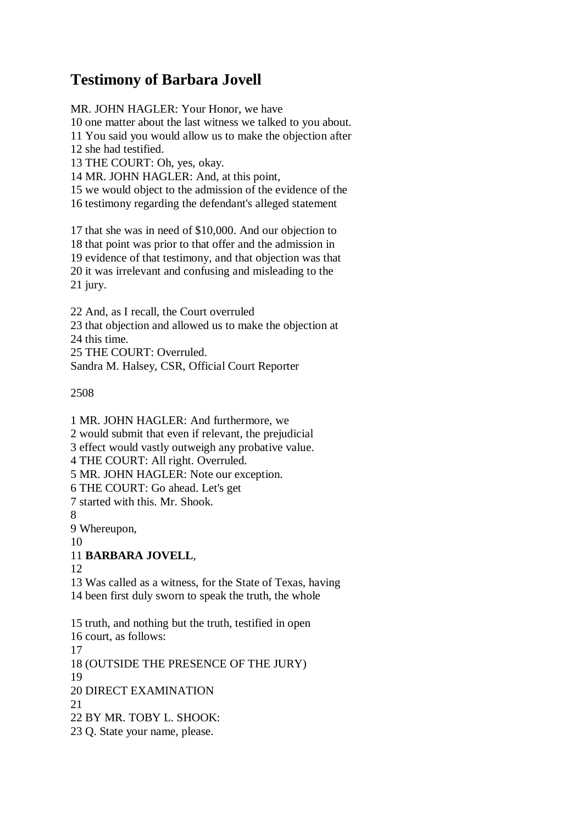## **Testimony of Barbara Jovell**

MR. JOHN HAGLER: Your Honor, we have

10 one matter about the last witness we talked to you about.

11 You said you would allow us to make the objection after

12 she had testified.

13 THE COURT: Oh, yes, okay.

14 MR. JOHN HAGLER: And, at this point,

15 we would object to the admission of the evidence of the 16 testimony regarding the defendant's alleged statement

17 that she was in need of \$10,000. And our objection to 18 that point was prior to that offer and the admission in 19 evidence of that testimony, and that objection was that 20 it was irrelevant and confusing and misleading to the 21 jury.

22 And, as I recall, the Court overruled 23 that objection and allowed us to make the objection at 24 this time. 25 THE COURT: Overruled. Sandra M. Halsey, CSR, Official Court Reporter

2508

1 MR. JOHN HAGLER: And furthermore, we

2 would submit that even if relevant, the prejudicial

3 effect would vastly outweigh any probative value.

4 THE COURT: All right. Overruled.

5 MR. JOHN HAGLER: Note our exception.

6 THE COURT: Go ahead. Let's get

7 started with this. Mr. Shook.

8

9 Whereupon,

10

## 11 **BARBARA JOVELL**,

12

13 Was called as a witness, for the State of Texas, having 14 been first duly sworn to speak the truth, the whole

15 truth, and nothing but the truth, testified in open

16 court, as follows:

17

18 (OUTSIDE THE PRESENCE OF THE JURY)

19

20 DIRECT EXAMINATION

 $21$ 

22 BY MR. TOBY L. SHOOK:

23 Q. State your name, please.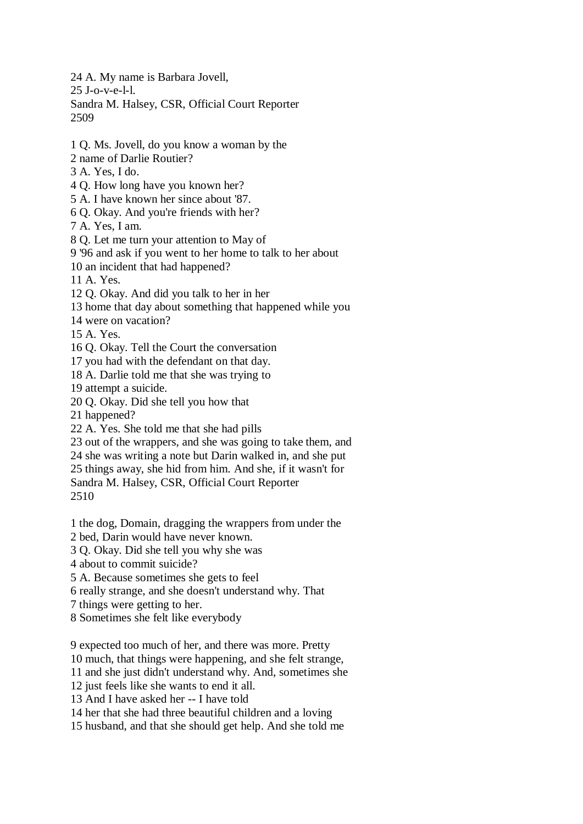24 A. My name is Barbara Jovell, 25 J-o-v-e-l-l. Sandra M. Halsey, CSR, Official Court Reporter 2509

1 Q. Ms. Jovell, do you know a woman by the

2 name of Darlie Routier?

- 3 A. Yes, I do.
- 4 Q. How long have you known her?
- 5 A. I have known her since about '87.
- 6 Q. Okay. And you're friends with her?
- 7 A. Yes, I am.

8 Q. Let me turn your attention to May of

9 '96 and ask if you went to her home to talk to her about

10 an incident that had happened?

11 A. Yes.

12 Q. Okay. And did you talk to her in her

13 home that day about something that happened while you

14 were on vacation?

15 A. Yes.

16 Q. Okay. Tell the Court the conversation

17 you had with the defendant on that day.

18 A. Darlie told me that she was trying to

19 attempt a suicide.

20 Q. Okay. Did she tell you how that

21 happened?

22 A. Yes. She told me that she had pills

23 out of the wrappers, and she was going to take them, and

24 she was writing a note but Darin walked in, and she put

25 things away, she hid from him. And she, if it wasn't for

Sandra M. Halsey, CSR, Official Court Reporter

2510

1 the dog, Domain, dragging the wrappers from under the

2 bed, Darin would have never known.

3 Q. Okay. Did she tell you why she was

4 about to commit suicide?

5 A. Because sometimes she gets to feel

6 really strange, and she doesn't understand why. That

7 things were getting to her.

8 Sometimes she felt like everybody

9 expected too much of her, and there was more. Pretty

10 much, that things were happening, and she felt strange,

11 and she just didn't understand why. And, sometimes she

12 just feels like she wants to end it all.

13 And I have asked her -- I have told

14 her that she had three beautiful children and a loving

15 husband, and that she should get help. And she told me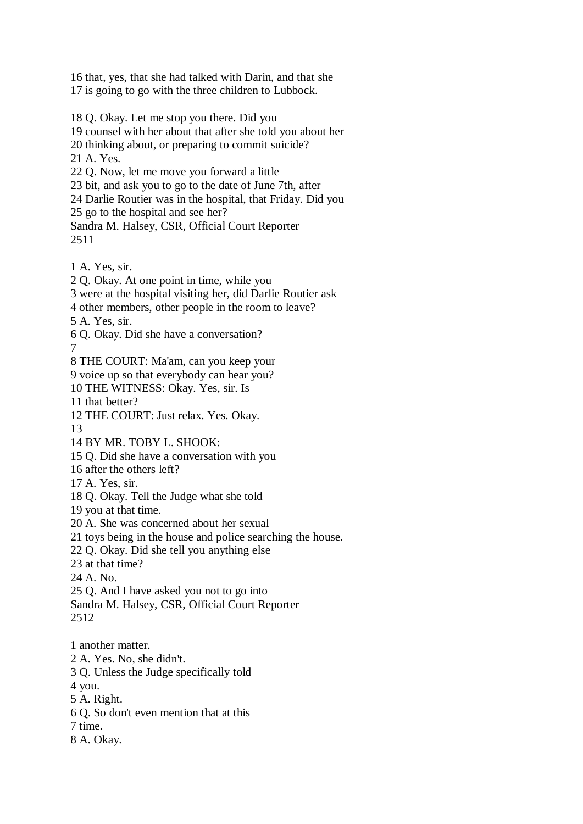16 that, yes, that she had talked with Darin, and that she 17 is going to go with the three children to Lubbock.

18 Q. Okay. Let me stop you there. Did you 19 counsel with her about that after she told you about her 20 thinking about, or preparing to commit suicide? 21 A. Yes. 22 Q. Now, let me move you forward a little 23 bit, and ask you to go to the date of June 7th, after 24 Darlie Routier was in the hospital, that Friday. Did you 25 go to the hospital and see her? Sandra M. Halsey, CSR, Official Court Reporter 2511 1 A. Yes, sir. 2 Q. Okay. At one point in time, while you 3 were at the hospital visiting her, did Darlie Routier ask 4 other members, other people in the room to leave? 5 A. Yes, sir. 6 Q. Okay. Did she have a conversation? 7 8 THE COURT: Ma'am, can you keep your 9 voice up so that everybody can hear you? 10 THE WITNESS: Okay. Yes, sir. Is 11 that better? 12 THE COURT: Just relax. Yes. Okay. 13 14 BY MR. TOBY L. SHOOK: 15 Q. Did she have a conversation with you 16 after the others left? 17 A. Yes, sir. 18 Q. Okay. Tell the Judge what she told 19 you at that time. 20 A. She was concerned about her sexual 21 toys being in the house and police searching the house. 22 Q. Okay. Did she tell you anything else 23 at that time? 24 A. No. 25 Q. And I have asked you not to go into Sandra M. Halsey, CSR, Official Court Reporter 2512 1 another matter. 2 A. Yes. No, she didn't. 3 Q. Unless the Judge specifically told 4 you. 5 A. Right.

6 Q. So don't even mention that at this

7 time.

8 A. Okay.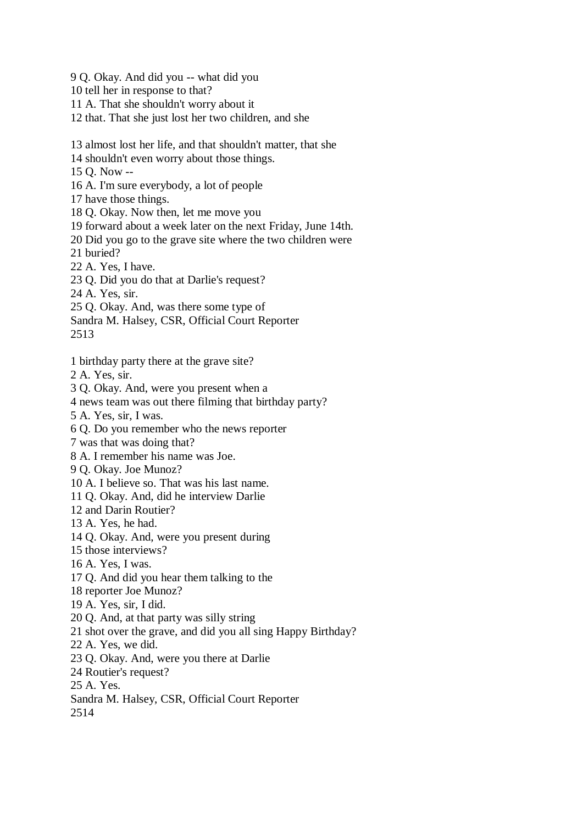9 Q. Okay. And did you -- what did you 10 tell her in response to that? 11 A. That she shouldn't worry about it 12 that. That she just lost her two children, and she

13 almost lost her life, and that shouldn't matter, that she

14 shouldn't even worry about those things.

15 Q. Now --

16 A. I'm sure everybody, a lot of people

17 have those things.

18 Q. Okay. Now then, let me move you

19 forward about a week later on the next Friday, June 14th.

20 Did you go to the grave site where the two children were

21 buried?

22 A. Yes, I have.

23 Q. Did you do that at Darlie's request?

24 A. Yes, sir.

25 Q. Okay. And, was there some type of

Sandra M. Halsey, CSR, Official Court Reporter

2513

1 birthday party there at the grave site?

2 A. Yes, sir.

3 Q. Okay. And, were you present when a

4 news team was out there filming that birthday party?

5 A. Yes, sir, I was.

6 Q. Do you remember who the news reporter

7 was that was doing that?

8 A. I remember his name was Joe.

9 Q. Okay. Joe Munoz?

10 A. I believe so. That was his last name.

11 Q. Okay. And, did he interview Darlie

12 and Darin Routier?

13 A. Yes, he had.

14 Q. Okay. And, were you present during

15 those interviews?

16 A. Yes, I was.

17 Q. And did you hear them talking to the

18 reporter Joe Munoz?

19 A. Yes, sir, I did.

20 Q. And, at that party was silly string

21 shot over the grave, and did you all sing Happy Birthday?

22 A. Yes, we did.

23 Q. Okay. And, were you there at Darlie

24 Routier's request?

25 A. Yes.

Sandra M. Halsey, CSR, Official Court Reporter

2514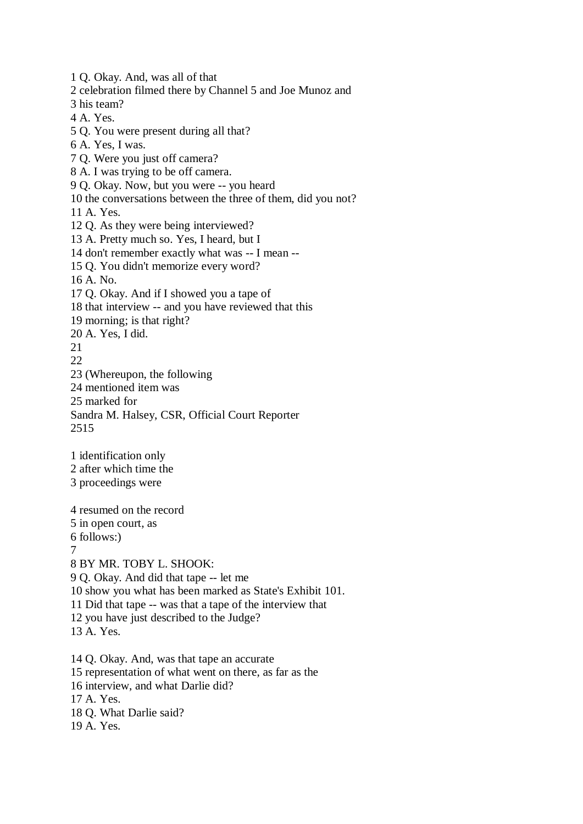1 Q. Okay. And, was all of that 2 celebration filmed there by Channel 5 and Joe Munoz and 3 his team? 4 A. Yes. 5 Q. You were present during all that? 6 A. Yes, I was. 7 Q. Were you just off camera? 8 A. I was trying to be off camera. 9 Q. Okay. Now, but you were -- you heard 10 the conversations between the three of them, did you not? 11 A. Yes. 12 Q. As they were being interviewed? 13 A. Pretty much so. Yes, I heard, but I 14 don't remember exactly what was -- I mean -- 15 Q. You didn't memorize every word? 16 A. No. 17 Q. Okay. And if I showed you a tape of 18 that interview -- and you have reviewed that this 19 morning; is that right? 20 A. Yes, I did. 21  $22$ 23 (Whereupon, the following 24 mentioned item was 25 marked for Sandra M. Halsey, CSR, Official Court Reporter 2515 1 identification only 2 after which time the 3 proceedings were

4 resumed on the record 5 in open court, as 6 follows:) 7 8 BY MR. TOBY L. SHOOK: 9 Q. Okay. And did that tape -- let me 10 show you what has been marked as State's Exhibit 101. 11 Did that tape -- was that a tape of the interview that 12 you have just described to the Judge? 13 A. Yes. 14 Q. Okay. And, was that tape an accurate 15 representation of what went on there, as far as the 16 interview, and what Darlie did? 17 A. Yes. 18 Q. What Darlie said?

19 A. Yes.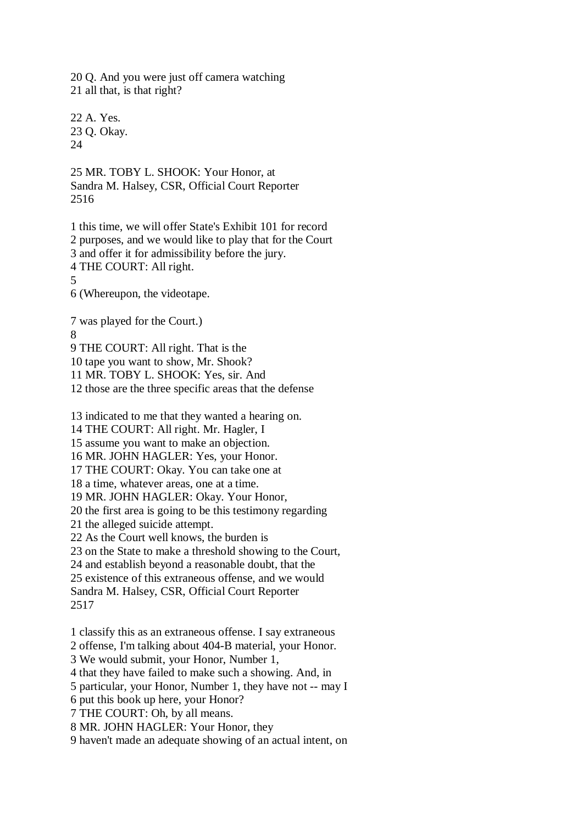20 Q. And you were just off camera watching 21 all that, is that right?

22 A. Yes. 23 Q. Okay. 24

25 MR. TOBY L. SHOOK: Your Honor, at Sandra M. Halsey, CSR, Official Court Reporter 2516

1 this time, we will offer State's Exhibit 101 for record 2 purposes, and we would like to play that for the Court 3 and offer it for admissibility before the jury. 4 THE COURT: All right. 5 6 (Whereupon, the videotape. 7 was played for the Court.)

8

9 THE COURT: All right. That is the

10 tape you want to show, Mr. Shook?

11 MR. TOBY L. SHOOK: Yes, sir. And

12 those are the three specific areas that the defense

13 indicated to me that they wanted a hearing on. 14 THE COURT: All right. Mr. Hagler, I 15 assume you want to make an objection. 16 MR. JOHN HAGLER: Yes, your Honor. 17 THE COURT: Okay. You can take one at 18 a time, whatever areas, one at a time. 19 MR. JOHN HAGLER: Okay. Your Honor, 20 the first area is going to be this testimony regarding 21 the alleged suicide attempt. 22 As the Court well knows, the burden is 23 on the State to make a threshold showing to the Court, 24 and establish beyond a reasonable doubt, that the

25 existence of this extraneous offense, and we would Sandra M. Halsey, CSR, Official Court Reporter 2517

1 classify this as an extraneous offense. I say extraneous

2 offense, I'm talking about 404-B material, your Honor.

3 We would submit, your Honor, Number 1,

4 that they have failed to make such a showing. And, in

5 particular, your Honor, Number 1, they have not -- may I

6 put this book up here, your Honor?

7 THE COURT: Oh, by all means.

8 MR. JOHN HAGLER: Your Honor, they

9 haven't made an adequate showing of an actual intent, on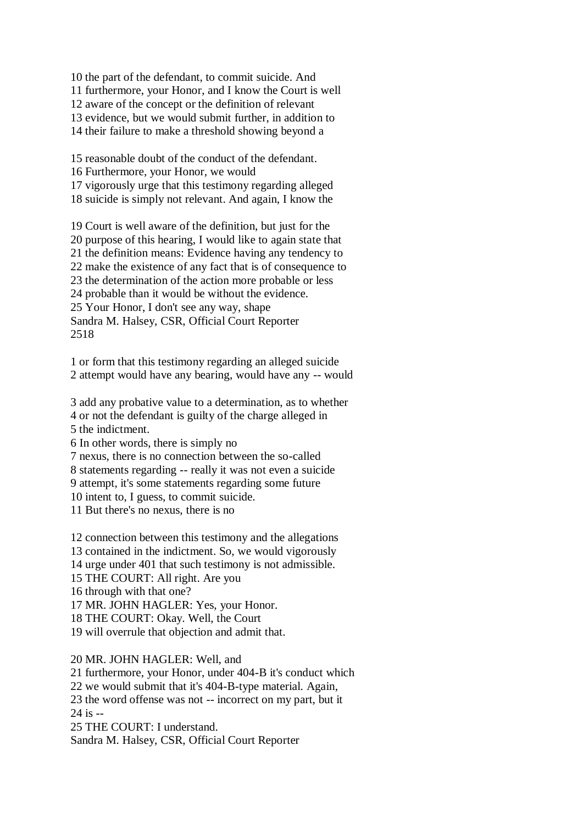10 the part of the defendant, to commit suicide. And

11 furthermore, your Honor, and I know the Court is well

12 aware of the concept or the definition of relevant

13 evidence, but we would submit further, in addition to

14 their failure to make a threshold showing beyond a

15 reasonable doubt of the conduct of the defendant. 16 Furthermore, your Honor, we would

17 vigorously urge that this testimony regarding alleged 18 suicide is simply not relevant. And again, I know the

19 Court is well aware of the definition, but just for the 20 purpose of this hearing, I would like to again state that 21 the definition means: Evidence having any tendency to 22 make the existence of any fact that is of consequence to 23 the determination of the action more probable or less 24 probable than it would be without the evidence. 25 Your Honor, I don't see any way, shape Sandra M. Halsey, CSR, Official Court Reporter 2518

1 or form that this testimony regarding an alleged suicide 2 attempt would have any bearing, would have any -- would

3 add any probative value to a determination, as to whether 4 or not the defendant is guilty of the charge alleged in 5 the indictment.

6 In other words, there is simply no

7 nexus, there is no connection between the so-called

8 statements regarding -- really it was not even a suicide

9 attempt, it's some statements regarding some future 10 intent to, I guess, to commit suicide.

11 But there's no nexus, there is no

12 connection between this testimony and the allegations

13 contained in the indictment. So, we would vigorously

14 urge under 401 that such testimony is not admissible.

15 THE COURT: All right. Are you

16 through with that one?

17 MR. JOHN HAGLER: Yes, your Honor.

18 THE COURT: Okay. Well, the Court

19 will overrule that objection and admit that.

20 MR. JOHN HAGLER: Well, and

21 furthermore, your Honor, under 404-B it's conduct which

22 we would submit that it's 404-B-type material. Again,

23 the word offense was not -- incorrect on my part, but it 24 is --

25 THE COURT: I understand.

Sandra M. Halsey, CSR, Official Court Reporter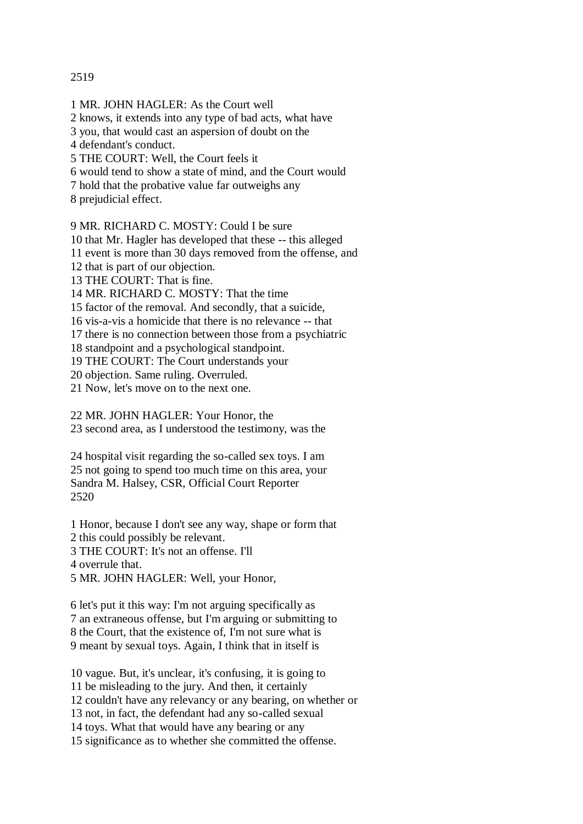## 2519

1 MR. JOHN HAGLER: As the Court well 2 knows, it extends into any type of bad acts, what have 3 you, that would cast an aspersion of doubt on the 4 defendant's conduct. 5 THE COURT: Well, the Court feels it 6 would tend to show a state of mind, and the Court would 7 hold that the probative value far outweighs any 8 prejudicial effect.

9 MR. RICHARD C. MOSTY: Could I be sure

10 that Mr. Hagler has developed that these -- this alleged

11 event is more than 30 days removed from the offense, and

12 that is part of our objection.

13 THE COURT: That is fine.

14 MR. RICHARD C. MOSTY: That the time

15 factor of the removal. And secondly, that a suicide,

16 vis-a-vis a homicide that there is no relevance -- that

17 there is no connection between those from a psychiatric

18 standpoint and a psychological standpoint.

19 THE COURT: The Court understands your

20 objection. Same ruling. Overruled.

21 Now, let's move on to the next one.

22 MR. JOHN HAGLER: Your Honor, the

23 second area, as I understood the testimony, was the

24 hospital visit regarding the so-called sex toys. I am 25 not going to spend too much time on this area, your Sandra M. Halsey, CSR, Official Court Reporter 2520

1 Honor, because I don't see any way, shape or form that 2 this could possibly be relevant. 3 THE COURT: It's not an offense. I'll

4 overrule that.

5 MR. JOHN HAGLER: Well, your Honor,

6 let's put it this way: I'm not arguing specifically as 7 an extraneous offense, but I'm arguing or submitting to 8 the Court, that the existence of, I'm not sure what is 9 meant by sexual toys. Again, I think that in itself is

10 vague. But, it's unclear, it's confusing, it is going to 11 be misleading to the jury. And then, it certainly 12 couldn't have any relevancy or any bearing, on whether or 13 not, in fact, the defendant had any so-called sexual 14 toys. What that would have any bearing or any 15 significance as to whether she committed the offense.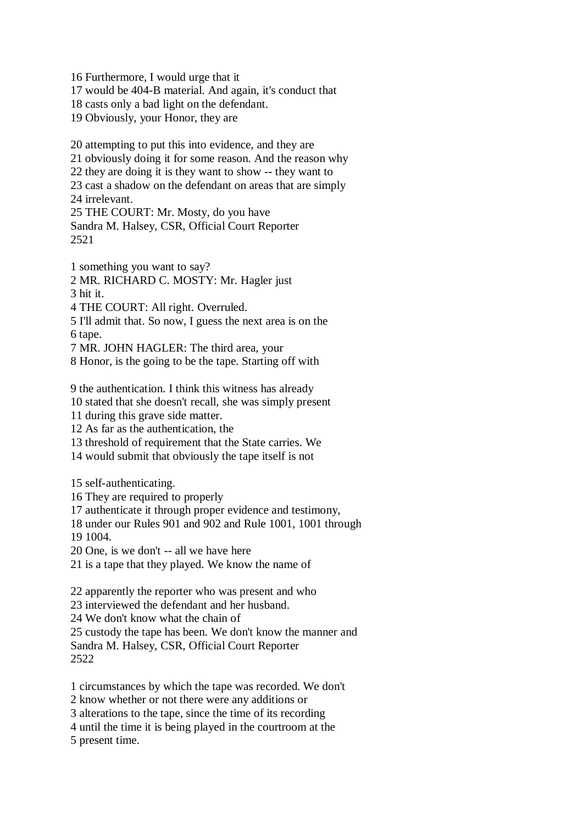16 Furthermore, I would urge that it 17 would be 404-B material. And again, it's conduct that 18 casts only a bad light on the defendant. 19 Obviously, your Honor, they are

20 attempting to put this into evidence, and they are 21 obviously doing it for some reason. And the reason why 22 they are doing it is they want to show -- they want to 23 cast a shadow on the defendant on areas that are simply 24 irrelevant. 25 THE COURT: Mr. Mosty, do you have

Sandra M. Halsey, CSR, Official Court Reporter 2521

1 something you want to say?

2 MR. RICHARD C. MOSTY: Mr. Hagler just

3 hit it.

4 THE COURT: All right. Overruled.

5 I'll admit that. So now, I guess the next area is on the 6 tape.

7 MR. JOHN HAGLER: The third area, your

8 Honor, is the going to be the tape. Starting off with

9 the authentication. I think this witness has already

10 stated that she doesn't recall, she was simply present

11 during this grave side matter.

12 As far as the authentication, the

13 threshold of requirement that the State carries. We

14 would submit that obviously the tape itself is not

15 self-authenticating.

16 They are required to properly

17 authenticate it through proper evidence and testimony,

18 under our Rules 901 and 902 and Rule 1001, 1001 through 19 1004.

20 One, is we don't -- all we have here

21 is a tape that they played. We know the name of

22 apparently the reporter who was present and who

23 interviewed the defendant and her husband.

24 We don't know what the chain of

25 custody the tape has been. We don't know the manner and Sandra M. Halsey, CSR, Official Court Reporter

2522

1 circumstances by which the tape was recorded. We don't

2 know whether or not there were any additions or

3 alterations to the tape, since the time of its recording

4 until the time it is being played in the courtroom at the

5 present time.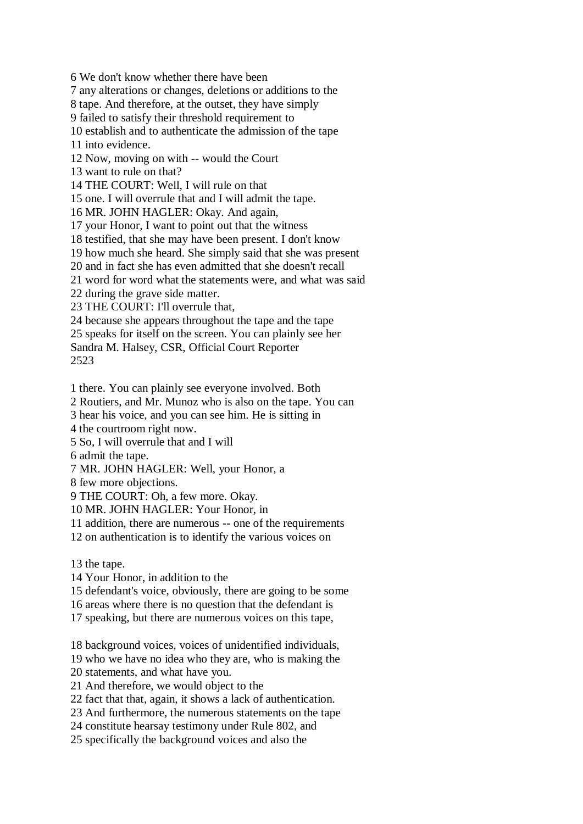6 We don't know whether there have been

7 any alterations or changes, deletions or additions to the

8 tape. And therefore, at the outset, they have simply

9 failed to satisfy their threshold requirement to

10 establish and to authenticate the admission of the tape

11 into evidence.

12 Now, moving on with -- would the Court

13 want to rule on that?

14 THE COURT: Well, I will rule on that

15 one. I will overrule that and I will admit the tape.

16 MR. JOHN HAGLER: Okay. And again,

17 your Honor, I want to point out that the witness

18 testified, that she may have been present. I don't know

19 how much she heard. She simply said that she was present

20 and in fact she has even admitted that she doesn't recall

21 word for word what the statements were, and what was said

22 during the grave side matter.

23 THE COURT: I'll overrule that,

24 because she appears throughout the tape and the tape

25 speaks for itself on the screen. You can plainly see her

Sandra M. Halsey, CSR, Official Court Reporter 2523

1 there. You can plainly see everyone involved. Both

2 Routiers, and Mr. Munoz who is also on the tape. You can

3 hear his voice, and you can see him. He is sitting in

4 the courtroom right now.

5 So, I will overrule that and I will

6 admit the tape.

7 MR. JOHN HAGLER: Well, your Honor, a

8 few more objections.

9 THE COURT: Oh, a few more. Okay.

10 MR. JOHN HAGLER: Your Honor, in

11 addition, there are numerous -- one of the requirements

12 on authentication is to identify the various voices on

13 the tape.

14 Your Honor, in addition to the

15 defendant's voice, obviously, there are going to be some

16 areas where there is no question that the defendant is

17 speaking, but there are numerous voices on this tape,

18 background voices, voices of unidentified individuals,

19 who we have no idea who they are, who is making the

20 statements, and what have you.

21 And therefore, we would object to the

22 fact that that, again, it shows a lack of authentication.

23 And furthermore, the numerous statements on the tape

24 constitute hearsay testimony under Rule 802, and

25 specifically the background voices and also the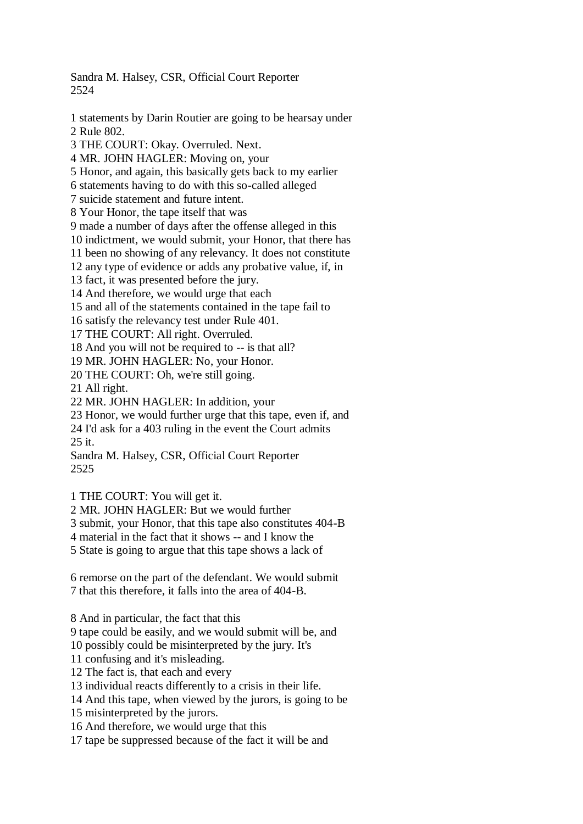Sandra M. Halsey, CSR, Official Court Reporter 2524

1 statements by Darin Routier are going to be hearsay under 2 Rule 802. 3 THE COURT: Okay. Overruled. Next. 4 MR. JOHN HAGLER: Moving on, your 5 Honor, and again, this basically gets back to my earlier 6 statements having to do with this so-called alleged 7 suicide statement and future intent. 8 Your Honor, the tape itself that was 9 made a number of days after the offense alleged in this 10 indictment, we would submit, your Honor, that there has 11 been no showing of any relevancy. It does not constitute 12 any type of evidence or adds any probative value, if, in 13 fact, it was presented before the jury. 14 And therefore, we would urge that each 15 and all of the statements contained in the tape fail to 16 satisfy the relevancy test under Rule 401. 17 THE COURT: All right. Overruled. 18 And you will not be required to -- is that all? 19 MR. JOHN HAGLER: No, your Honor. 20 THE COURT: Oh, we're still going. 21 All right. 22 MR. JOHN HAGLER: In addition, your 23 Honor, we would further urge that this tape, even if, and 24 I'd ask for a 403 ruling in the event the Court admits 25 it. Sandra M. Halsey, CSR, Official Court Reporter 2525 1 THE COURT: You will get it.

2 MR. JOHN HAGLER: But we would further

3 submit, your Honor, that this tape also constitutes 404-B

4 material in the fact that it shows -- and I know the

5 State is going to argue that this tape shows a lack of

6 remorse on the part of the defendant. We would submit 7 that this therefore, it falls into the area of 404-B.

8 And in particular, the fact that this

9 tape could be easily, and we would submit will be, and

10 possibly could be misinterpreted by the jury. It's

11 confusing and it's misleading.

12 The fact is, that each and every

13 individual reacts differently to a crisis in their life.

14 And this tape, when viewed by the jurors, is going to be

15 misinterpreted by the jurors.

16 And therefore, we would urge that this

17 tape be suppressed because of the fact it will be and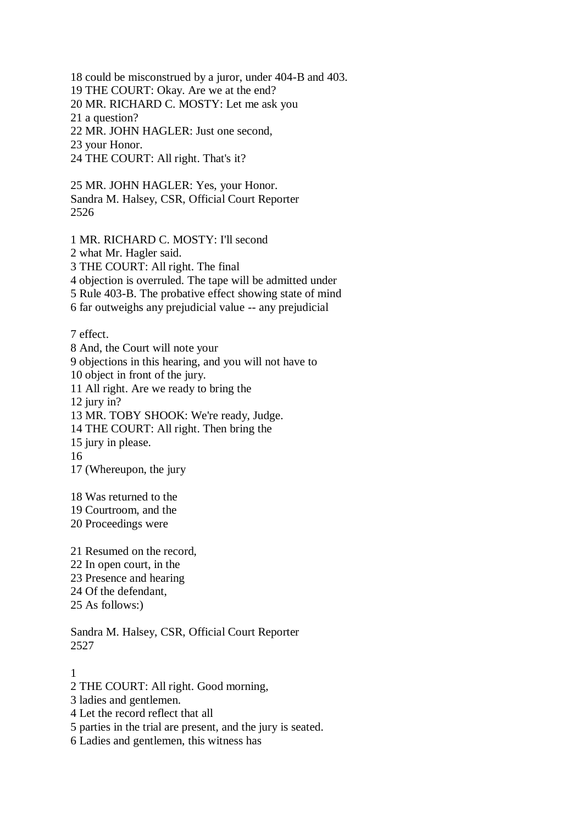18 could be misconstrued by a juror, under 404-B and 403.

19 THE COURT: Okay. Are we at the end?

20 MR. RICHARD C. MOSTY: Let me ask you

21 a question?

22 MR. JOHN HAGLER: Just one second,

23 your Honor.

24 THE COURT: All right. That's it?

25 MR. JOHN HAGLER: Yes, your Honor. Sandra M. Halsey, CSR, Official Court Reporter 2526

1 MR. RICHARD C. MOSTY: I'll second

2 what Mr. Hagler said.

3 THE COURT: All right. The final

4 objection is overruled. The tape will be admitted under

5 Rule 403-B. The probative effect showing state of mind

6 far outweighs any prejudicial value -- any prejudicial

7 effect.

8 And, the Court will note your 9 objections in this hearing, and you will not have to 10 object in front of the jury. 11 All right. Are we ready to bring the 12 jury in? 13 MR. TOBY SHOOK: We're ready, Judge. 14 THE COURT: All right. Then bring the 15 jury in please. 16 17 (Whereupon, the jury

18 Was returned to the

19 Courtroom, and the

20 Proceedings were

21 Resumed on the record, 22 In open court, in the 23 Presence and hearing 24 Of the defendant, 25 As follows:)

Sandra M. Halsey, CSR, Official Court Reporter 2527

1

2 THE COURT: All right. Good morning,

3 ladies and gentlemen.

4 Let the record reflect that all

5 parties in the trial are present, and the jury is seated.

6 Ladies and gentlemen, this witness has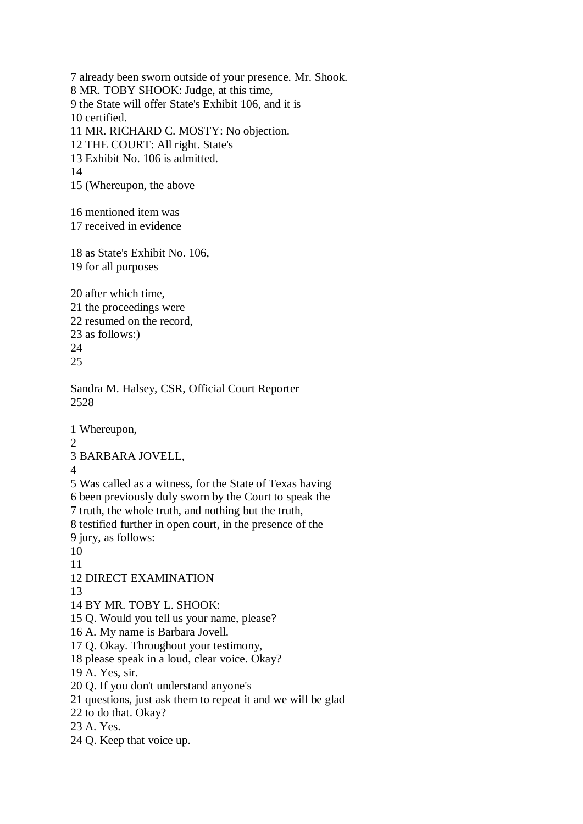7 already been sworn outside of your presence. Mr. Shook. 8 MR. TOBY SHOOK: Judge, at this time, 9 the State will offer State's Exhibit 106, and it is 10 certified. 11 MR. RICHARD C. MOSTY: No objection. 12 THE COURT: All right. State's 13 Exhibit No. 106 is admitted. 14 15 (Whereupon, the above 16 mentioned item was 17 received in evidence 18 as State's Exhibit No. 106, 19 for all purposes 20 after which time, 21 the proceedings were 22 resumed on the record, 23 as follows:) 24 25 Sandra M. Halsey, CSR, Official Court Reporter 2528 1 Whereupon,  $\mathcal{L}$ 3 BARBARA JOVELL, 4 5 Was called as a witness, for the State of Texas having 6 been previously duly sworn by the Court to speak the 7 truth, the whole truth, and nothing but the truth, 8 testified further in open court, in the presence of the 9 jury, as follows: 10 11 12 DIRECT EXAMINATION 13 14 BY MR. TOBY L. SHOOK: 15 Q. Would you tell us your name, please? 16 A. My name is Barbara Jovell. 17 Q. Okay. Throughout your testimony, 18 please speak in a loud, clear voice. Okay? 19 A. Yes, sir. 20 Q. If you don't understand anyone's 21 questions, just ask them to repeat it and we will be glad 22 to do that. Okay? 23 A. Yes. 24 Q. Keep that voice up.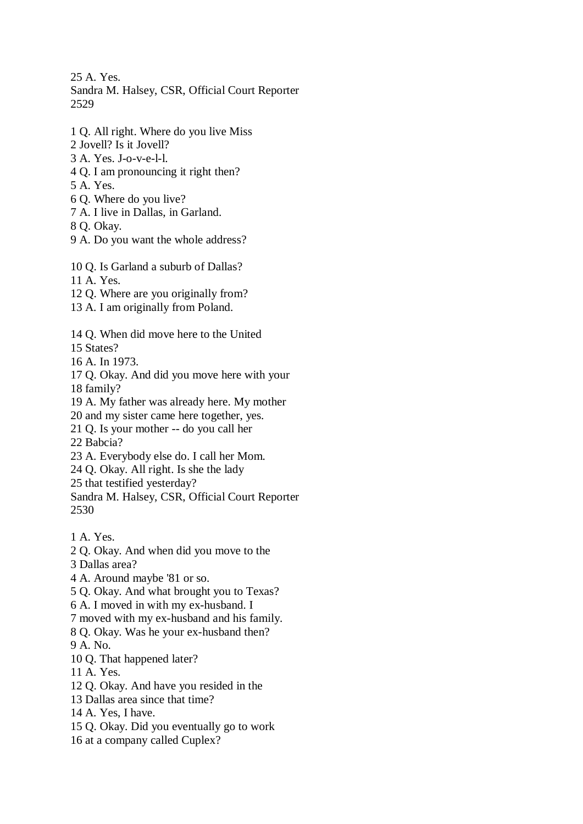25 A. Yes. Sandra M. Halsey, CSR, Official Court Reporter

2529

- 1 Q. All right. Where do you live Miss
- 2 Jovell? Is it Jovell?
- 3 A. Yes. J-o-v-e-l-l.
- 4 Q. I am pronouncing it right then?
- 5 A. Yes.
- 6 Q. Where do you live?
- 7 A. I live in Dallas, in Garland.
- 8 Q. Okay.
- 9 A. Do you want the whole address?

10 Q. Is Garland a suburb of Dallas?

- 11 A. Yes.
- 12 Q. Where are you originally from?
- 13 A. I am originally from Poland.
- 14 Q. When did move here to the United
- 15 States?
- 16 A. In 1973.
- 17 Q. Okay. And did you move here with your
- 18 family?
- 19 A. My father was already here. My mother
- 20 and my sister came here together, yes.
- 21 Q. Is your mother -- do you call her
- 22 Babcia?
- 23 A. Everybody else do. I call her Mom.
- 24 Q. Okay. All right. Is she the lady
- 25 that testified yesterday?

Sandra M. Halsey, CSR, Official Court Reporter 2530

- 1 A. Yes.
- 2 Q. Okay. And when did you move to the
- 3 Dallas area?
- 4 A. Around maybe '81 or so.
- 5 Q. Okay. And what brought you to Texas?
- 6 A. I moved in with my ex-husband. I
- 7 moved with my ex-husband and his family.
- 8 Q. Okay. Was he your ex-husband then?
- 9 A. No.
- 10 Q. That happened later?
- 11 A. Yes.
- 12 Q. Okay. And have you resided in the
- 13 Dallas area since that time?
- 14 A. Yes, I have.
- 15 Q. Okay. Did you eventually go to work
- 16 at a company called Cuplex?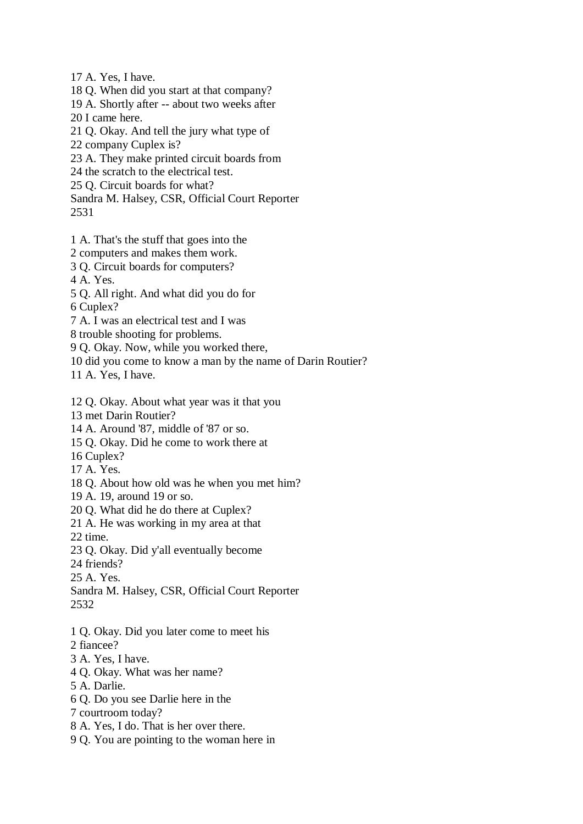17 A. Yes, I have.

18 Q. When did you start at that company?

- 19 A. Shortly after -- about two weeks after
- 20 I came here.

21 Q. Okay. And tell the jury what type of

- 22 company Cuplex is?
- 23 A. They make printed circuit boards from

24 the scratch to the electrical test.

25 Q. Circuit boards for what?

Sandra M. Halsey, CSR, Official Court Reporter

2531

- 1 A. That's the stuff that goes into the
- 2 computers and makes them work.
- 3 Q. Circuit boards for computers?

4 A. Yes.

5 Q. All right. And what did you do for

6 Cuplex?

- 7 A. I was an electrical test and I was
- 8 trouble shooting for problems.

9 Q. Okay. Now, while you worked there,

10 did you come to know a man by the name of Darin Routier?

11 A. Yes, I have.

- 12 Q. Okay. About what year was it that you
- 13 met Darin Routier?
- 14 A. Around '87, middle of '87 or so.
- 15 Q. Okay. Did he come to work there at
- 16 Cuplex?
- 17 A. Yes.
- 18 Q. About how old was he when you met him?
- 19 A. 19, around 19 or so.
- 20 Q. What did he do there at Cuplex?
- 21 A. He was working in my area at that

22 time.

- 23 Q. Okay. Did y'all eventually become
- 24 friends?

25 A. Yes.

Sandra M. Halsey, CSR, Official Court Reporter 2532

- 1 Q. Okay. Did you later come to meet his
- 2 fiancee?
- 3 A. Yes, I have.
- 4 Q. Okay. What was her name?
- 5 A. Darlie.
- 6 Q. Do you see Darlie here in the
- 7 courtroom today?
- 8 A. Yes, I do. That is her over there.
- 9 Q. You are pointing to the woman here in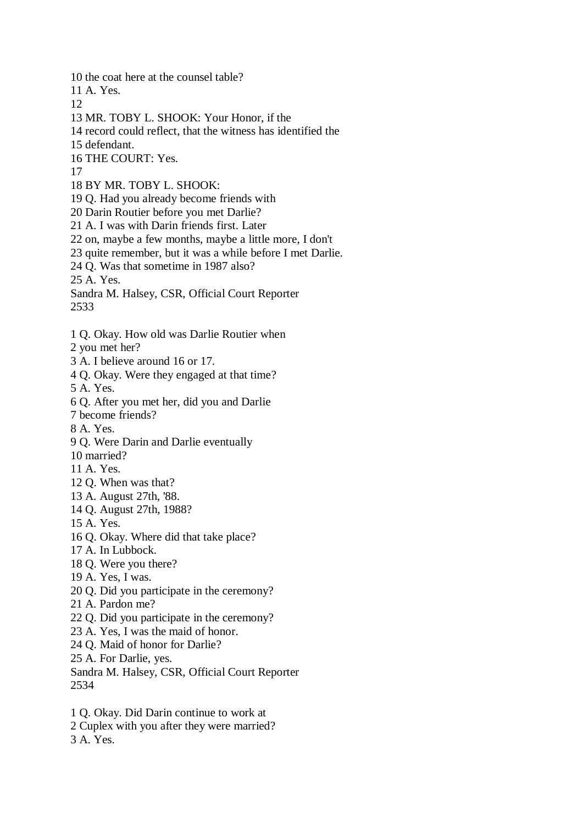10 the coat here at the counsel table?

11 A. Yes.

12

13 MR. TOBY L. SHOOK: Your Honor, if the

14 record could reflect, that the witness has identified the

15 defendant.

16 THE COURT: Yes.

17

18 BY MR. TOBY L. SHOOK:

19 Q. Had you already become friends with

20 Darin Routier before you met Darlie?

21 A. I was with Darin friends first. Later

22 on, maybe a few months, maybe a little more, I don't

23 quite remember, but it was a while before I met Darlie.

24 Q. Was that sometime in 1987 also?

25 A. Yes.

Sandra M. Halsey, CSR, Official Court Reporter 2533

1 Q. Okay. How old was Darlie Routier when

2 you met her?

3 A. I believe around 16 or 17.

4 Q. Okay. Were they engaged at that time?

5 A. Yes.

6 Q. After you met her, did you and Darlie

7 become friends?

8 A. Yes.

9 Q. Were Darin and Darlie eventually

10 married?

11 A. Yes.

12 Q. When was that?

13 A. August 27th, '88.

14 Q. August 27th, 1988?

15 A. Yes.

16 Q. Okay. Where did that take place?

17 A. In Lubbock.

18 Q. Were you there?

19 A. Yes, I was.

20 Q. Did you participate in the ceremony?

21 A. Pardon me?

22 Q. Did you participate in the ceremony?

23 A. Yes, I was the maid of honor.

24 Q. Maid of honor for Darlie?

25 A. For Darlie, yes.

Sandra M. Halsey, CSR, Official Court Reporter 2534

1 Q. Okay. Did Darin continue to work at

2 Cuplex with you after they were married?

3 A. Yes.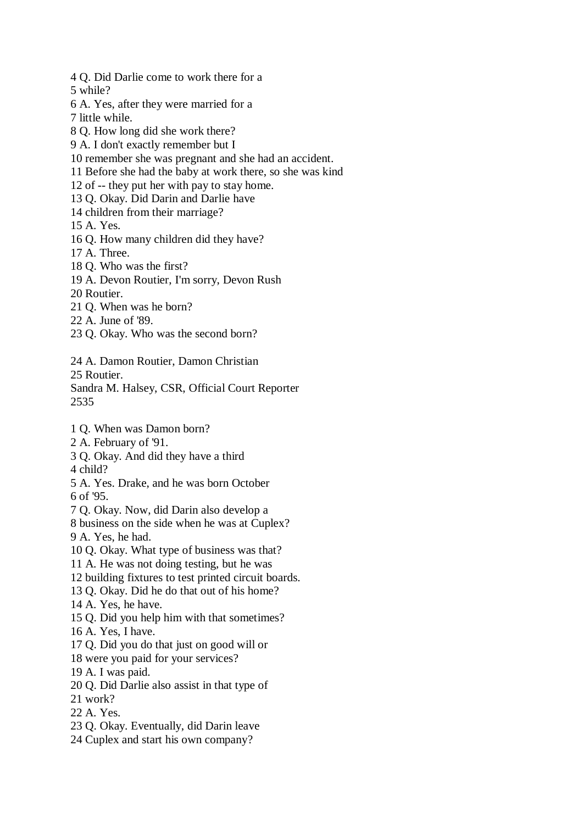4 Q. Did Darlie come to work there for a

5 while?

6 A. Yes, after they were married for a

7 little while.

8 Q. How long did she work there?

9 A. I don't exactly remember but I

10 remember she was pregnant and she had an accident.

11 Before she had the baby at work there, so she was kind

12 of -- they put her with pay to stay home.

13 Q. Okay. Did Darin and Darlie have

14 children from their marriage?

15 A. Yes.

16 Q. How many children did they have?

17 A. Three.

18 Q. Who was the first?

19 A. Devon Routier, I'm sorry, Devon Rush

20 Routier.

21 Q. When was he born?

22 A. June of '89.

23 Q. Okay. Who was the second born?

24 A. Damon Routier, Damon Christian

25 Routier.

Sandra M. Halsey, CSR, Official Court Reporter 2535

1 Q. When was Damon born?

2 A. February of '91.

3 Q. Okay. And did they have a third 4 child?

5 A. Yes. Drake, and he was born October 6 of '95.

7 Q. Okay. Now, did Darin also develop a

8 business on the side when he was at Cuplex? 9 A. Yes, he had.

10 Q. Okay. What type of business was that?

11 A. He was not doing testing, but he was

12 building fixtures to test printed circuit boards.

13 Q. Okay. Did he do that out of his home?

14 A. Yes, he have.

15 Q. Did you help him with that sometimes?

16 A. Yes, I have.

17 Q. Did you do that just on good will or

18 were you paid for your services?

19 A. I was paid.

20 Q. Did Darlie also assist in that type of

21 work?

22 A. Yes.

23 Q. Okay. Eventually, did Darin leave

24 Cuplex and start his own company?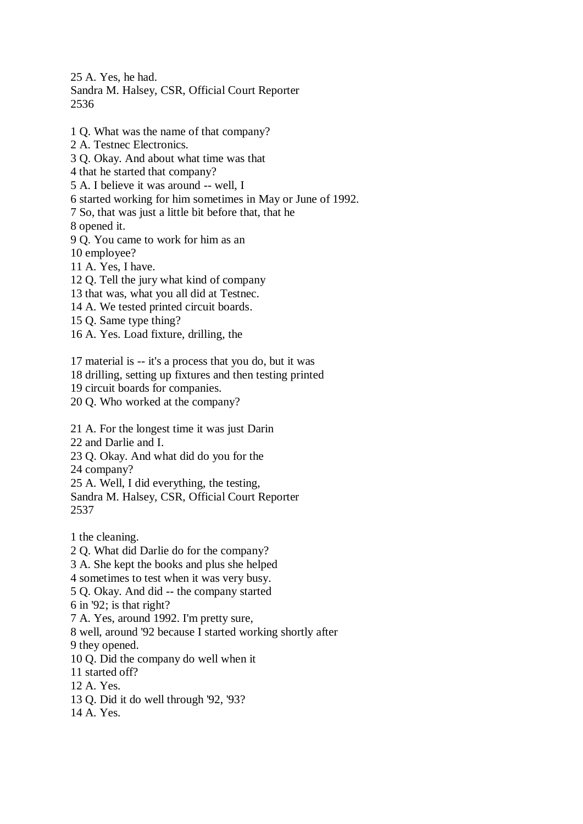25 A. Yes, he had.

Sandra M. Halsey, CSR, Official Court Reporter 2536

- 1 Q. What was the name of that company?
- 2 A. Testnec Electronics.
- 3 Q. Okay. And about what time was that
- 4 that he started that company?
- 5 A. I believe it was around -- well, I
- 6 started working for him sometimes in May or June of 1992.
- 7 So, that was just a little bit before that, that he

8 opened it.

- 9 Q. You came to work for him as an
- 10 employee?
- 11 A. Yes, I have.
- 12 Q. Tell the jury what kind of company
- 13 that was, what you all did at Testnec.
- 14 A. We tested printed circuit boards.
- 15 Q. Same type thing?
- 16 A. Yes. Load fixture, drilling, the
- 17 material is -- it's a process that you do, but it was
- 18 drilling, setting up fixtures and then testing printed
- 19 circuit boards for companies.
- 20 Q. Who worked at the company?
- 21 A. For the longest time it was just Darin
- 22 and Darlie and I.
- 23 Q. Okay. And what did do you for the
- 24 company?
- 25 A. Well, I did everything, the testing,
- Sandra M. Halsey, CSR, Official Court Reporter 2537
- 1 the cleaning.
- 2 Q. What did Darlie do for the company?
- 3 A. She kept the books and plus she helped
- 4 sometimes to test when it was very busy.
- 5 Q. Okay. And did -- the company started
- 6 in '92; is that right?
- 7 A. Yes, around 1992. I'm pretty sure,
- 8 well, around '92 because I started working shortly after
- 9 they opened.
- 10 Q. Did the company do well when it
- 11 started off?
- 12 A. Yes.
- 13 Q. Did it do well through '92, '93?
- 14 A. Yes.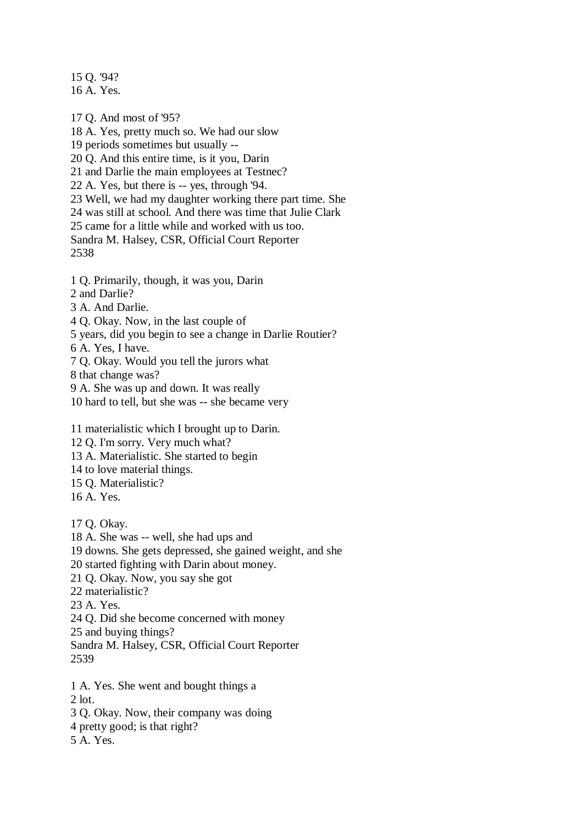15 Q. '94? 16 A. Yes.

17 Q. And most of '95? 18 A. Yes, pretty much so. We had our slow 19 periods sometimes but usually -- 20 Q. And this entire time, is it you, Darin 21 and Darlie the main employees at Testnec? 22 A. Yes, but there is -- yes, through '94. 23 Well, we had my daughter working there part time. She 24 was still at school. And there was time that Julie Clark 25 came for a little while and worked with us too. Sandra M. Halsey, CSR, Official Court Reporter 2538 1 Q. Primarily, though, it was you, Darin

- 2 and Darlie?
- 3 A. And Darlie.
- 4 Q. Okay. Now, in the last couple of
- 5 years, did you begin to see a change in Darlie Routier?
- 6 A. Yes, I have.

7 Q. Okay. Would you tell the jurors what

8 that change was?

9 A. She was up and down. It was really

10 hard to tell, but she was -- she became very

11 materialistic which I brought up to Darin.

12 Q. I'm sorry. Very much what?

13 A. Materialistic. She started to begin

- 14 to love material things.
- 15 Q. Materialistic?
- 16 A. Yes.

17 Q. Okay.

18 A. She was -- well, she had ups and

19 downs. She gets depressed, she gained weight, and she

20 started fighting with Darin about money.

21 Q. Okay. Now, you say she got

22 materialistic?

23 A. Yes.

24 Q. Did she become concerned with money

25 and buying things?

Sandra M. Halsey, CSR, Official Court Reporter

2539

1 A. Yes. She went and bought things a

2 lot.

3 Q. Okay. Now, their company was doing

- 4 pretty good; is that right?
- 5 A. Yes.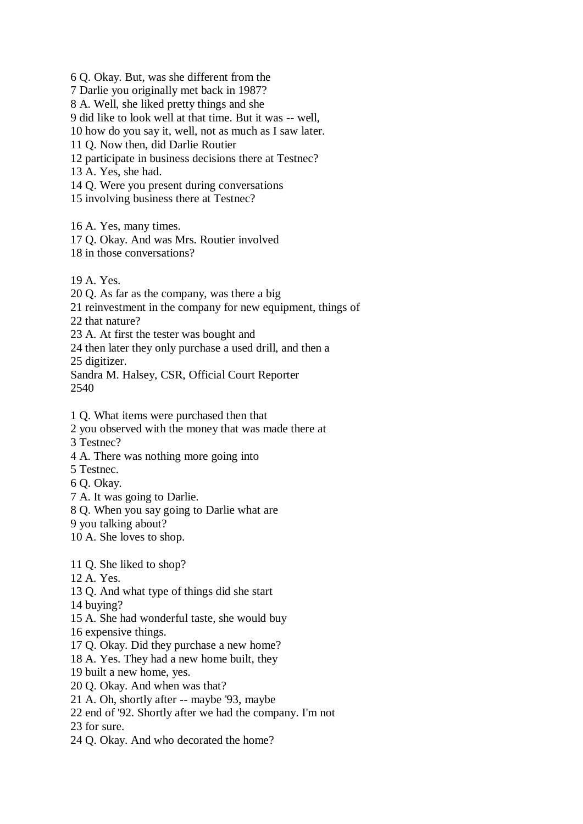6 Q. Okay. But, was she different from the

7 Darlie you originally met back in 1987?

8 A. Well, she liked pretty things and she

9 did like to look well at that time. But it was -- well,

10 how do you say it, well, not as much as I saw later.

11 Q. Now then, did Darlie Routier

12 participate in business decisions there at Testnec?

13 A. Yes, she had.

14 Q. Were you present during conversations

15 involving business there at Testnec?

16 A. Yes, many times.

17 Q. Okay. And was Mrs. Routier involved

18 in those conversations?

19 A. Yes.

20 Q. As far as the company, was there a big

21 reinvestment in the company for new equipment, things of

22 that nature?

23 A. At first the tester was bought and

24 then later they only purchase a used drill, and then a

25 digitizer.

Sandra M. Halsey, CSR, Official Court Reporter 2540

1 Q. What items were purchased then that

- 2 you observed with the money that was made there at
- 3 Testnec?
- 4 A. There was nothing more going into

5 Testnec.

6 Q. Okay.

7 A. It was going to Darlie.

8 Q. When you say going to Darlie what are

9 you talking about?

10 A. She loves to shop.

11 Q. She liked to shop?

12 A. Yes.

13 Q. And what type of things did she start

14 buying?

- 15 A. She had wonderful taste, she would buy
- 16 expensive things.

17 Q. Okay. Did they purchase a new home?

18 A. Yes. They had a new home built, they

19 built a new home, yes.

20 Q. Okay. And when was that?

21 A. Oh, shortly after -- maybe '93, maybe

22 end of '92. Shortly after we had the company. I'm not

23 for sure.

24 Q. Okay. And who decorated the home?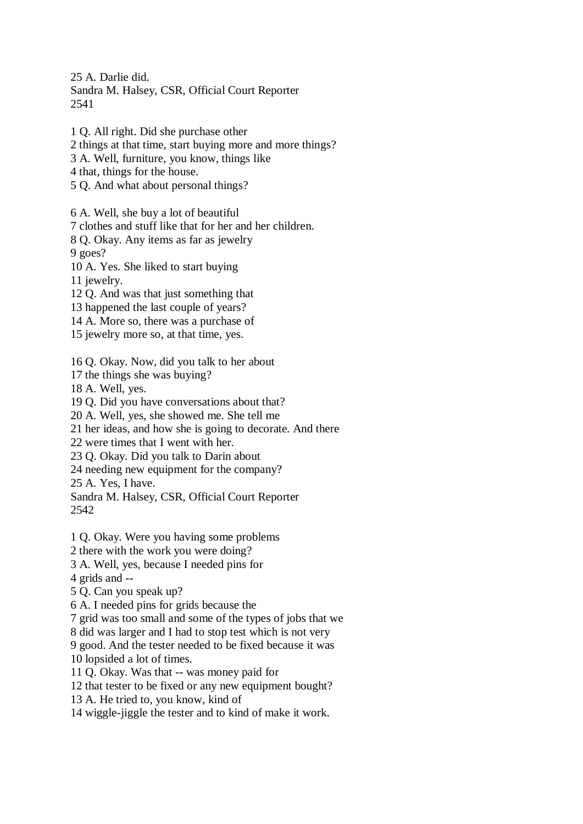25 A. Darlie did.

Sandra M. Halsey, CSR, Official Court Reporter 2541

1 Q. All right. Did she purchase other 2 things at that time, start buying more and more things? 3 A. Well, furniture, you know, things like 4 that, things for the house. 5 Q. And what about personal things? 6 A. Well, she buy a lot of beautiful 7 clothes and stuff like that for her and her children. 8 Q. Okay. Any items as far as jewelry 9 goes? 10 A. Yes. She liked to start buying 11 jewelry. 12 Q. And was that just something that 13 happened the last couple of years? 14 A. More so, there was a purchase of 15 jewelry more so, at that time, yes. 16 Q. Okay. Now, did you talk to her about 17 the things she was buying? 18 A. Well, yes. 19 Q. Did you have conversations about that? 20 A. Well, yes, she showed me. She tell me 21 her ideas, and how she is going to decorate. And there 22 were times that I went with her. 23 Q. Okay. Did you talk to Darin about 24 needing new equipment for the company? 25 A. Yes, I have. Sandra M. Halsey, CSR, Official Court Reporter 2542 1 Q. Okay. Were you having some problems 2 there with the work you were doing? 3 A. Well, yes, because I needed pins for 4 grids and -- 5 Q. Can you speak up? 6 A. I needed pins for grids because the 7 grid was too small and some of the types of jobs that we 8 did was larger and I had to stop test which is not very 9 good. And the tester needed to be fixed because it was 10 lopsided a lot of times. 11 Q. Okay. Was that -- was money paid for 12 that tester to be fixed or any new equipment bought? 13 A. He tried to, you know, kind of 14 wiggle-jiggle the tester and to kind of make it work.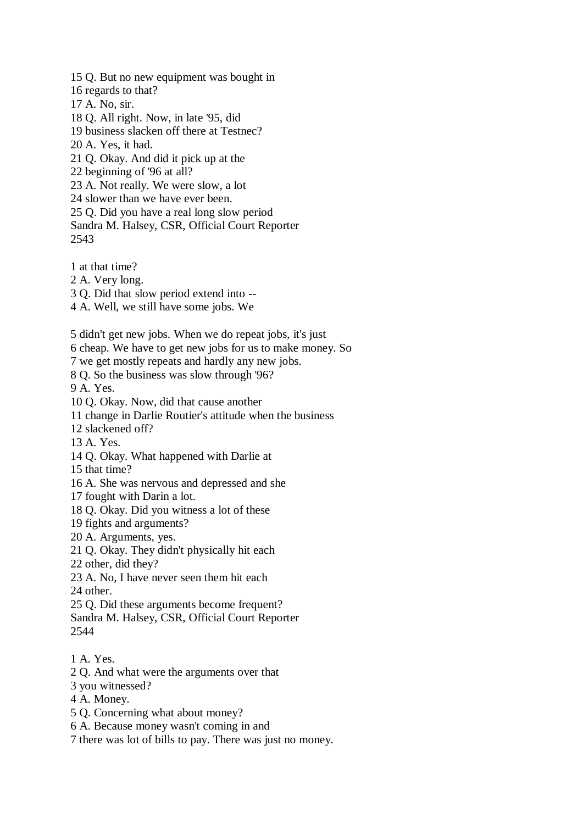15 Q. But no new equipment was bought in

- 16 regards to that?
- 17 A. No, sir.
- 18 Q. All right. Now, in late '95, did
- 19 business slacken off there at Testnec?
- 20 A. Yes, it had.
- 21 Q. Okay. And did it pick up at the
- 22 beginning of '96 at all?
- 23 A. Not really. We were slow, a lot
- 24 slower than we have ever been.
- 25 Q. Did you have a real long slow period
- Sandra M. Halsey, CSR, Official Court Reporter 2543
- 1 at that time?
- 2 A. Very long.
- 3 Q. Did that slow period extend into --
- 4 A. Well, we still have some jobs. We
- 5 didn't get new jobs. When we do repeat jobs, it's just
- 6 cheap. We have to get new jobs for us to make money. So
- 7 we get mostly repeats and hardly any new jobs.
- 8 Q. So the business was slow through '96?
- 9 A. Yes.
- 10 Q. Okay. Now, did that cause another
- 11 change in Darlie Routier's attitude when the business
- 12 slackened off?
- 13 A. Yes.
- 14 Q. Okay. What happened with Darlie at
- 15 that time?
- 16 A. She was nervous and depressed and she
- 17 fought with Darin a lot.
- 18 Q. Okay. Did you witness a lot of these
- 19 fights and arguments?
- 20 A. Arguments, yes.
- 21 Q. Okay. They didn't physically hit each
- 22 other, did they?
- 23 A. No, I have never seen them hit each 24 other.
- 25 Q. Did these arguments become frequent?
- Sandra M. Halsey, CSR, Official Court Reporter 2544
- 1 A. Yes.
- 2 Q. And what were the arguments over that
- 3 you witnessed?
- 4 A. Money.
- 5 Q. Concerning what about money?
- 6 A. Because money wasn't coming in and
- 7 there was lot of bills to pay. There was just no money.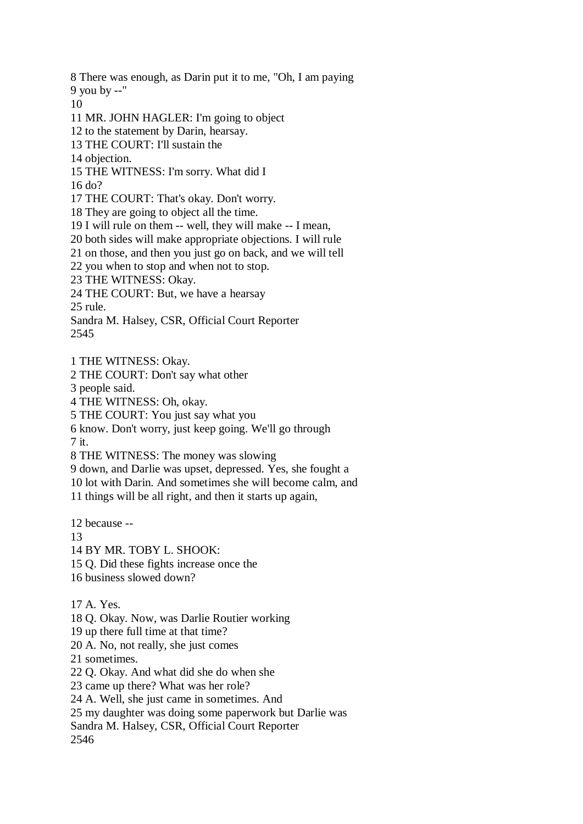8 There was enough, as Darin put it to me, "Oh, I am paying

9 you by --"

10

11 MR. JOHN HAGLER: I'm going to object

12 to the statement by Darin, hearsay.

13 THE COURT: I'll sustain the

14 objection.

15 THE WITNESS: I'm sorry. What did I

16 do?

17 THE COURT: That's okay. Don't worry.

18 They are going to object all the time.

19 I will rule on them -- well, they will make -- I mean,

20 both sides will make appropriate objections. I will rule

21 on those, and then you just go on back, and we will tell

22 you when to stop and when not to stop.

23 THE WITNESS: Okay.

24 THE COURT: But, we have a hearsay

25 rule.

Sandra M. Halsey, CSR, Official Court Reporter 2545

1 THE WITNESS: Okay.

2 THE COURT: Don't say what other

3 people said.

4 THE WITNESS: Oh, okay.

5 THE COURT: You just say what you

6 know. Don't worry, just keep going. We'll go through 7 it.

8 THE WITNESS: The money was slowing

9 down, and Darlie was upset, depressed. Yes, she fought a

10 lot with Darin. And sometimes she will become calm, and

11 things will be all right, and then it starts up again,

12 because --

13

14 BY MR. TOBY L. SHOOK:

15 Q. Did these fights increase once the

16 business slowed down?

17 A. Yes.

18 Q. Okay. Now, was Darlie Routier working

19 up there full time at that time?

20 A. No, not really, she just comes

21 sometimes.

22 Q. Okay. And what did she do when she

23 came up there? What was her role?

24 A. Well, she just came in sometimes. And

25 my daughter was doing some paperwork but Darlie was

Sandra M. Halsey, CSR, Official Court Reporter

2546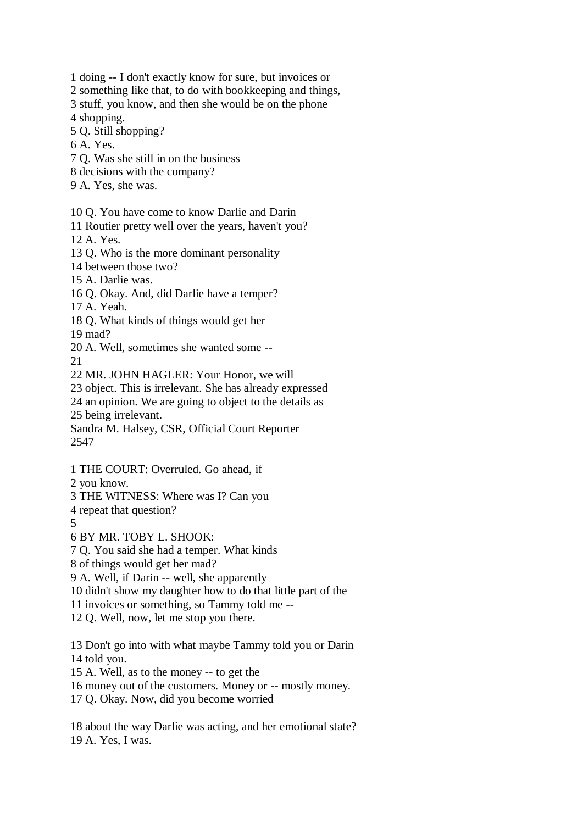1 doing -- I don't exactly know for sure, but invoices or

2 something like that, to do with bookkeeping and things,

3 stuff, you know, and then she would be on the phone 4 shopping.

5 Q. Still shopping?

6 A. Yes.

- 7 Q. Was she still in on the business
- 8 decisions with the company?
- 9 A. Yes, she was.

10 Q. You have come to know Darlie and Darin

11 Routier pretty well over the years, haven't you?

12 A. Yes.

13 Q. Who is the more dominant personality

14 between those two?

15 A. Darlie was.

16 Q. Okay. And, did Darlie have a temper?

17 A. Yeah.

18 Q. What kinds of things would get her

19 mad?

20 A. Well, sometimes she wanted some --  $21$ 

22 MR. JOHN HAGLER: Your Honor, we will

23 object. This is irrelevant. She has already expressed

24 an opinion. We are going to object to the details as

25 being irrelevant.

Sandra M. Halsey, CSR, Official Court Reporter 2547

1 THE COURT: Overruled. Go ahead, if

2 you know.

3 THE WITNESS: Where was I? Can you

4 repeat that question?

5

6 BY MR. TOBY L. SHOOK:

7 Q. You said she had a temper. What kinds

8 of things would get her mad?

9 A. Well, if Darin -- well, she apparently

10 didn't show my daughter how to do that little part of the

11 invoices or something, so Tammy told me --

12 Q. Well, now, let me stop you there.

13 Don't go into with what maybe Tammy told you or Darin 14 told you.

15 A. Well, as to the money -- to get the

16 money out of the customers. Money or -- mostly money.

17 Q. Okay. Now, did you become worried

18 about the way Darlie was acting, and her emotional state? 19 A. Yes, I was.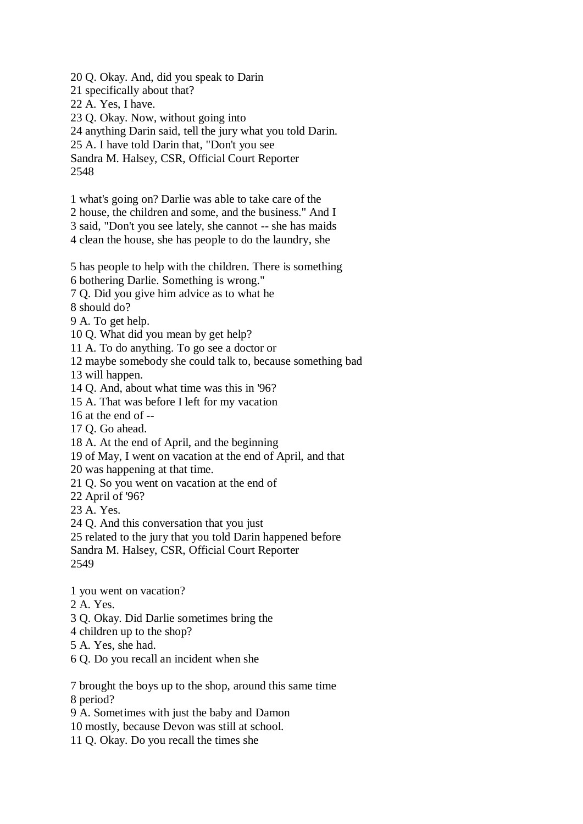20 Q. Okay. And, did you speak to Darin

21 specifically about that?

22 A. Yes, I have.

23 Q. Okay. Now, without going into

24 anything Darin said, tell the jury what you told Darin.

25 A. I have told Darin that, "Don't you see

Sandra M. Halsey, CSR, Official Court Reporter 2548

1 what's going on? Darlie was able to take care of the

2 house, the children and some, and the business." And I

3 said, "Don't you see lately, she cannot -- she has maids

4 clean the house, she has people to do the laundry, she

5 has people to help with the children. There is something

6 bothering Darlie. Something is wrong."

7 Q. Did you give him advice as to what he

8 should do?

9 A. To get help.

10 Q. What did you mean by get help?

11 A. To do anything. To go see a doctor or

12 maybe somebody she could talk to, because something bad

13 will happen.

14 Q. And, about what time was this in '96?

15 A. That was before I left for my vacation

16 at the end of --

17 Q. Go ahead.

18 A. At the end of April, and the beginning

19 of May, I went on vacation at the end of April, and that

20 was happening at that time.

21 Q. So you went on vacation at the end of

22 April of '96?

23 A. Yes.

24 Q. And this conversation that you just

25 related to the jury that you told Darin happened before

Sandra M. Halsey, CSR, Official Court Reporter

2549

1 you went on vacation?

2 A. Yes.

3 Q. Okay. Did Darlie sometimes bring the

4 children up to the shop?

5 A. Yes, she had.

6 Q. Do you recall an incident when she

7 brought the boys up to the shop, around this same time 8 period?

9 A. Sometimes with just the baby and Damon

10 mostly, because Devon was still at school.

11 Q. Okay. Do you recall the times she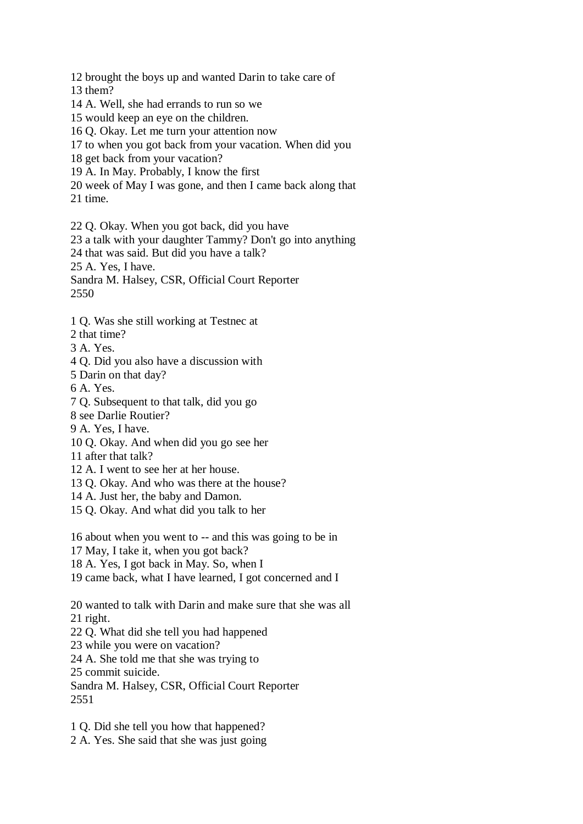12 brought the boys up and wanted Darin to take care of

13 them?

- 14 A. Well, she had errands to run so we
- 15 would keep an eye on the children.
- 16 Q. Okay. Let me turn your attention now
- 17 to when you got back from your vacation. When did you
- 18 get back from your vacation?
- 19 A. In May. Probably, I know the first
- 20 week of May I was gone, and then I came back along that 21 time.
- 22 Q. Okay. When you got back, did you have

23 a talk with your daughter Tammy? Don't go into anything

24 that was said. But did you have a talk?

25 A. Yes, I have.

Sandra M. Halsey, CSR, Official Court Reporter 2550

- 1 Q. Was she still working at Testnec at
- 2 that time?
- 3 A. Yes.
- 4 Q. Did you also have a discussion with
- 5 Darin on that day?
- 6 A. Yes.
- 7 Q. Subsequent to that talk, did you go
- 8 see Darlie Routier?
- 9 A. Yes, I have.
- 10 Q. Okay. And when did you go see her
- 11 after that talk?
- 12 A. I went to see her at her house.
- 13 Q. Okay. And who was there at the house?
- 14 A. Just her, the baby and Damon.
- 15 Q. Okay. And what did you talk to her

16 about when you went to -- and this was going to be in

17 May, I take it, when you got back?

- 18 A. Yes, I got back in May. So, when I
- 19 came back, what I have learned, I got concerned and I

20 wanted to talk with Darin and make sure that she was all 21 right.

- 22 Q. What did she tell you had happened
- 23 while you were on vacation?
- 24 A. She told me that she was trying to

25 commit suicide.

Sandra M. Halsey, CSR, Official Court Reporter 2551

1 Q. Did she tell you how that happened?

2 A. Yes. She said that she was just going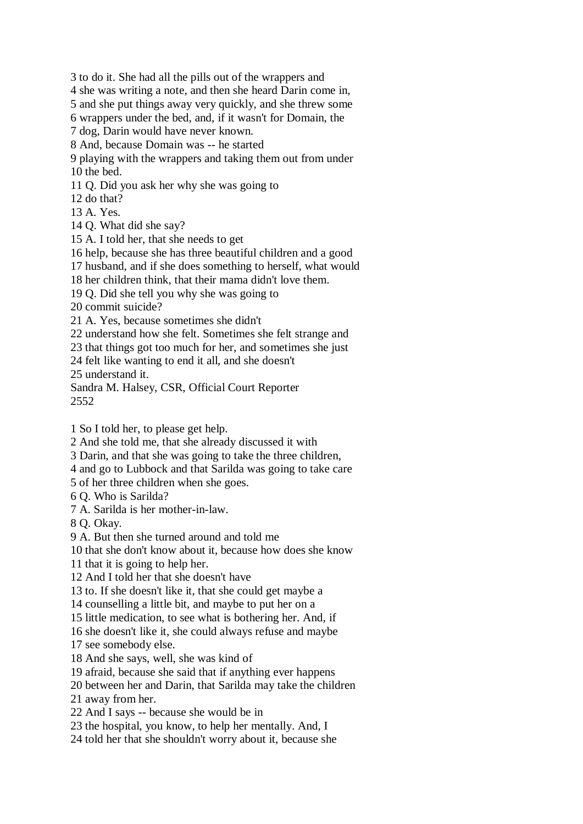3 to do it. She had all the pills out of the wrappers and

4 she was writing a note, and then she heard Darin come in,

5 and she put things away very quickly, and she threw some

6 wrappers under the bed, and, if it wasn't for Domain, the

7 dog, Darin would have never known.

8 And, because Domain was -- he started

9 playing with the wrappers and taking them out from under 10 the bed.

11 Q. Did you ask her why she was going to

12 do that?

13 A. Yes.

14 Q. What did she say?

15 A. I told her, that she needs to get

16 help, because she has three beautiful children and a good

17 husband, and if she does something to herself, what would

18 her children think, that their mama didn't love them.

19 Q. Did she tell you why she was going to

20 commit suicide?

21 A. Yes, because sometimes she didn't

22 understand how she felt. Sometimes she felt strange and

23 that things got too much for her, and sometimes she just

24 felt like wanting to end it all, and she doesn't

25 understand it.

Sandra M. Halsey, CSR, Official Court Reporter 2552

1 So I told her, to please get help.

2 And she told me, that she already discussed it with

3 Darin, and that she was going to take the three children,

4 and go to Lubbock and that Sarilda was going to take care

5 of her three children when she goes.

6 Q. Who is Sarilda?

7 A. Sarilda is her mother-in-law.

8 Q. Okay.

9 A. But then she turned around and told me

10 that she don't know about it, because how does she know

11 that it is going to help her.

12 And I told her that she doesn't have

13 to. If she doesn't like it, that she could get maybe a

14 counselling a little bit, and maybe to put her on a

15 little medication, to see what is bothering her. And, if

16 she doesn't like it, she could always refuse and maybe

17 see somebody else.

18 And she says, well, she was kind of

19 afraid, because she said that if anything ever happens

20 between her and Darin, that Sarilda may take the children

21 away from her.

22 And I says -- because she would be in

23 the hospital, you know, to help her mentally. And, I

24 told her that she shouldn't worry about it, because she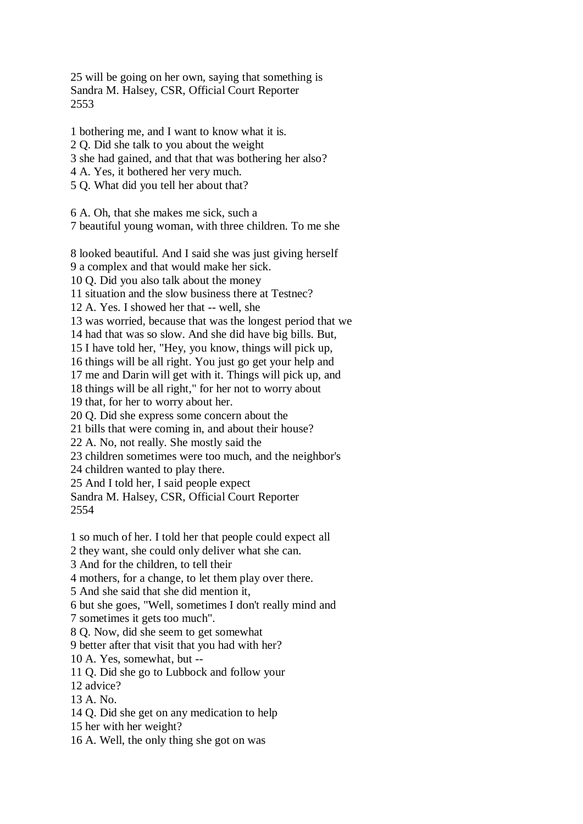25 will be going on her own, saying that something is Sandra M. Halsey, CSR, Official Court Reporter 2553

1 bothering me, and I want to know what it is. 2 Q. Did she talk to you about the weight 3 she had gained, and that that was bothering her also? 4 A. Yes, it bothered her very much. 5 Q. What did you tell her about that?

6 A. Oh, that she makes me sick, such a 7 beautiful young woman, with three children. To me she

8 looked beautiful. And I said she was just giving herself 9 a complex and that would make her sick. 10 Q. Did you also talk about the money 11 situation and the slow business there at Testnec? 12 A. Yes. I showed her that -- well, she 13 was worried, because that was the longest period that we 14 had that was so slow. And she did have big bills. But, 15 I have told her, "Hey, you know, things will pick up, 16 things will be all right. You just go get your help and 17 me and Darin will get with it. Things will pick up, and 18 things will be all right," for her not to worry about 19 that, for her to worry about her. 20 Q. Did she express some concern about the 21 bills that were coming in, and about their house? 22 A. No, not really. She mostly said the 23 children sometimes were too much, and the neighbor's 24 children wanted to play there. 25 And I told her, I said people expect Sandra M. Halsey, CSR, Official Court Reporter 2554

1 so much of her. I told her that people could expect all

2 they want, she could only deliver what she can.

3 And for the children, to tell their

4 mothers, for a change, to let them play over there.

5 And she said that she did mention it,

6 but she goes, "Well, sometimes I don't really mind and

7 sometimes it gets too much".

8 Q. Now, did she seem to get somewhat

9 better after that visit that you had with her?

10 A. Yes, somewhat, but --

11 Q. Did she go to Lubbock and follow your

12 advice?

13 A. No.

14 Q. Did she get on any medication to help

15 her with her weight?

16 A. Well, the only thing she got on was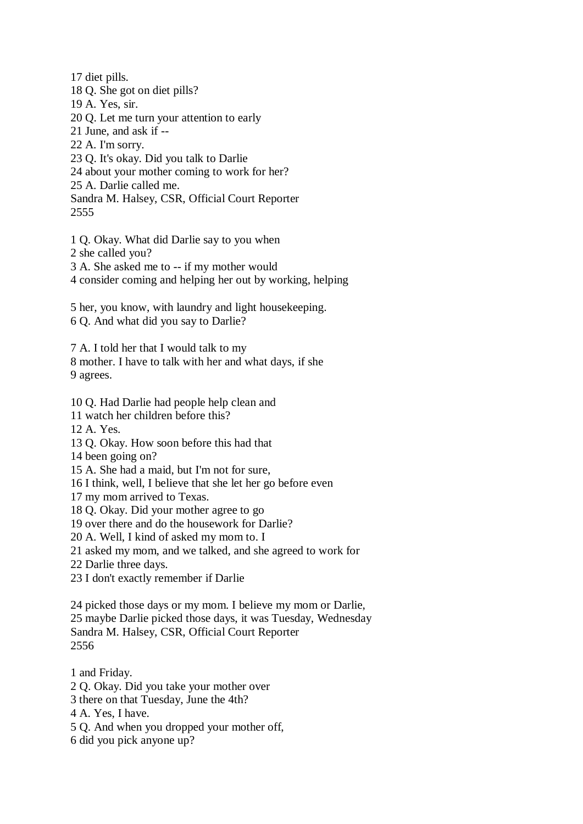17 diet pills. 18 Q. She got on diet pills? 19 A. Yes, sir. 20 Q. Let me turn your attention to early 21 June, and ask if -- 22 A. I'm sorry. 23 Q. It's okay. Did you talk to Darlie 24 about your mother coming to work for her? 25 A. Darlie called me. Sandra M. Halsey, CSR, Official Court Reporter 2555

1 Q. Okay. What did Darlie say to you when

2 she called you?

3 A. She asked me to -- if my mother would

4 consider coming and helping her out by working, helping

5 her, you know, with laundry and light housekeeping.

6 Q. And what did you say to Darlie?

7 A. I told her that I would talk to my 8 mother. I have to talk with her and what days, if she

9 agrees.

10 Q. Had Darlie had people help clean and

11 watch her children before this?

12 A. Yes.

13 Q. Okay. How soon before this had that

14 been going on?

15 A. She had a maid, but I'm not for sure,

16 I think, well, I believe that she let her go before even

17 my mom arrived to Texas.

18 Q. Okay. Did your mother agree to go

19 over there and do the housework for Darlie?

20 A. Well, I kind of asked my mom to. I

21 asked my mom, and we talked, and she agreed to work for

22 Darlie three days.

23 I don't exactly remember if Darlie

24 picked those days or my mom. I believe my mom or Darlie, 25 maybe Darlie picked those days, it was Tuesday, Wednesday Sandra M. Halsey, CSR, Official Court Reporter 2556

1 and Friday.

2 Q. Okay. Did you take your mother over

3 there on that Tuesday, June the 4th?

4 A. Yes, I have.

5 Q. And when you dropped your mother off,

6 did you pick anyone up?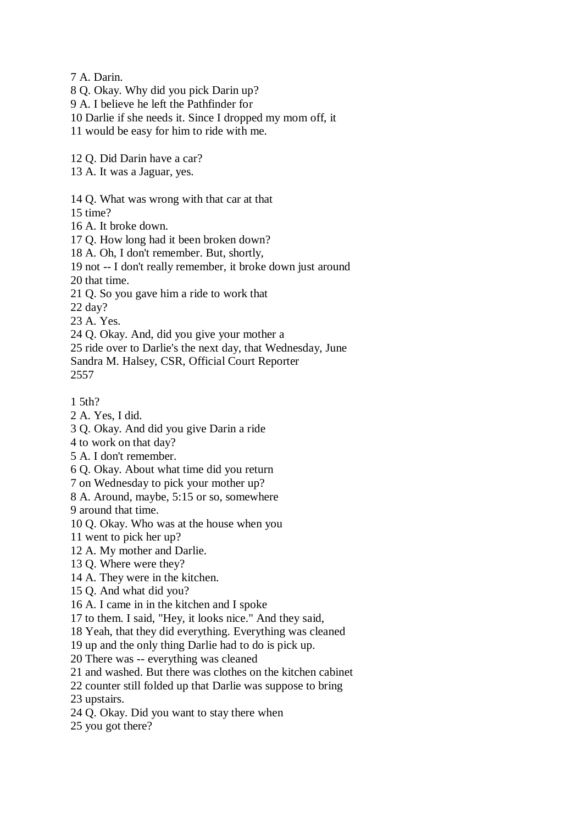7 A. Darin.

- 8 Q. Okay. Why did you pick Darin up?
- 9 A. I believe he left the Pathfinder for
- 10 Darlie if she needs it. Since I dropped my mom off, it
- 11 would be easy for him to ride with me.
- 12 Q. Did Darin have a car?
- 13 A. It was a Jaguar, yes.
- 14 Q. What was wrong with that car at that
- 15 time?
- 16 A. It broke down.
- 17 Q. How long had it been broken down?
- 18 A. Oh, I don't remember. But, shortly,
- 19 not -- I don't really remember, it broke down just around
- 20 that time.
- 21 Q. So you gave him a ride to work that
- 22 day?
- 23 A. Yes.
- 24 Q. Okay. And, did you give your mother a
- 25 ride over to Darlie's the next day, that Wednesday, June
- Sandra M. Halsey, CSR, Official Court Reporter 2557
- 1 5th?
- 2 A. Yes, I did.
- 3 Q. Okay. And did you give Darin a ride
- 4 to work on that day?
- 5 A. I don't remember.
- 6 Q. Okay. About what time did you return
- 7 on Wednesday to pick your mother up?
- 8 A. Around, maybe, 5:15 or so, somewhere
- 9 around that time.
- 10 Q. Okay. Who was at the house when you
- 11 went to pick her up?
- 12 A. My mother and Darlie.
- 13 Q. Where were they?
- 14 A. They were in the kitchen.
- 15 Q. And what did you?
- 16 A. I came in in the kitchen and I spoke
- 17 to them. I said, "Hey, it looks nice." And they said,
- 18 Yeah, that they did everything. Everything was cleaned
- 19 up and the only thing Darlie had to do is pick up.
- 20 There was -- everything was cleaned
- 21 and washed. But there was clothes on the kitchen cabinet
- 22 counter still folded up that Darlie was suppose to bring
- 23 upstairs.
- 24 Q. Okay. Did you want to stay there when
- 25 you got there?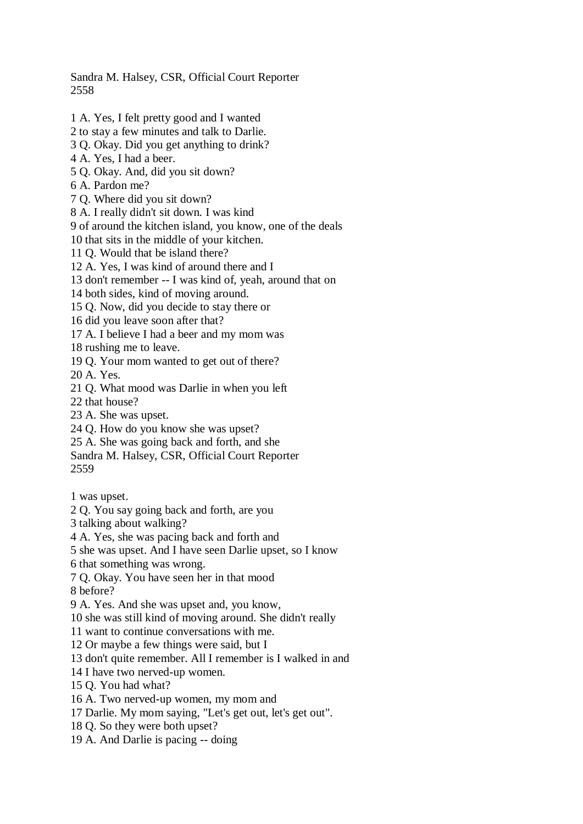Sandra M. Halsey, CSR, Official Court Reporter 2558

- 1 A. Yes, I felt pretty good and I wanted
- 2 to stay a few minutes and talk to Darlie.
- 3 Q. Okay. Did you get anything to drink?
- 4 A. Yes, I had a beer.
- 5 Q. Okay. And, did you sit down?
- 6 A. Pardon me?
- 7 Q. Where did you sit down?
- 8 A. I really didn't sit down. I was kind
- 9 of around the kitchen island, you know, one of the deals
- 10 that sits in the middle of your kitchen.
- 11 Q. Would that be island there?
- 12 A. Yes, I was kind of around there and I
- 13 don't remember -- I was kind of, yeah, around that on
- 14 both sides, kind of moving around.
- 15 Q. Now, did you decide to stay there or
- 16 did you leave soon after that?
- 17 A. I believe I had a beer and my mom was
- 18 rushing me to leave.
- 19 Q. Your mom wanted to get out of there?
- 20 A. Yes.
- 21 Q. What mood was Darlie in when you left
- 22 that house?
- 23 A. She was upset.
- 24 Q. How do you know she was upset?
- 25 A. She was going back and forth, and she
- Sandra M. Halsey, CSR, Official Court Reporter
- 2559
- 1 was upset.
- 2 Q. You say going back and forth, are you
- 3 talking about walking?
- 4 A. Yes, she was pacing back and forth and
- 5 she was upset. And I have seen Darlie upset, so I know
- 6 that something was wrong.
- 7 Q. Okay. You have seen her in that mood
- 8 before?
- 9 A. Yes. And she was upset and, you know,
- 10 she was still kind of moving around. She didn't really
- 11 want to continue conversations with me.
- 12 Or maybe a few things were said, but I
- 13 don't quite remember. All I remember is I walked in and
- 14 I have two nerved-up women.
- 15 Q. You had what?
- 16 A. Two nerved-up women, my mom and
- 17 Darlie. My mom saying, "Let's get out, let's get out".
- 18 Q. So they were both upset?
- 19 A. And Darlie is pacing -- doing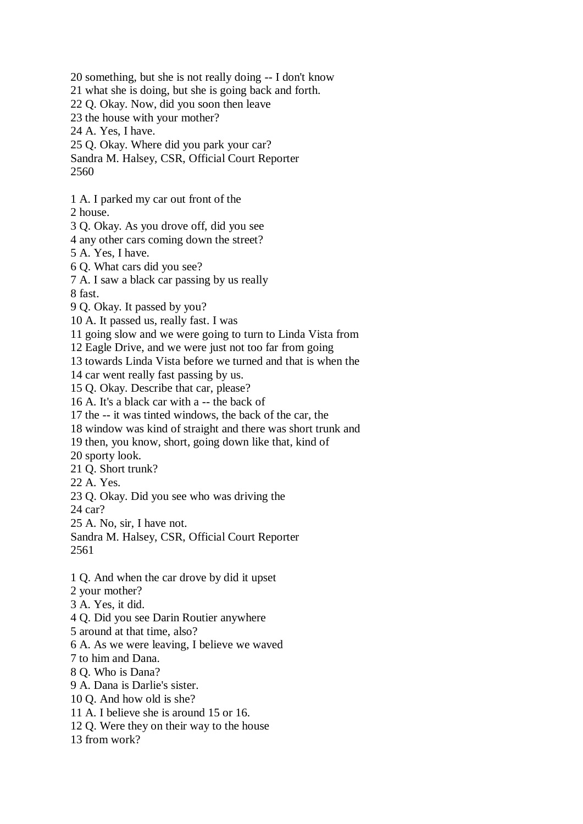20 something, but she is not really doing -- I don't know 21 what she is doing, but she is going back and forth. 22 Q. Okay. Now, did you soon then leave 23 the house with your mother? 24 A. Yes, I have. 25 Q. Okay. Where did you park your car? Sandra M. Halsey, CSR, Official Court Reporter 2560 1 A. I parked my car out front of the 2 house. 3 Q. Okay. As you drove off, did you see 4 any other cars coming down the street? 5 A. Yes, I have. 6 Q. What cars did you see? 7 A. I saw a black car passing by us really 8 fast. 9 Q. Okay. It passed by you? 10 A. It passed us, really fast. I was 11 going slow and we were going to turn to Linda Vista from 12 Eagle Drive, and we were just not too far from going 13 towards Linda Vista before we turned and that is when the 14 car went really fast passing by us. 15 Q. Okay. Describe that car, please? 16 A. It's a black car with a -- the back of 17 the -- it was tinted windows, the back of the car, the 18 window was kind of straight and there was short trunk and 19 then, you know, short, going down like that, kind of 20 sporty look. 21 Q. Short trunk? 22 A. Yes. 23 Q. Okay. Did you see who was driving the 24 car? 25 A. No, sir, I have not. Sandra M. Halsey, CSR, Official Court Reporter 2561 1 Q. And when the car drove by did it upset 2 your mother? 3 A. Yes, it did. 4 Q. Did you see Darin Routier anywhere 5 around at that time, also? 6 A. As we were leaving, I believe we waved 7 to him and Dana. 8 Q. Who is Dana? 9 A. Dana is Darlie's sister. 10 Q. And how old is she? 11 A. I believe she is around 15 or 16. 12 Q. Were they on their way to the house 13 from work?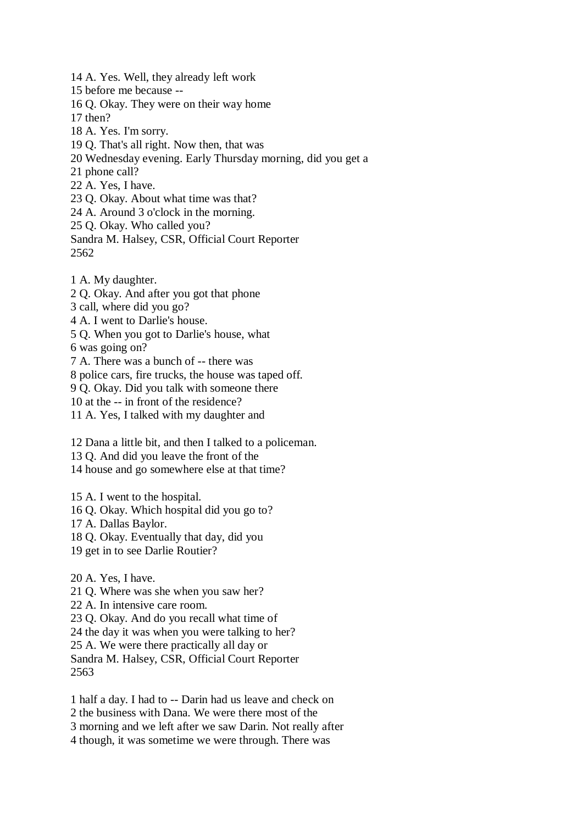14 A. Yes. Well, they already left work 15 before me because -- 16 Q. Okay. They were on their way home 17 then? 18 A. Yes. I'm sorry. 19 Q. That's all right. Now then, that was 20 Wednesday evening. Early Thursday morning, did you get a 21 phone call? 22 A. Yes, I have. 23 Q. Okay. About what time was that? 24 A. Around 3 o'clock in the morning. 25 Q. Okay. Who called you? Sandra M. Halsey, CSR, Official Court Reporter 2562

1 A. My daughter.

2 Q. Okay. And after you got that phone

3 call, where did you go?

4 A. I went to Darlie's house.

5 Q. When you got to Darlie's house, what

6 was going on?

7 A. There was a bunch of -- there was

8 police cars, fire trucks, the house was taped off.

9 Q. Okay. Did you talk with someone there

10 at the -- in front of the residence?

11 A. Yes, I talked with my daughter and

12 Dana a little bit, and then I talked to a policeman.

13 Q. And did you leave the front of the

14 house and go somewhere else at that time?

15 A. I went to the hospital.

16 Q. Okay. Which hospital did you go to?

17 A. Dallas Baylor.

18 Q. Okay. Eventually that day, did you

19 get in to see Darlie Routier?

20 A. Yes, I have.

21 Q. Where was she when you saw her?

22 A. In intensive care room.

23 Q. Okay. And do you recall what time of

24 the day it was when you were talking to her?

25 A. We were there practically all day or

Sandra M. Halsey, CSR, Official Court Reporter 2563

1 half a day. I had to -- Darin had us leave and check on 2 the business with Dana. We were there most of the 3 morning and we left after we saw Darin. Not really after 4 though, it was sometime we were through. There was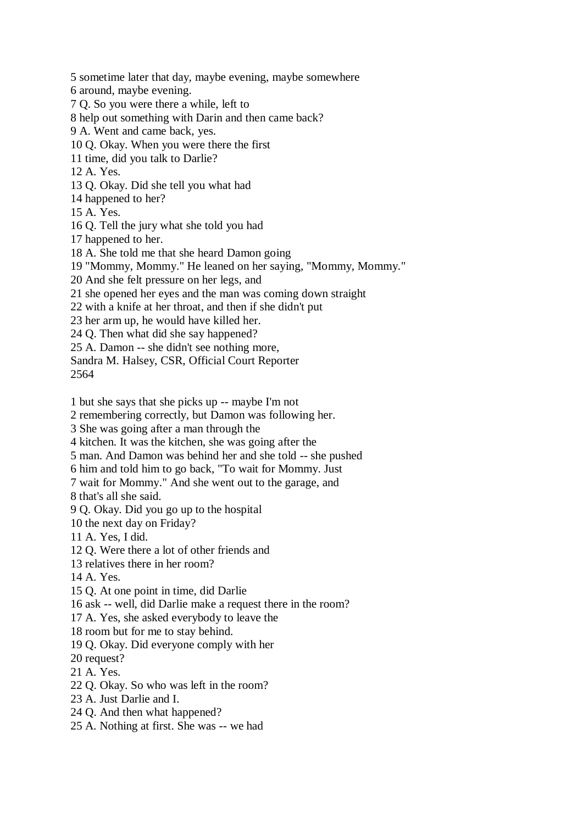5 sometime later that day, maybe evening, maybe somewhere

6 around, maybe evening.

7 Q. So you were there a while, left to

8 help out something with Darin and then came back?

9 A. Went and came back, yes.

10 Q. Okay. When you were there the first

11 time, did you talk to Darlie?

12 A. Yes.

13 Q. Okay. Did she tell you what had

14 happened to her?

15 A. Yes.

16 Q. Tell the jury what she told you had

17 happened to her.

18 A. She told me that she heard Damon going

19 "Mommy, Mommy." He leaned on her saying, "Mommy, Mommy."

20 And she felt pressure on her legs, and

21 she opened her eyes and the man was coming down straight

22 with a knife at her throat, and then if she didn't put

23 her arm up, he would have killed her.

24 Q. Then what did she say happened?

25 A. Damon -- she didn't see nothing more,

Sandra M. Halsey, CSR, Official Court Reporter

2564

1 but she says that she picks up -- maybe I'm not

2 remembering correctly, but Damon was following her.

3 She was going after a man through the

4 kitchen. It was the kitchen, she was going after the

5 man. And Damon was behind her and she told -- she pushed

6 him and told him to go back, "To wait for Mommy. Just

7 wait for Mommy." And she went out to the garage, and

8 that's all she said.

9 Q. Okay. Did you go up to the hospital

10 the next day on Friday?

11 A. Yes, I did.

12 Q. Were there a lot of other friends and

13 relatives there in her room?

14 A. Yes.

15 Q. At one point in time, did Darlie

16 ask -- well, did Darlie make a request there in the room?

17 A. Yes, she asked everybody to leave the

18 room but for me to stay behind.

19 Q. Okay. Did everyone comply with her

20 request?

21 A. Yes.

22 Q. Okay. So who was left in the room?

23 A. Just Darlie and I.

24 Q. And then what happened?

25 A. Nothing at first. She was -- we had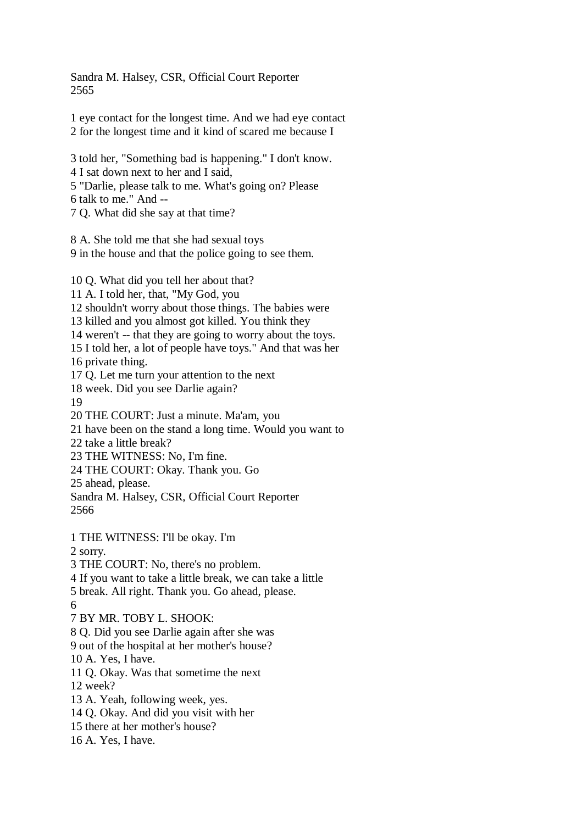Sandra M. Halsey, CSR, Official Court Reporter 2565

1 eye contact for the longest time. And we had eye contact 2 for the longest time and it kind of scared me because I

3 told her, "Something bad is happening." I don't know. 4 I sat down next to her and I said, 5 "Darlie, please talk to me. What's going on? Please 6 talk to me." And -- 7 Q. What did she say at that time?

8 A. She told me that she had sexual toys 9 in the house and that the police going to see them.

10 Q. What did you tell her about that?

11 A. I told her, that, "My God, you

12 shouldn't worry about those things. The babies were

13 killed and you almost got killed. You think they

14 weren't -- that they are going to worry about the toys.

15 I told her, a lot of people have toys." And that was her

16 private thing.

17 Q. Let me turn your attention to the next

18 week. Did you see Darlie again?

19

20 THE COURT: Just a minute. Ma'am, you

21 have been on the stand a long time. Would you want to

22 take a little break?

23 THE WITNESS: No, I'm fine.

24 THE COURT: Okay. Thank you. Go

25 ahead, please.

Sandra M. Halsey, CSR, Official Court Reporter 2566

1 THE WITNESS: I'll be okay. I'm

2 sorry.

3 THE COURT: No, there's no problem.

4 If you want to take a little break, we can take a little

5 break. All right. Thank you. Go ahead, please.

6

7 BY MR. TOBY L. SHOOK:

8 Q. Did you see Darlie again after she was

9 out of the hospital at her mother's house?

10 A. Yes, I have.

11 Q. Okay. Was that sometime the next

12 week?

13 A. Yeah, following week, yes.

14 Q. Okay. And did you visit with her

15 there at her mother's house?

16 A. Yes, I have.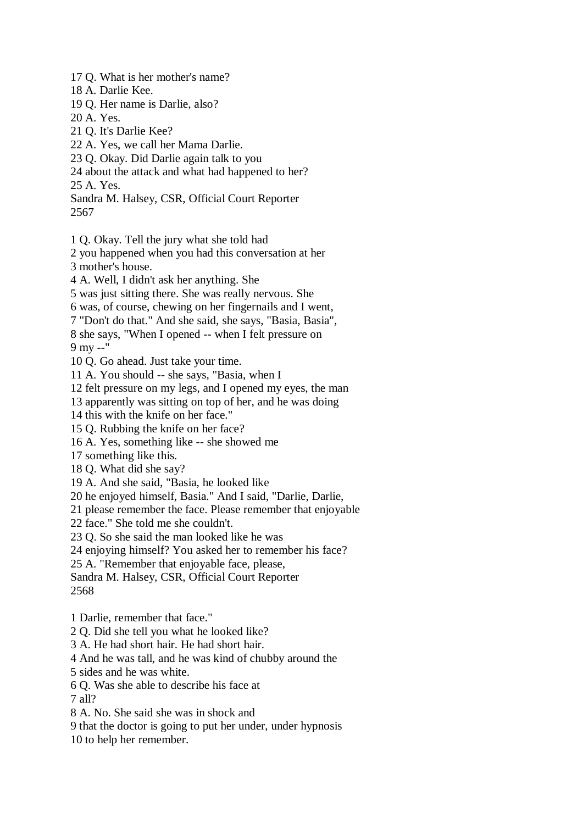17 Q. What is her mother's name?

- 18 A. Darlie Kee.
- 19 Q. Her name is Darlie, also?
- 20 A. Yes.
- 21 Q. It's Darlie Kee?
- 22 A. Yes, we call her Mama Darlie.
- 23 Q. Okay. Did Darlie again talk to you
- 24 about the attack and what had happened to her?
- 25 A. Yes.

Sandra M. Halsey, CSR, Official Court Reporter 2567

- 1 Q. Okay. Tell the jury what she told had
- 2 you happened when you had this conversation at her 3 mother's house.
- 4 A. Well, I didn't ask her anything. She
- 5 was just sitting there. She was really nervous. She
- 6 was, of course, chewing on her fingernails and I went,
- 7 "Don't do that." And she said, she says, "Basia, Basia",
- 8 she says, "When I opened -- when I felt pressure on
- 9 my --"
- 10 Q. Go ahead. Just take your time.
- 11 A. You should -- she says, "Basia, when I
- 12 felt pressure on my legs, and I opened my eyes, the man
- 13 apparently was sitting on top of her, and he was doing
- 14 this with the knife on her face."
- 15 Q. Rubbing the knife on her face?
- 16 A. Yes, something like -- she showed me
- 17 something like this.
- 18 Q. What did she say?
- 19 A. And she said, "Basia, he looked like
- 20 he enjoyed himself, Basia." And I said, "Darlie, Darlie,
- 21 please remember the face. Please remember that enjoyable
- 22 face." She told me she couldn't.
- 23 Q. So she said the man looked like he was
- 24 enjoying himself? You asked her to remember his face?
- 25 A. "Remember that enjoyable face, please,
- Sandra M. Halsey, CSR, Official Court Reporter 2568
- 1 Darlie, remember that face."
- 2 Q. Did she tell you what he looked like?
- 3 A. He had short hair. He had short hair.
- 4 And he was tall, and he was kind of chubby around the
- 5 sides and he was white.
- 6 Q. Was she able to describe his face at
- 7 all?
- 8 A. No. She said she was in shock and
- 9 that the doctor is going to put her under, under hypnosis
- 10 to help her remember.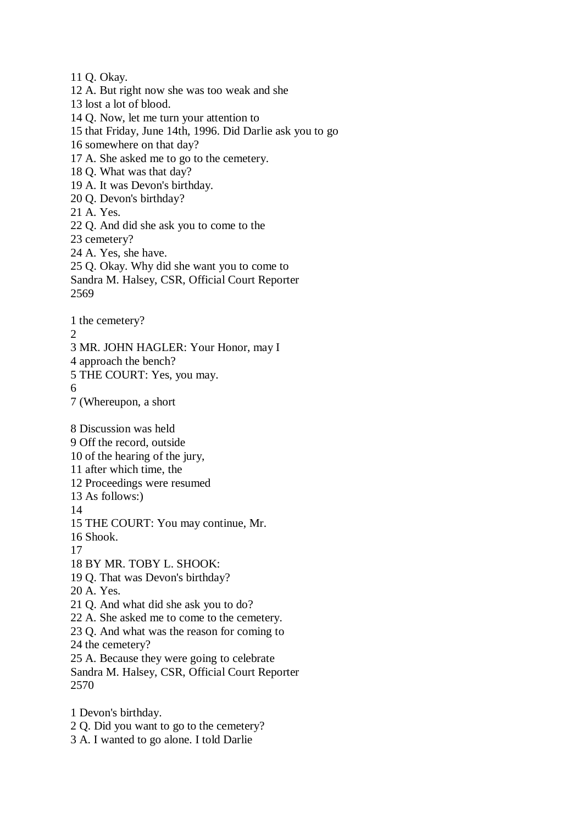11 Q. Okay. 12 A. But right now she was too weak and she 13 lost a lot of blood. 14 Q. Now, let me turn your attention to 15 that Friday, June 14th, 1996. Did Darlie ask you to go 16 somewhere on that day? 17 A. She asked me to go to the cemetery. 18 Q. What was that day? 19 A. It was Devon's birthday. 20 Q. Devon's birthday? 21 A. Yes. 22 Q. And did she ask you to come to the 23 cemetery? 24 A. Yes, she have. 25 Q. Okay. Why did she want you to come to Sandra M. Halsey, CSR, Official Court Reporter 2569 1 the cemetery?  $\mathcal{D}_{\alpha}$ 3 MR. JOHN HAGLER: Your Honor, may I 4 approach the bench? 5 THE COURT: Yes, you may. 6 7 (Whereupon, a short 8 Discussion was held 9 Off the record, outside 10 of the hearing of the jury, 11 after which time, the 12 Proceedings were resumed 13 As follows:) 14 15 THE COURT: You may continue, Mr. 16 Shook. 17 18 BY MR. TOBY L. SHOOK: 19 Q. That was Devon's birthday? 20 A. Yes. 21 Q. And what did she ask you to do? 22 A. She asked me to come to the cemetery. 23 Q. And what was the reason for coming to 24 the cemetery? 25 A. Because they were going to celebrate Sandra M. Halsey, CSR, Official Court Reporter 2570 1 Devon's birthday.

- 2 Q. Did you want to go to the cemetery?
- 3 A. I wanted to go alone. I told Darlie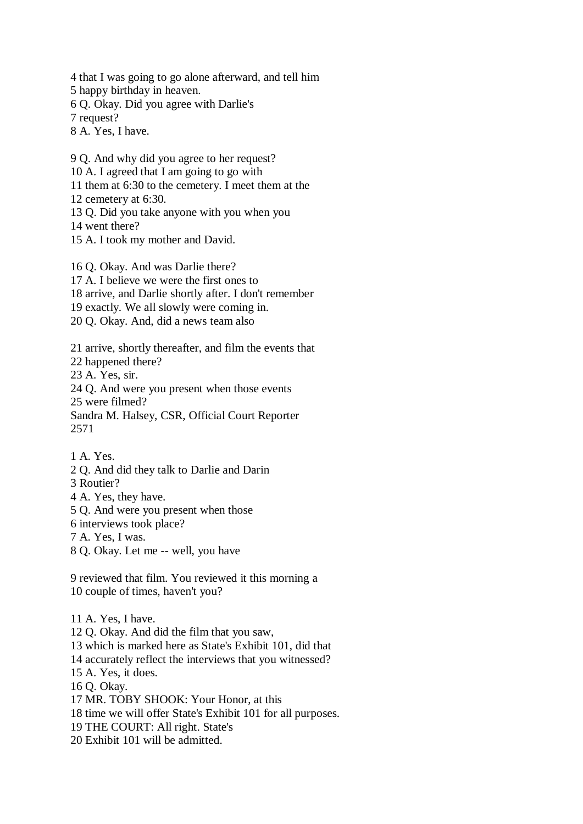4 that I was going to go alone afterward, and tell him 5 happy birthday in heaven. 6 Q. Okay. Did you agree with Darlie's 7 request? 8 A. Yes, I have.

10 A. I agreed that I am going to go with 11 them at 6:30 to the cemetery. I meet them at the 12 cemetery at 6:30. 13 Q. Did you take anyone with you when you 14 went there? 15 A. I took my mother and David. 16 Q. Okay. And was Darlie there? 17 A. I believe we were the first ones to 18 arrive, and Darlie shortly after. I don't remember

19 exactly. We all slowly were coming in.

9 Q. And why did you agree to her request?

20 Q. Okay. And, did a news team also

21 arrive, shortly thereafter, and film the events that

22 happened there?

23 A. Yes, sir.

24 Q. And were you present when those events

25 were filmed?

Sandra M. Halsey, CSR, Official Court Reporter 2571

1 A. Yes.

2 Q. And did they talk to Darlie and Darin

3 Routier?

4 A. Yes, they have.

5 Q. And were you present when those

6 interviews took place?

- 7 A. Yes, I was.
- 8 Q. Okay. Let me -- well, you have

9 reviewed that film. You reviewed it this morning a 10 couple of times, haven't you?

11 A. Yes, I have. 12 Q. Okay. And did the film that you saw, 13 which is marked here as State's Exhibit 101, did that 14 accurately reflect the interviews that you witnessed? 15 A. Yes, it does. 16 Q. Okay. 17 MR. TOBY SHOOK: Your Honor, at this 18 time we will offer State's Exhibit 101 for all purposes. 19 THE COURT: All right. State's 20 Exhibit 101 will be admitted.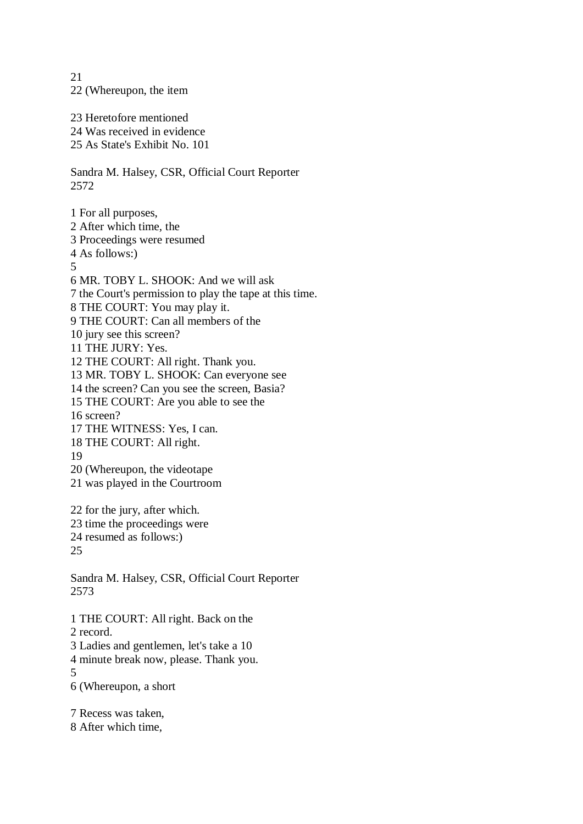21 22 (Whereupon, the item 23 Heretofore mentioned 24 Was received in evidence 25 As State's Exhibit No. 101 Sandra M. Halsey, CSR, Official Court Reporter 2572 1 For all purposes, 2 After which time, the 3 Proceedings were resumed 4 As follows:) 5 6 MR. TOBY L. SHOOK: And we will ask 7 the Court's permission to play the tape at this time. 8 THE COURT: You may play it. 9 THE COURT: Can all members of the 10 jury see this screen? 11 THE JURY: Yes. 12 THE COURT: All right. Thank you. 13 MR. TOBY L. SHOOK: Can everyone see 14 the screen? Can you see the screen, Basia? 15 THE COURT: Are you able to see the 16 screen? 17 THE WITNESS: Yes, I can. 18 THE COURT: All right. 19 20 (Whereupon, the videotape 21 was played in the Courtroom 22 for the jury, after which. 23 time the proceedings were 24 resumed as follows:) 25 Sandra M. Halsey, CSR, Official Court Reporter 2573 1 THE COURT: All right. Back on the 2 record. 3 Ladies and gentlemen, let's take a 10 4 minute break now, please. Thank you. 5 6 (Whereupon, a short

7 Recess was taken, 8 After which time,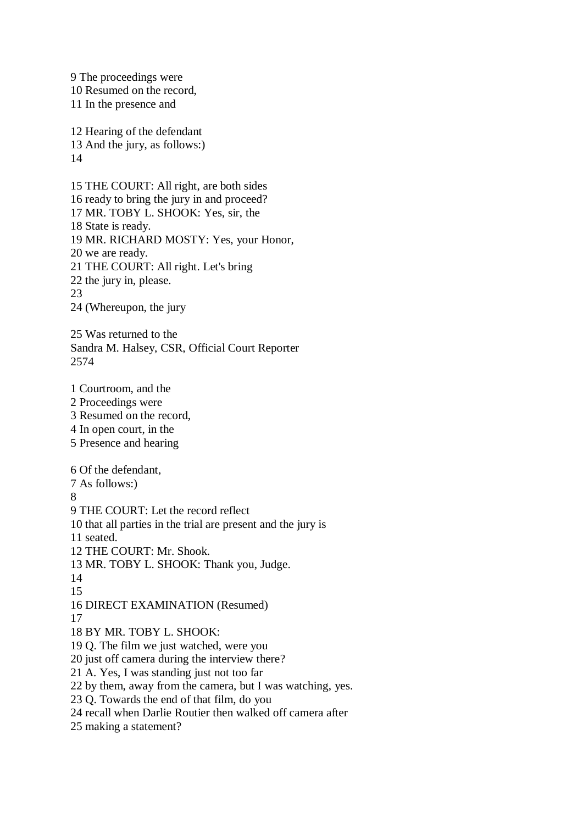9 The proceedings were 10 Resumed on the record, 11 In the presence and 12 Hearing of the defendant 13 And the jury, as follows:) 14 15 THE COURT: All right, are both sides 16 ready to bring the jury in and proceed? 17 MR. TOBY L. SHOOK: Yes, sir, the 18 State is ready. 19 MR. RICHARD MOSTY: Yes, your Honor, 20 we are ready. 21 THE COURT: All right. Let's bring 22 the jury in, please. 23 24 (Whereupon, the jury 25 Was returned to the Sandra M. Halsey, CSR, Official Court Reporter 2574 1 Courtroom, and the 2 Proceedings were 3 Resumed on the record, 4 In open court, in the 5 Presence and hearing 6 Of the defendant, 7 As follows:) 8 9 THE COURT: Let the record reflect 10 that all parties in the trial are present and the jury is 11 seated. 12 THE COURT: Mr. Shook. 13 MR. TOBY L. SHOOK: Thank you, Judge. 14 15 16 DIRECT EXAMINATION (Resumed) 17 18 BY MR. TOBY L. SHOOK: 19 Q. The film we just watched, were you 20 just off camera during the interview there? 21 A. Yes, I was standing just not too far 22 by them, away from the camera, but I was watching, yes. 23 Q. Towards the end of that film, do you 24 recall when Darlie Routier then walked off camera after

25 making a statement?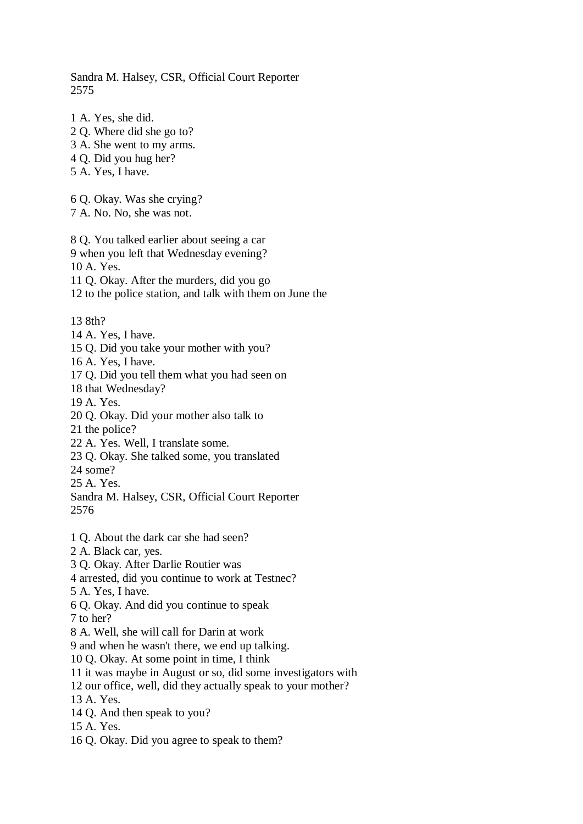Sandra M. Halsey, CSR, Official Court Reporter 2575

1 A. Yes, she did.

2 Q. Where did she go to? 3 A. She went to my arms. 4 Q. Did you hug her? 5 A. Yes, I have. 6 Q. Okay. Was she crying? 7 A. No. No, she was not. 8 Q. You talked earlier about seeing a car 9 when you left that Wednesday evening? 10 A. Yes. 11 Q. Okay. After the murders, did you go 12 to the police station, and talk with them on June the 13 8th? 14 A. Yes, I have. 15 Q. Did you take your mother with you? 16 A. Yes, I have. 17 Q. Did you tell them what you had seen on 18 that Wednesday? 19 A. Yes. 20 Q. Okay. Did your mother also talk to 21 the police? 22 A. Yes. Well, I translate some. 23 Q. Okay. She talked some, you translated 24 some? 25 A. Yes. Sandra M. Halsey, CSR, Official Court Reporter 2576 1 Q. About the dark car she had seen? 2 A. Black car, yes. 3 Q. Okay. After Darlie Routier was 4 arrested, did you continue to work at Testnec? 5 A. Yes, I have. 6 Q. Okay. And did you continue to speak 7 to her? 8 A. Well, she will call for Darin at work 9 and when he wasn't there, we end up talking. 10 Q. Okay. At some point in time, I think 11 it was maybe in August or so, did some investigators with 12 our office, well, did they actually speak to your mother? 13 A. Yes. 14 Q. And then speak to you? 15 A. Yes. 16 Q. Okay. Did you agree to speak to them?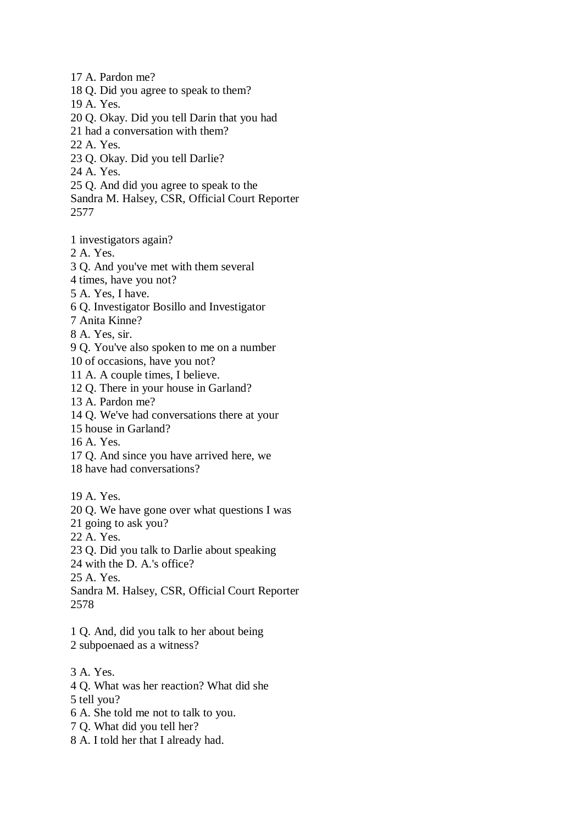17 A. Pardon me? 18 Q. Did you agree to speak to them? 19 A. Yes. 20 Q. Okay. Did you tell Darin that you had 21 had a conversation with them? 22 A. Yes. 23 Q. Okay. Did you tell Darlie? 24 A. Yes. 25 Q. And did you agree to speak to the Sandra M. Halsey, CSR, Official Court Reporter 2577

1 investigators again?

2 A. Yes.

3 Q. And you've met with them several

4 times, have you not?

5 A. Yes, I have.

6 Q. Investigator Bosillo and Investigator

7 Anita Kinne?

8 A. Yes, sir.

9 Q. You've also spoken to me on a number

10 of occasions, have you not?

11 A. A couple times, I believe.

12 Q. There in your house in Garland?

13 A. Pardon me?

14 Q. We've had conversations there at your

15 house in Garland?

16 A. Yes.

17 Q. And since you have arrived here, we

18 have had conversations?

19 A. Yes.

20 Q. We have gone over what questions I was

21 going to ask you?

22 A. Yes.

23 Q. Did you talk to Darlie about speaking

24 with the D. A.'s office?

25 A. Yes.

Sandra M. Halsey, CSR, Official Court Reporter 2578

1 Q. And, did you talk to her about being

2 subpoenaed as a witness?

3 A. Yes.

4 Q. What was her reaction? What did she

5 tell you?

6 A. She told me not to talk to you.

7 Q. What did you tell her?

8 A. I told her that I already had.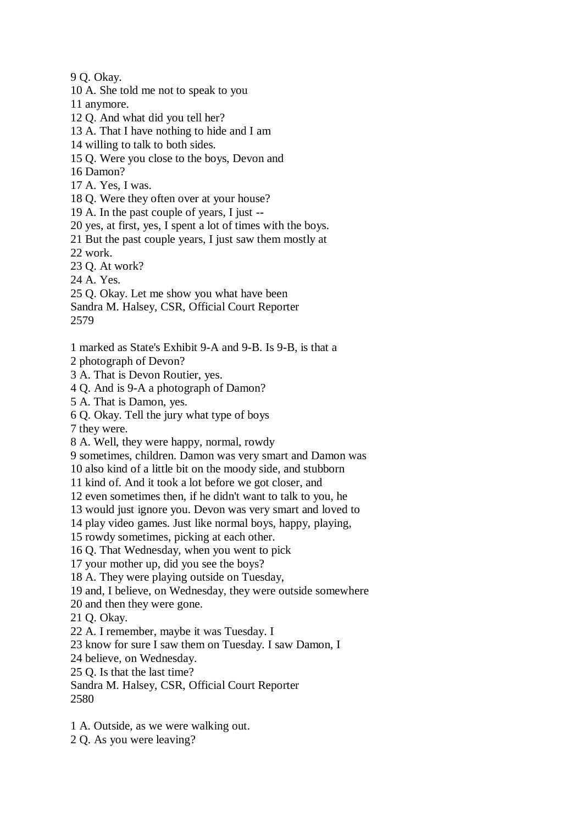9 Q. Okay.

10 A. She told me not to speak to you

11 anymore.

12 Q. And what did you tell her?

13 A. That I have nothing to hide and I am

14 willing to talk to both sides.

15 Q. Were you close to the boys, Devon and

16 Damon?

17 A. Yes, I was.

18 Q. Were they often over at your house?

19 A. In the past couple of years, I just --

20 yes, at first, yes, I spent a lot of times with the boys.

21 But the past couple years, I just saw them mostly at

22 work.

23 Q. At work?

24 A. Yes.

25 Q. Okay. Let me show you what have been

Sandra M. Halsey, CSR, Official Court Reporter

2579

1 marked as State's Exhibit 9-A and 9-B. Is 9-B, is that a

2 photograph of Devon?

3 A. That is Devon Routier, yes.

4 Q. And is 9-A a photograph of Damon?

5 A. That is Damon, yes.

6 Q. Okay. Tell the jury what type of boys

7 they were.

8 A. Well, they were happy, normal, rowdy

9 sometimes, children. Damon was very smart and Damon was

10 also kind of a little bit on the moody side, and stubborn

11 kind of. And it took a lot before we got closer, and

12 even sometimes then, if he didn't want to talk to you, he

13 would just ignore you. Devon was very smart and loved to

14 play video games. Just like normal boys, happy, playing,

15 rowdy sometimes, picking at each other.

16 Q. That Wednesday, when you went to pick

17 your mother up, did you see the boys?

18 A. They were playing outside on Tuesday,

19 and, I believe, on Wednesday, they were outside somewhere

20 and then they were gone.

21 Q. Okay.

22 A. I remember, maybe it was Tuesday. I

23 know for sure I saw them on Tuesday. I saw Damon, I

24 believe, on Wednesday.

25 Q. Is that the last time?

Sandra M. Halsey, CSR, Official Court Reporter 2580

1 A. Outside, as we were walking out.

2 Q. As you were leaving?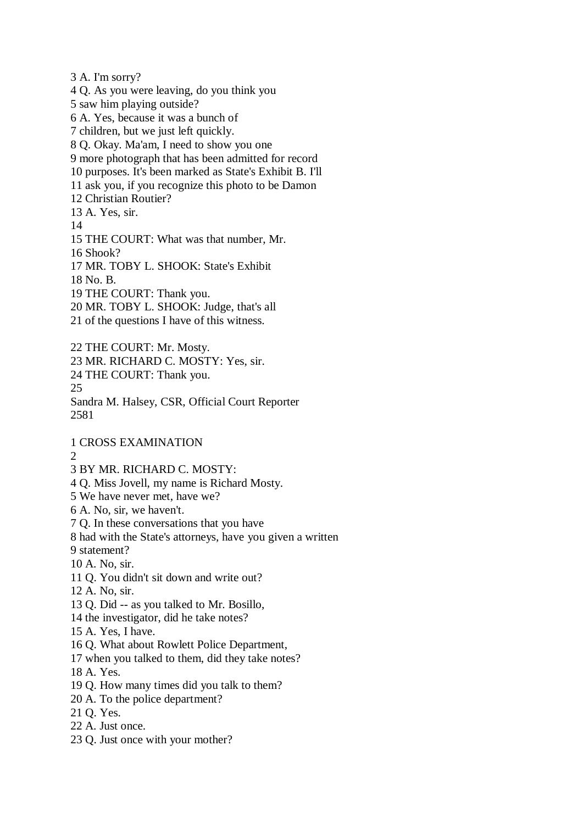3 A. I'm sorry? 4 Q. As you were leaving, do you think you 5 saw him playing outside? 6 A. Yes, because it was a bunch of 7 children, but we just left quickly. 8 Q. Okay. Ma'am, I need to show you one 9 more photograph that has been admitted for record 10 purposes. It's been marked as State's Exhibit B. I'll 11 ask you, if you recognize this photo to be Damon 12 Christian Routier? 13 A. Yes, sir. 14 15 THE COURT: What was that number, Mr. 16 Shook? 17 MR. TOBY L. SHOOK: State's Exhibit 18 No. B. 19 THE COURT: Thank you. 20 MR. TOBY L. SHOOK: Judge, that's all 21 of the questions I have of this witness. 22 THE COURT: Mr. Mosty. 23 MR. RICHARD C. MOSTY: Yes, sir. 24 THE COURT: Thank you. 25 Sandra M. Halsey, CSR, Official Court Reporter 2581 1 CROSS EXAMINATION  $\mathcal{D}$ 3 BY MR. RICHARD C. MOSTY: 4 Q. Miss Jovell, my name is Richard Mosty. 5 We have never met, have we? 6 A. No, sir, we haven't. 7 Q. In these conversations that you have 8 had with the State's attorneys, have you given a written 9 statement? 10 A. No, sir. 11 Q. You didn't sit down and write out? 12 A. No, sir. 13 Q. Did -- as you talked to Mr. Bosillo, 14 the investigator, did he take notes? 15 A. Yes, I have. 16 Q. What about Rowlett Police Department, 17 when you talked to them, did they take notes?

18 A. Yes.

- 19 Q. How many times did you talk to them?
- 20 A. To the police department?

21 Q. Yes.

- 22 A. Just once.
- 23 Q. Just once with your mother?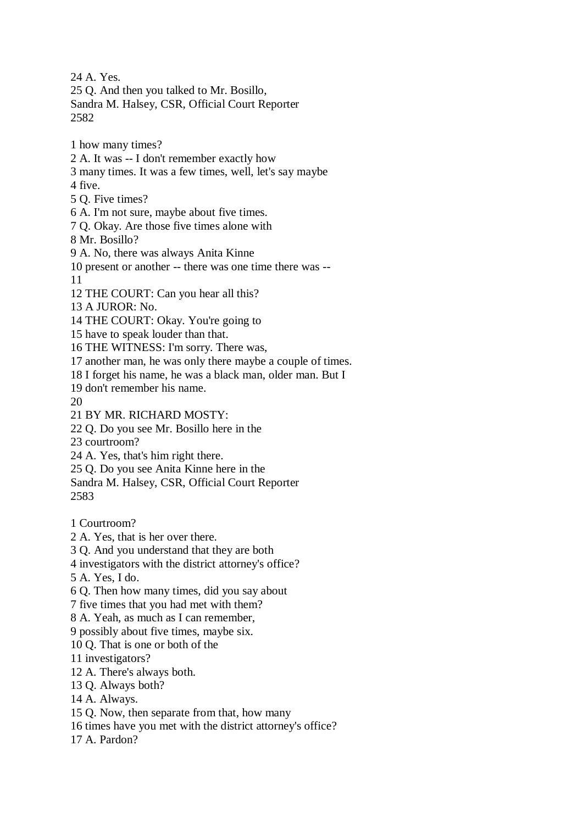24 A. Yes. 25 Q. And then you talked to Mr. Bosillo, Sandra M. Halsey, CSR, Official Court Reporter 2582 1 how many times? 2 A. It was -- I don't remember exactly how 3 many times. It was a few times, well, let's say maybe 4 five. 5 Q. Five times? 6 A. I'm not sure, maybe about five times. 7 Q. Okay. Are those five times alone with 8 Mr. Bosillo? 9 A. No, there was always Anita Kinne 10 present or another -- there was one time there was -- 11 12 THE COURT: Can you hear all this? 13 A JUROR: No. 14 THE COURT: Okay. You're going to 15 have to speak louder than that. 16 THE WITNESS: I'm sorry. There was, 17 another man, he was only there maybe a couple of times. 18 I forget his name, he was a black man, older man. But I 19 don't remember his name. 20 21 BY MR. RICHARD MOSTY: 22 Q. Do you see Mr. Bosillo here in the 23 courtroom? 24 A. Yes, that's him right there. 25 Q. Do you see Anita Kinne here in the Sandra M. Halsey, CSR, Official Court Reporter 2583 1 Courtroom? 2 A. Yes, that is her over there. 3 Q. And you understand that they are both 4 investigators with the district attorney's office? 5 A. Yes, I do. 6 Q. Then how many times, did you say about 7 five times that you had met with them? 8 A. Yeah, as much as I can remember, 9 possibly about five times, maybe six. 10 Q. That is one or both of the 11 investigators? 12 A. There's always both. 13 Q. Always both?

14 A. Always.

15 Q. Now, then separate from that, how many

16 times have you met with the district attorney's office?

17 A. Pardon?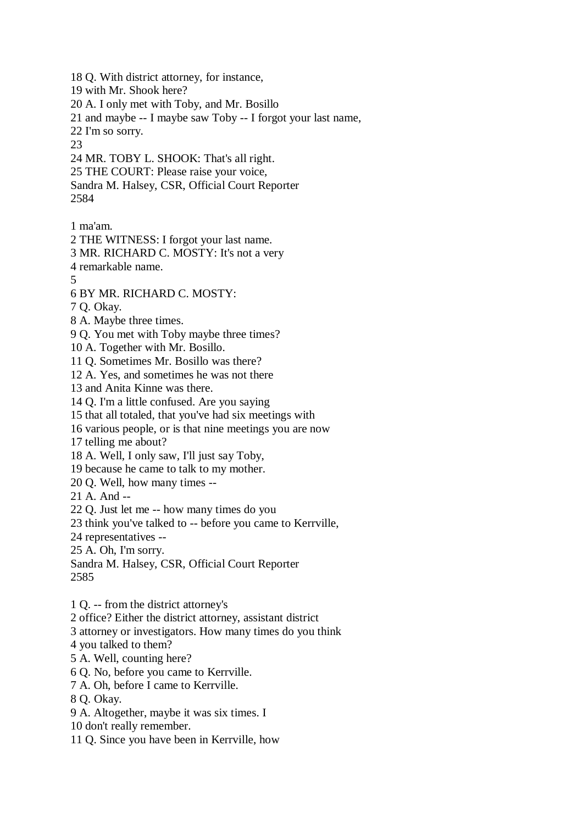18 Q. With district attorney, for instance, 19 with Mr. Shook here? 20 A. I only met with Toby, and Mr. Bosillo 21 and maybe -- I maybe saw Toby -- I forgot your last name, 22 I'm so sorry. 23 24 MR. TOBY L. SHOOK: That's all right. 25 THE COURT: Please raise your voice, Sandra M. Halsey, CSR, Official Court Reporter 2584 1 ma'am. 2 THE WITNESS: I forgot your last name. 3 MR. RICHARD C. MOSTY: It's not a very 4 remarkable name. 5 6 BY MR. RICHARD C. MOSTY: 7 Q. Okay. 8 A. Maybe three times. 9 Q. You met with Toby maybe three times? 10 A. Together with Mr. Bosillo. 11 Q. Sometimes Mr. Bosillo was there? 12 A. Yes, and sometimes he was not there 13 and Anita Kinne was there. 14 Q. I'm a little confused. Are you saying 15 that all totaled, that you've had six meetings with 16 various people, or is that nine meetings you are now 17 telling me about? 18 A. Well, I only saw, I'll just say Toby, 19 because he came to talk to my mother. 20 Q. Well, how many times -- 21 A. And -- 22 Q. Just let me -- how many times do you 23 think you've talked to -- before you came to Kerrville, 24 representatives -- 25 A. Oh, I'm sorry. Sandra M. Halsey, CSR, Official Court Reporter 2585

1 Q. -- from the district attorney's

2 office? Either the district attorney, assistant district

3 attorney or investigators. How many times do you think

4 you talked to them?

5 A. Well, counting here?

6 Q. No, before you came to Kerrville.

7 A. Oh, before I came to Kerrville.

8 Q. Okay.

9 A. Altogether, maybe it was six times. I

10 don't really remember.

11 Q. Since you have been in Kerrville, how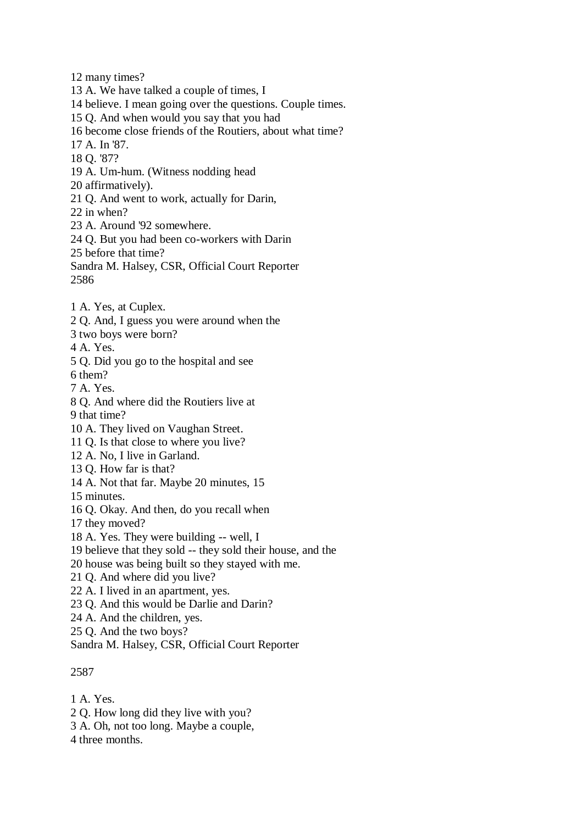12 many times?

13 A. We have talked a couple of times, I

14 believe. I mean going over the questions. Couple times.

15 Q. And when would you say that you had

16 become close friends of the Routiers, about what time?

17 A. In '87.

18 Q. '87?

19 A. Um-hum. (Witness nodding head

20 affirmatively).

21 Q. And went to work, actually for Darin,

22 in when?

23 A. Around '92 somewhere.

24 Q. But you had been co-workers with Darin

25 before that time?

Sandra M. Halsey, CSR, Official Court Reporter 2586

- 1 A. Yes, at Cuplex.
- 2 Q. And, I guess you were around when the
- 3 two boys were born?

4 A. Yes.

5 Q. Did you go to the hospital and see

6 them?

- 7 A. Yes.
- 8 Q. And where did the Routiers live at
- 9 that time?
- 10 A. They lived on Vaughan Street.
- 11 Q. Is that close to where you live?
- 12 A. No, I live in Garland.
- 13 Q. How far is that?
- 14 A. Not that far. Maybe 20 minutes, 15

15 minutes.

- 16 Q. Okay. And then, do you recall when
- 17 they moved?
- 18 A. Yes. They were building -- well, I
- 19 believe that they sold -- they sold their house, and the
- 20 house was being built so they stayed with me.
- 21 Q. And where did you live?
- 22 A. I lived in an apartment, yes.
- 23 Q. And this would be Darlie and Darin?
- 24 A. And the children, yes.
- 25 Q. And the two boys?

Sandra M. Halsey, CSR, Official Court Reporter

## 2587

1 A. Yes.

- 2 Q. How long did they live with you?
- 3 A. Oh, not too long. Maybe a couple,

4 three months.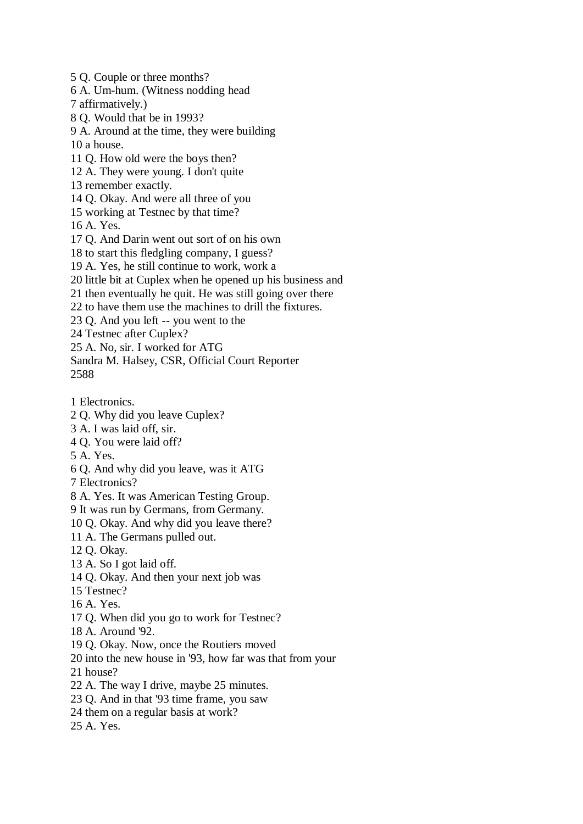5 Q. Couple or three months? 6 A. Um-hum. (Witness nodding head 7 affirmatively.) 8 Q. Would that be in 1993? 9 A. Around at the time, they were building 10 a house. 11 Q. How old were the boys then? 12 A. They were young. I don't quite 13 remember exactly. 14 Q. Okay. And were all three of you 15 working at Testnec by that time? 16 A. Yes. 17 Q. And Darin went out sort of on his own 18 to start this fledgling company, I guess? 19 A. Yes, he still continue to work, work a 20 little bit at Cuplex when he opened up his business and 21 then eventually he quit. He was still going over there 22 to have them use the machines to drill the fixtures. 23 Q. And you left -- you went to the 24 Testnec after Cuplex? 25 A. No, sir. I worked for ATG Sandra M. Halsey, CSR, Official Court Reporter 2588 1 Electronics. 2 Q. Why did you leave Cuplex? 3 A. I was laid off, sir. 4 Q. You were laid off? 5 A. Yes. 6 Q. And why did you leave, was it ATG 7 Electronics? 8 A. Yes. It was American Testing Group. 9 It was run by Germans, from Germany. 10 Q. Okay. And why did you leave there? 11 A. The Germans pulled out. 12 Q. Okay. 13 A. So I got laid off. 14 Q. Okay. And then your next job was 15 Testnec? 16 A. Yes. 17 Q. When did you go to work for Testnec? 18 A. Around '92. 19 Q. Okay. Now, once the Routiers moved 20 into the new house in '93, how far was that from your 21 house? 22 A. The way I drive, maybe 25 minutes. 23 Q. And in that '93 time frame, you saw 24 them on a regular basis at work? 25 A. Yes.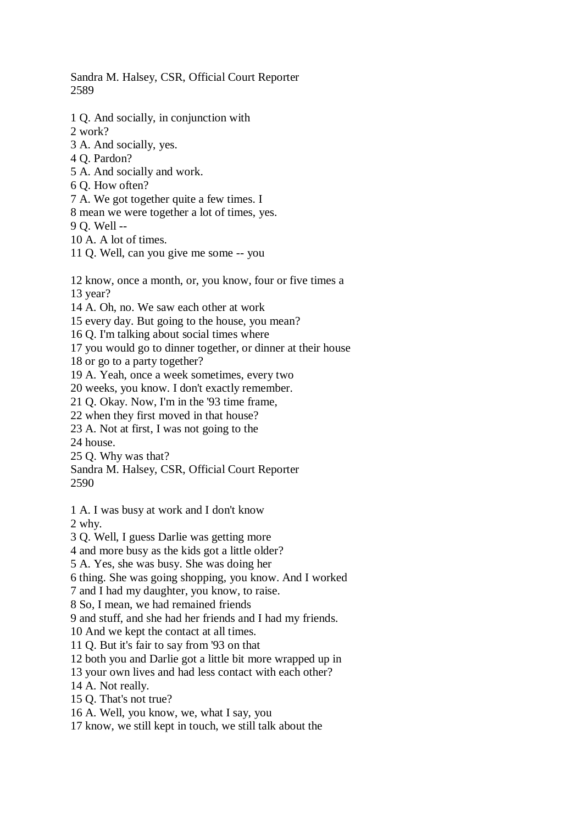Sandra M. Halsey, CSR, Official Court Reporter 2589

1 Q. And socially, in conjunction with

2 work?

- 3 A. And socially, yes.
- 4 Q. Pardon?
- 5 A. And socially and work.

6 Q. How often?

7 A. We got together quite a few times. I

8 mean we were together a lot of times, yes.

9 Q. Well --

10 A. A lot of times.

11 Q. Well, can you give me some -- you

12 know, once a month, or, you know, four or five times a

13 year?

14 A. Oh, no. We saw each other at work

15 every day. But going to the house, you mean?

16 Q. I'm talking about social times where

17 you would go to dinner together, or dinner at their house

18 or go to a party together?

19 A. Yeah, once a week sometimes, every two

20 weeks, you know. I don't exactly remember.

21 Q. Okay. Now, I'm in the '93 time frame,

22 when they first moved in that house?

23 A. Not at first, I was not going to the

24 house.

25 Q. Why was that?

Sandra M. Halsey, CSR, Official Court Reporter 2590

1 A. I was busy at work and I don't know 2 why.

3 Q. Well, I guess Darlie was getting more

4 and more busy as the kids got a little older?

5 A. Yes, she was busy. She was doing her

6 thing. She was going shopping, you know. And I worked

7 and I had my daughter, you know, to raise.

8 So, I mean, we had remained friends

9 and stuff, and she had her friends and I had my friends.

10 And we kept the contact at all times.

11 Q. But it's fair to say from '93 on that

12 both you and Darlie got a little bit more wrapped up in

13 your own lives and had less contact with each other?

14 A. Not really.

15 Q. That's not true?

16 A. Well, you know, we, what I say, you

17 know, we still kept in touch, we still talk about the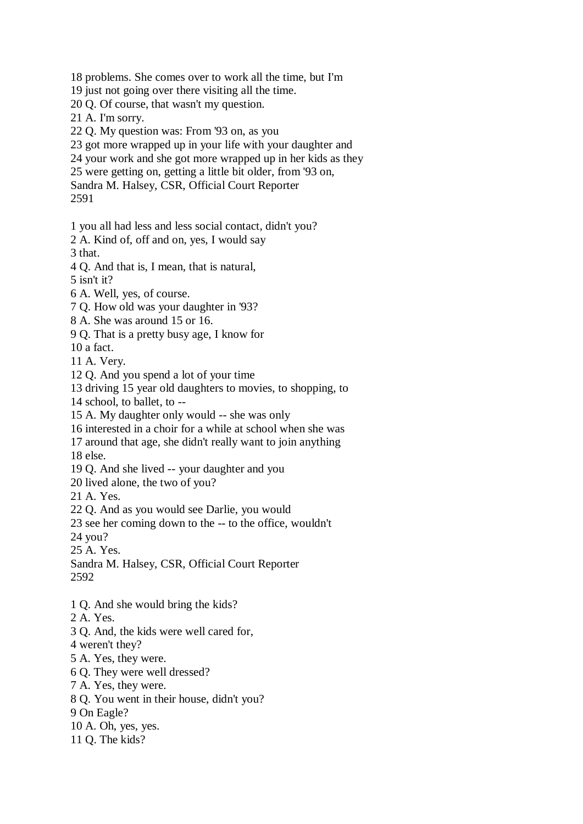18 problems. She comes over to work all the time, but I'm

19 just not going over there visiting all the time.

20 Q. Of course, that wasn't my question.

21 A. I'm sorry.

22 Q. My question was: From '93 on, as you

23 got more wrapped up in your life with your daughter and

24 your work and she got more wrapped up in her kids as they

25 were getting on, getting a little bit older, from '93 on,

Sandra M. Halsey, CSR, Official Court Reporter

2591

1 you all had less and less social contact, didn't you?

2 A. Kind of, off and on, yes, I would say

3 that.

4 Q. And that is, I mean, that is natural,

5 isn't it?

6 A. Well, yes, of course.

7 Q. How old was your daughter in '93?

8 A. She was around 15 or 16.

9 Q. That is a pretty busy age, I know for

10 a fact.

11 A. Very.

12 Q. And you spend a lot of your time

13 driving 15 year old daughters to movies, to shopping, to

14 school, to ballet, to --

15 A. My daughter only would -- she was only

16 interested in a choir for a while at school when she was

17 around that age, she didn't really want to join anything

18 else.

19 Q. And she lived -- your daughter and you

20 lived alone, the two of you?

21 A. Yes.

22 Q. And as you would see Darlie, you would

23 see her coming down to the -- to the office, wouldn't

24 you?

25 A. Yes.

Sandra M. Halsey, CSR, Official Court Reporter 2592

1 Q. And she would bring the kids?

2 A. Yes.

- 3 Q. And, the kids were well cared for,
- 4 weren't they?
- 5 A. Yes, they were.
- 6 Q. They were well dressed?

7 A. Yes, they were.

8 Q. You went in their house, didn't you?

9 On Eagle?

10 A. Oh, yes, yes.

11 Q. The kids?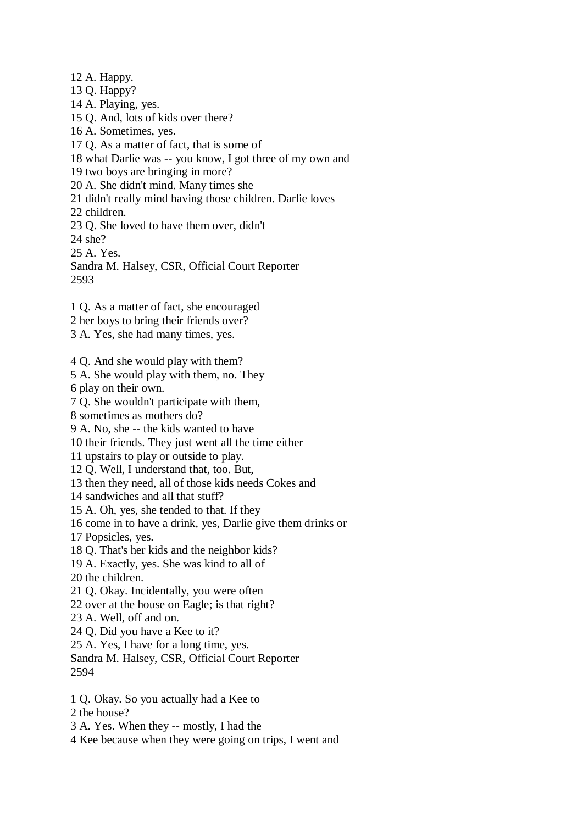12 A. Happy. 13 Q. Happy? 14 A. Playing, yes. 15 Q. And, lots of kids over there? 16 A. Sometimes, yes. 17 Q. As a matter of fact, that is some of 18 what Darlie was -- you know, I got three of my own and 19 two boys are bringing in more? 20 A. She didn't mind. Many times she 21 didn't really mind having those children. Darlie loves 22 children. 23 Q. She loved to have them over, didn't 24 she? 25 A. Yes. Sandra M. Halsey, CSR, Official Court Reporter 2593 1 Q. As a matter of fact, she encouraged 2 her boys to bring their friends over? 3 A. Yes, she had many times, yes. 4 Q. And she would play with them? 5 A. She would play with them, no. They 6 play on their own. 7 Q. She wouldn't participate with them, 8 sometimes as mothers do? 9 A. No, she -- the kids wanted to have 10 their friends. They just went all the time either 11 upstairs to play or outside to play. 12 Q. Well, I understand that, too. But, 13 then they need, all of those kids needs Cokes and 14 sandwiches and all that stuff? 15 A. Oh, yes, she tended to that. If they 16 come in to have a drink, yes, Darlie give them drinks or 17 Popsicles, yes. 18 Q. That's her kids and the neighbor kids? 19 A. Exactly, yes. She was kind to all of 20 the children. 21 Q. Okay. Incidentally, you were often 22 over at the house on Eagle; is that right? 23 A. Well, off and on. 24 Q. Did you have a Kee to it? 25 A. Yes, I have for a long time, yes. Sandra M. Halsey, CSR, Official Court Reporter 2594 1 Q. Okay. So you actually had a Kee to 2 the house?

3 A. Yes. When they -- mostly, I had the

4 Kee because when they were going on trips, I went and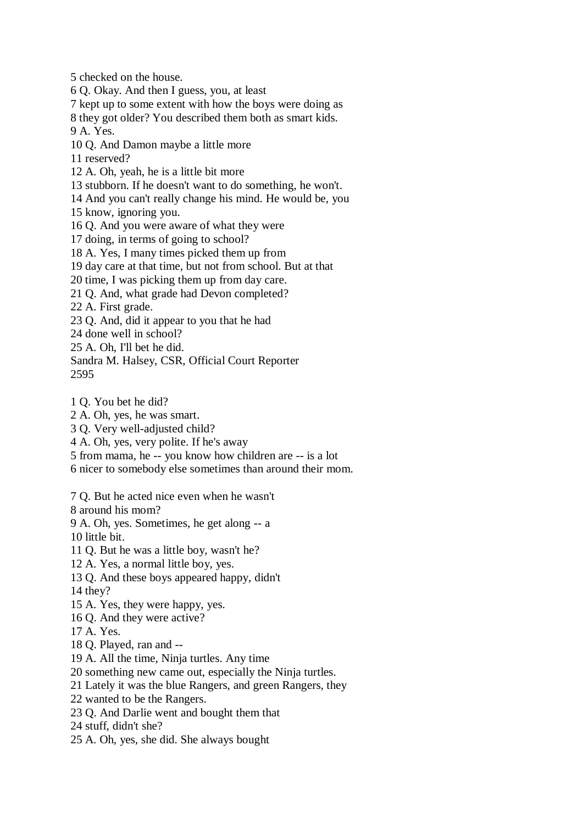5 checked on the house.

6 Q. Okay. And then I guess, you, at least

7 kept up to some extent with how the boys were doing as

8 they got older? You described them both as smart kids.

9 A. Yes.

10 Q. And Damon maybe a little more

11 reserved?

12 A. Oh, yeah, he is a little bit more

13 stubborn. If he doesn't want to do something, he won't.

14 And you can't really change his mind. He would be, you

15 know, ignoring you.

16 Q. And you were aware of what they were

17 doing, in terms of going to school?

18 A. Yes, I many times picked them up from

19 day care at that time, but not from school. But at that

20 time, I was picking them up from day care.

21 Q. And, what grade had Devon completed?

22 A. First grade.

23 Q. And, did it appear to you that he had

24 done well in school?

25 A. Oh, I'll bet he did.

Sandra M. Halsey, CSR, Official Court Reporter 2595

1 Q. You bet he did?

2 A. Oh, yes, he was smart.

3 Q. Very well-adjusted child?

4 A. Oh, yes, very polite. If he's away

5 from mama, he -- you know how children are -- is a lot

6 nicer to somebody else sometimes than around their mom.

7 Q. But he acted nice even when he wasn't

8 around his mom?

9 A. Oh, yes. Sometimes, he get along -- a

10 little bit.

11 Q. But he was a little boy, wasn't he?

12 A. Yes, a normal little boy, yes.

13 Q. And these boys appeared happy, didn't

14 they?

15 A. Yes, they were happy, yes.

16 Q. And they were active?

17 A. Yes.

18 Q. Played, ran and --

19 A. All the time, Ninja turtles. Any time

20 something new came out, especially the Ninja turtles.

21 Lately it was the blue Rangers, and green Rangers, they

22 wanted to be the Rangers.

23 Q. And Darlie went and bought them that

24 stuff, didn't she?

25 A. Oh, yes, she did. She always bought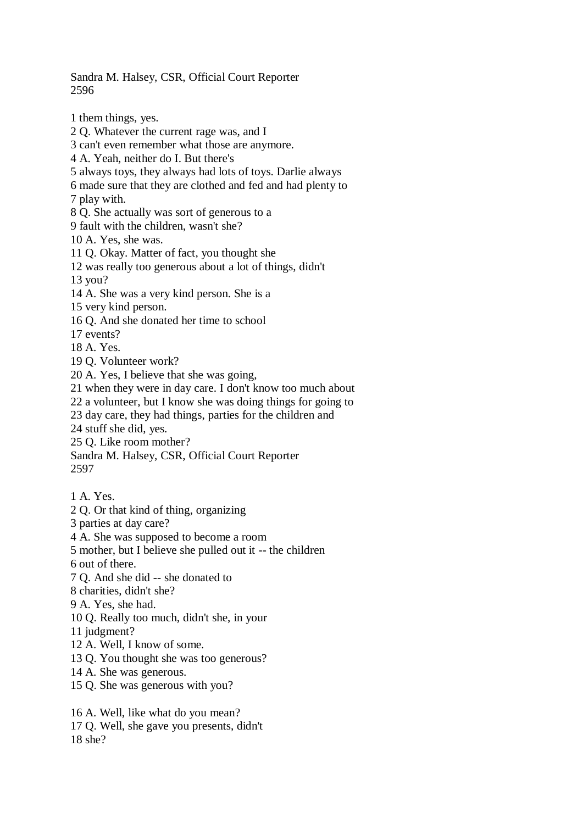Sandra M. Halsey, CSR, Official Court Reporter 2596

1 them things, yes.

2 Q. Whatever the current rage was, and I

3 can't even remember what those are anymore.

4 A. Yeah, neither do I. But there's

5 always toys, they always had lots of toys. Darlie always

6 made sure that they are clothed and fed and had plenty to

7 play with.

8 Q. She actually was sort of generous to a

9 fault with the children, wasn't she?

10 A. Yes, she was.

11 Q. Okay. Matter of fact, you thought she

12 was really too generous about a lot of things, didn't

13 you?

14 A. She was a very kind person. She is a

15 very kind person.

16 Q. And she donated her time to school

17 events?

18 A. Yes.

19 Q. Volunteer work?

20 A. Yes, I believe that she was going,

21 when they were in day care. I don't know too much about

22 a volunteer, but I know she was doing things for going to

23 day care, they had things, parties for the children and

24 stuff she did, yes.

25 Q. Like room mother?

Sandra M. Halsey, CSR, Official Court Reporter 2597

1 A. Yes.

2 Q. Or that kind of thing, organizing

3 parties at day care?

4 A. She was supposed to become a room

5 mother, but I believe she pulled out it -- the children

6 out of there.

7 Q. And she did -- she donated to

8 charities, didn't she?

9 A. Yes, she had.

10 Q. Really too much, didn't she, in your

11 judgment?

12 A. Well, I know of some.

13 Q. You thought she was too generous?

- 14 A. She was generous.
- 15 Q. She was generous with you?

16 A. Well, like what do you mean? 17 Q. Well, she gave you presents, didn't 18 she?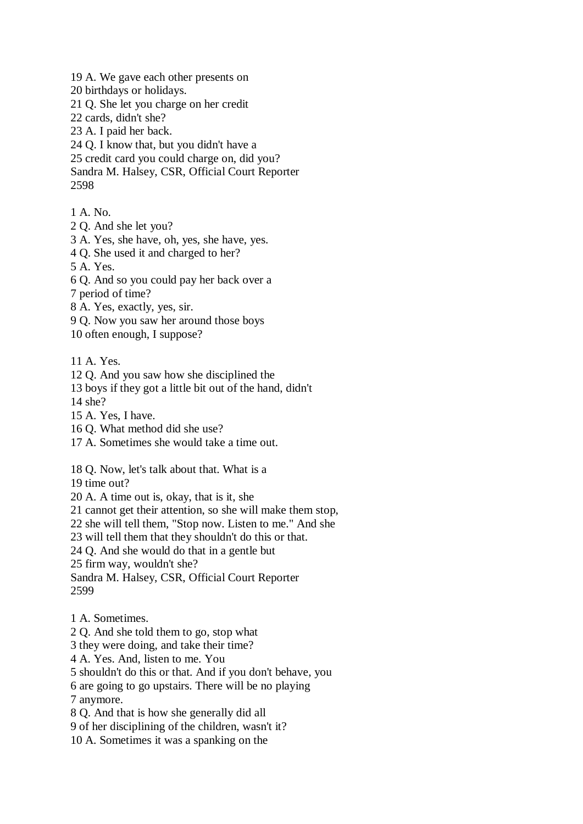19 A. We gave each other presents on

20 birthdays or holidays.

21 Q. She let you charge on her credit

22 cards, didn't she?

23 A. I paid her back.

24 Q. I know that, but you didn't have a

25 credit card you could charge on, did you?

Sandra M. Halsey, CSR, Official Court Reporter 2598

1 A. No.

2 Q. And she let you?

3 A. Yes, she have, oh, yes, she have, yes.

4 Q. She used it and charged to her?

5 A. Yes.

6 Q. And so you could pay her back over a

7 period of time?

8 A. Yes, exactly, yes, sir.

9 Q. Now you saw her around those boys

10 often enough, I suppose?

11 A. Yes.

12 Q. And you saw how she disciplined the

13 boys if they got a little bit out of the hand, didn't

14 she?

15 A. Yes, I have.

16 Q. What method did she use?

17 A. Sometimes she would take a time out.

18 Q. Now, let's talk about that. What is a

19 time out?

20 A. A time out is, okay, that is it, she

21 cannot get their attention, so she will make them stop,

22 she will tell them, "Stop now. Listen to me." And she

23 will tell them that they shouldn't do this or that.

24 Q. And she would do that in a gentle but

25 firm way, wouldn't she?

Sandra M. Halsey, CSR, Official Court Reporter 2599

1 A. Sometimes.

2 Q. And she told them to go, stop what

3 they were doing, and take their time?

4 A. Yes. And, listen to me. You

5 shouldn't do this or that. And if you don't behave, you

6 are going to go upstairs. There will be no playing

7 anymore.

8 Q. And that is how she generally did all

9 of her disciplining of the children, wasn't it?

10 A. Sometimes it was a spanking on the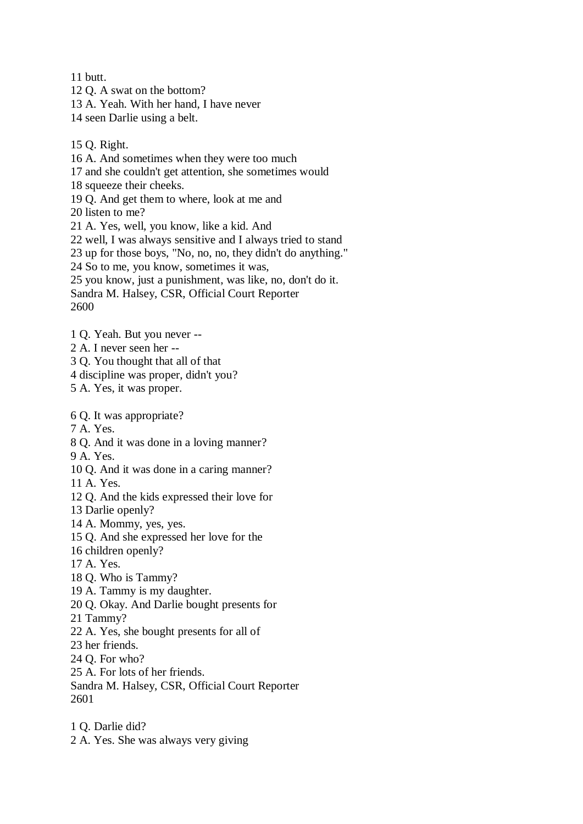11 butt. 12 Q. A swat on the bottom?

13 A. Yeah. With her hand, I have never

14 seen Darlie using a belt.

15 Q. Right.

16 A. And sometimes when they were too much 17 and she couldn't get attention, she sometimes would 18 squeeze their cheeks. 19 Q. And get them to where, look at me and 20 listen to me? 21 A. Yes, well, you know, like a kid. And 22 well, I was always sensitive and I always tried to stand 23 up for those boys, "No, no, no, they didn't do anything." 24 So to me, you know, sometimes it was, 25 you know, just a punishment, was like, no, don't do it. Sandra M. Halsey, CSR, Official Court Reporter

2600

1 Q. Yeah. But you never --

- 2 A. I never seen her --
- 3 Q. You thought that all of that
- 4 discipline was proper, didn't you?

5 A. Yes, it was proper.

6 Q. It was appropriate?

7 A. Yes.

8 Q. And it was done in a loving manner?

9 A. Yes.

10 Q. And it was done in a caring manner?

11 A. Yes.

12 Q. And the kids expressed their love for

- 13 Darlie openly?
- 14 A. Mommy, yes, yes.
- 15 Q. And she expressed her love for the
- 16 children openly?

17 A. Yes.

- 18 Q. Who is Tammy?
- 19 A. Tammy is my daughter.
- 20 Q. Okay. And Darlie bought presents for
- 21 Tammy?
- 22 A. Yes, she bought presents for all of
- 23 her friends.
- 24 Q. For who?
- 25 A. For lots of her friends.
- Sandra M. Halsey, CSR, Official Court Reporter 2601
- 1 Q. Darlie did?

2 A. Yes. She was always very giving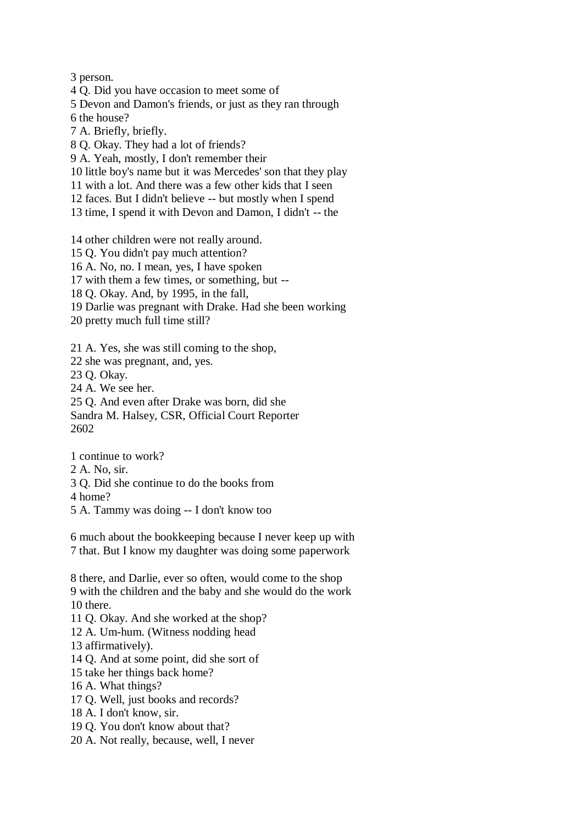3 person.

4 Q. Did you have occasion to meet some of

5 Devon and Damon's friends, or just as they ran through

6 the house?

7 A. Briefly, briefly.

8 Q. Okay. They had a lot of friends?

9 A. Yeah, mostly, I don't remember their

10 little boy's name but it was Mercedes' son that they play

11 with a lot. And there was a few other kids that I seen

12 faces. But I didn't believe -- but mostly when I spend

13 time, I spend it with Devon and Damon, I didn't -- the

14 other children were not really around.

15 Q. You didn't pay much attention?

16 A. No, no. I mean, yes, I have spoken

17 with them a few times, or something, but --

18 Q. Okay. And, by 1995, in the fall,

19 Darlie was pregnant with Drake. Had she been working

20 pretty much full time still?

21 A. Yes, she was still coming to the shop,

22 she was pregnant, and, yes.

23 Q. Okay.

24 A. We see her.

25 Q. And even after Drake was born, did she Sandra M. Halsey, CSR, Official Court Reporter 2602

1 continue to work?

2 A. No, sir.

3 Q. Did she continue to do the books from

4 home?

5 A. Tammy was doing -- I don't know too

6 much about the bookkeeping because I never keep up with 7 that. But I know my daughter was doing some paperwork

8 there, and Darlie, ever so often, would come to the shop 9 with the children and the baby and she would do the work 10 there.

11 Q. Okay. And she worked at the shop?

12 A. Um-hum. (Witness nodding head

13 affirmatively).

14 Q. And at some point, did she sort of

15 take her things back home?

16 A. What things?

17 Q. Well, just books and records?

18 A. I don't know, sir.

19 Q. You don't know about that?

20 A. Not really, because, well, I never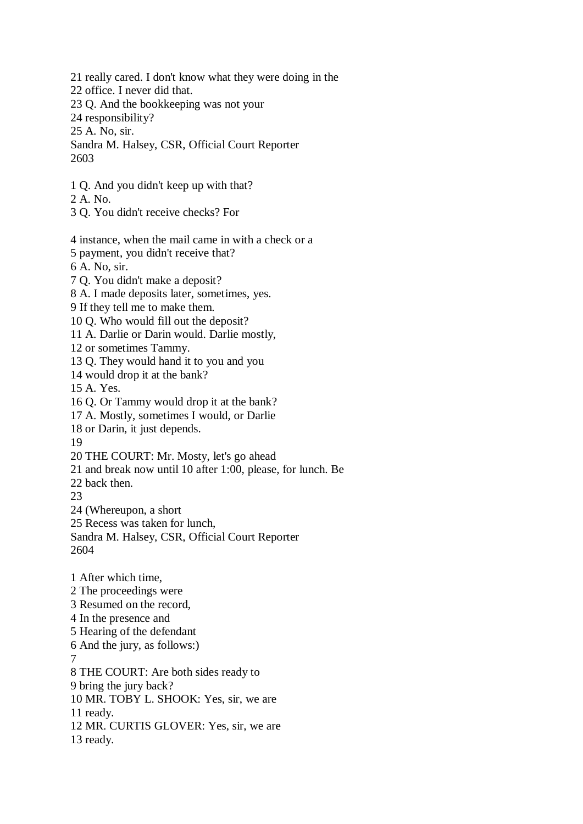21 really cared. I don't know what they were doing in the 22 office. I never did that. 23 Q. And the bookkeeping was not your 24 responsibility? 25 A. No, sir. Sandra M. Halsey, CSR, Official Court Reporter 2603 1 Q. And you didn't keep up with that? 2 A. No. 3 Q. You didn't receive checks? For 4 instance, when the mail came in with a check or a 5 payment, you didn't receive that? 6 A. No, sir. 7 Q. You didn't make a deposit? 8 A. I made deposits later, sometimes, yes. 9 If they tell me to make them. 10 Q. Who would fill out the deposit? 11 A. Darlie or Darin would. Darlie mostly, 12 or sometimes Tammy. 13 Q. They would hand it to you and you 14 would drop it at the bank? 15 A. Yes. 16 Q. Or Tammy would drop it at the bank? 17 A. Mostly, sometimes I would, or Darlie 18 or Darin, it just depends. 19 20 THE COURT: Mr. Mosty, let's go ahead 21 and break now until 10 after 1:00, please, for lunch. Be 22 back then. 23 24 (Whereupon, a short 25 Recess was taken for lunch, Sandra M. Halsey, CSR, Official Court Reporter 2604 1 After which time, 2 The proceedings were 3 Resumed on the record, 4 In the presence and 5 Hearing of the defendant 6 And the jury, as follows:) 7 8 THE COURT: Are both sides ready to 9 bring the jury back? 10 MR. TOBY L. SHOOK: Yes, sir, we are 11 ready. 12 MR. CURTIS GLOVER: Yes, sir, we are 13 ready.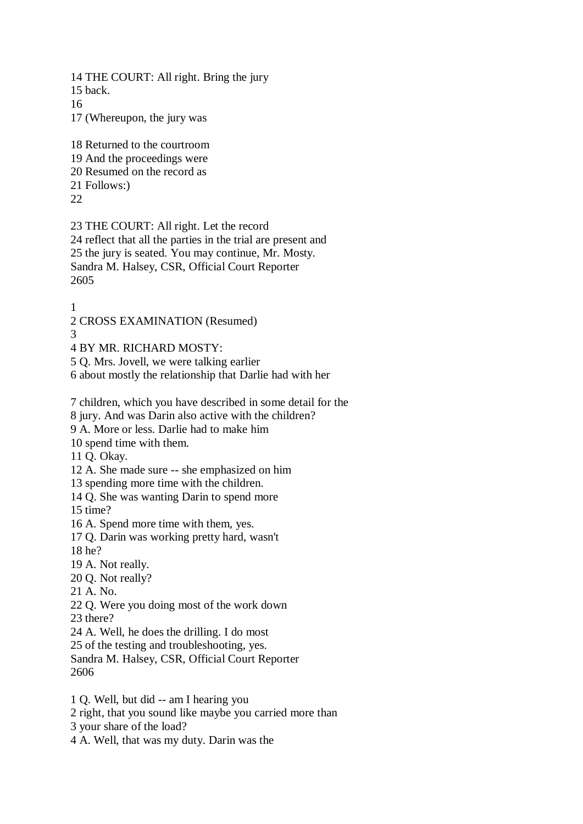14 THE COURT: All right. Bring the jury

15 back.

16

17 (Whereupon, the jury was

18 Returned to the courtroom 19 And the proceedings were 20 Resumed on the record as 21 Follows:) 22

23 THE COURT: All right. Let the record 24 reflect that all the parties in the trial are present and 25 the jury is seated. You may continue, Mr. Mosty. Sandra M. Halsey, CSR, Official Court Reporter 2605

1

2 CROSS EXAMINATION (Resumed)

3

4 BY MR. RICHARD MOSTY:

5 Q. Mrs. Jovell, we were talking earlier

6 about mostly the relationship that Darlie had with her

7 children, which you have described in some detail for the

8 jury. And was Darin also active with the children?

9 A. More or less. Darlie had to make him

10 spend time with them.

11 Q. Okay.

12 A. She made sure -- she emphasized on him

13 spending more time with the children.

14 Q. She was wanting Darin to spend more

15 time?

16 A. Spend more time with them, yes.

17 Q. Darin was working pretty hard, wasn't

18 he?

19 A. Not really.

20 Q. Not really?

21 A. No.

22 Q. Were you doing most of the work down

23 there?

24 A. Well, he does the drilling. I do most

25 of the testing and troubleshooting, yes.

Sandra M. Halsey, CSR, Official Court Reporter 2606

1 Q. Well, but did -- am I hearing you

2 right, that you sound like maybe you carried more than

3 your share of the load?

4 A. Well, that was my duty. Darin was the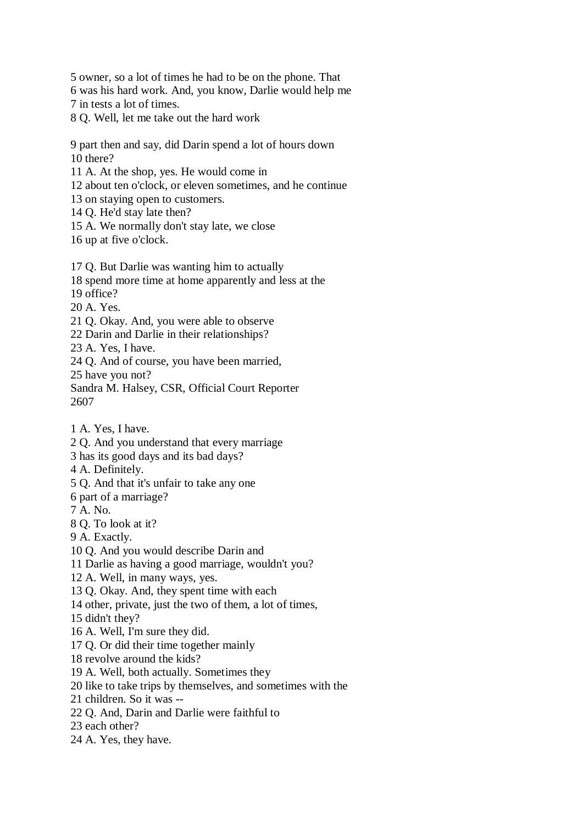5 owner, so a lot of times he had to be on the phone. That

6 was his hard work. And, you know, Darlie would help me

7 in tests a lot of times.

8 Q. Well, let me take out the hard work

9 part then and say, did Darin spend a lot of hours down 10 there?

11 A. At the shop, yes. He would come in

12 about ten o'clock, or eleven sometimes, and he continue

13 on staying open to customers.

14 Q. He'd stay late then?

15 A. We normally don't stay late, we close

16 up at five o'clock.

17 Q. But Darlie was wanting him to actually

18 spend more time at home apparently and less at the

19 office?

20 A. Yes.

21 Q. Okay. And, you were able to observe

22 Darin and Darlie in their relationships?

23 A. Yes, I have.

24 Q. And of course, you have been married,

25 have you not?

Sandra M. Halsey, CSR, Official Court Reporter 2607

1 A. Yes, I have.

2 Q. And you understand that every marriage

3 has its good days and its bad days?

4 A. Definitely.

5 Q. And that it's unfair to take any one

6 part of a marriage?

7 A. No.

8 Q. To look at it?

9 A. Exactly.

10 Q. And you would describe Darin and

11 Darlie as having a good marriage, wouldn't you?

12 A. Well, in many ways, yes.

13 Q. Okay. And, they spent time with each

14 other, private, just the two of them, a lot of times,

15 didn't they?

16 A. Well, I'm sure they did.

17 Q. Or did their time together mainly

18 revolve around the kids?

19 A. Well, both actually. Sometimes they

20 like to take trips by themselves, and sometimes with the

21 children. So it was --

22 Q. And, Darin and Darlie were faithful to

23 each other?

24 A. Yes, they have.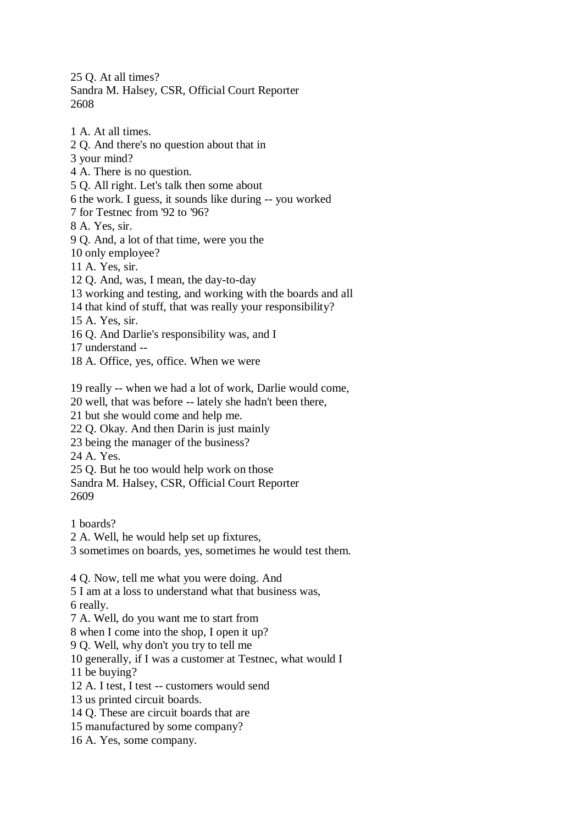25 Q. At all times? Sandra M. Halsey, CSR, Official Court Reporter 2608

1 A. At all times. 2 Q. And there's no question about that in 3 your mind? 4 A. There is no question. 5 Q. All right. Let's talk then some about 6 the work. I guess, it sounds like during -- you worked 7 for Testnec from '92 to '96? 8 A. Yes, sir. 9 Q. And, a lot of that time, were you the 10 only employee? 11 A. Yes, sir. 12 Q. And, was, I mean, the day-to-day 13 working and testing, and working with the boards and all 14 that kind of stuff, that was really your responsibility? 15 A. Yes, sir. 16 Q. And Darlie's responsibility was, and I 17 understand -- 18 A. Office, yes, office. When we were 19 really -- when we had a lot of work, Darlie would come, 20 well, that was before -- lately she hadn't been there, 21 but she would come and help me. 22 Q. Okay. And then Darin is just mainly 23 being the manager of the business? 24 A. Yes. 25 Q. But he too would help work on those Sandra M. Halsey, CSR, Official Court Reporter 2609 1 boards? 2 A. Well, he would help set up fixtures, 3 sometimes on boards, yes, sometimes he would test them. 4 Q. Now, tell me what you were doing. And 5 I am at a loss to understand what that business was, 6 really. 7 A. Well, do you want me to start from 8 when I come into the shop, I open it up? 9 Q. Well, why don't you try to tell me 10 generally, if I was a customer at Testnec, what would I 11 be buying? 12 A. I test, I test -- customers would send 13 us printed circuit boards. 14 Q. These are circuit boards that are 15 manufactured by some company? 16 A. Yes, some company.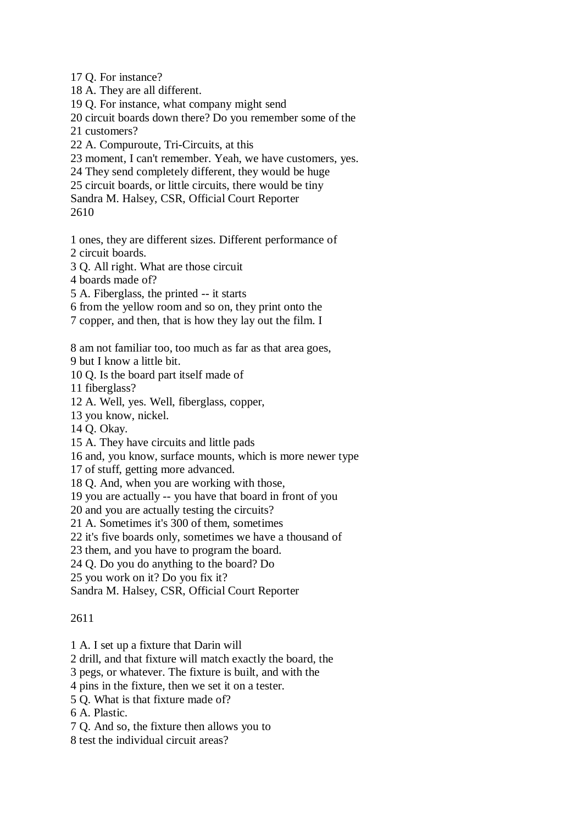17 Q. For instance?

18 A. They are all different.

19 Q. For instance, what company might send

20 circuit boards down there? Do you remember some of the

21 customers?

22 A. Compuroute, Tri-Circuits, at this

23 moment, I can't remember. Yeah, we have customers, yes.

24 They send completely different, they would be huge

25 circuit boards, or little circuits, there would be tiny

Sandra M. Halsey, CSR, Official Court Reporter

2610

1 ones, they are different sizes. Different performance of 2 circuit boards.

3 Q. All right. What are those circuit

4 boards made of?

5 A. Fiberglass, the printed -- it starts

6 from the yellow room and so on, they print onto the

7 copper, and then, that is how they lay out the film. I

8 am not familiar too, too much as far as that area goes, 9 but I know a little bit.

10 Q. Is the board part itself made of

11 fiberglass?

12 A. Well, yes. Well, fiberglass, copper,

13 you know, nickel.

14 Q. Okay.

15 A. They have circuits and little pads

16 and, you know, surface mounts, which is more newer type

17 of stuff, getting more advanced.

18 Q. And, when you are working with those,

19 you are actually -- you have that board in front of you

20 and you are actually testing the circuits?

21 A. Sometimes it's 300 of them, sometimes

22 it's five boards only, sometimes we have a thousand of

23 them, and you have to program the board.

24 Q. Do you do anything to the board? Do

25 you work on it? Do you fix it?

Sandra M. Halsey, CSR, Official Court Reporter

## 2611

1 A. I set up a fixture that Darin will

2 drill, and that fixture will match exactly the board, the

3 pegs, or whatever. The fixture is built, and with the

4 pins in the fixture, then we set it on a tester.

5 Q. What is that fixture made of?

6 A. Plastic.

7 Q. And so, the fixture then allows you to

8 test the individual circuit areas?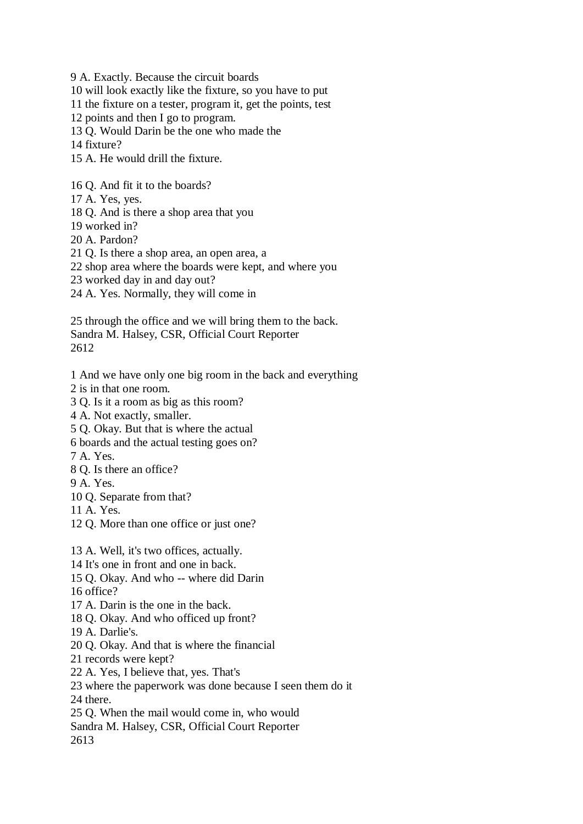9 A. Exactly. Because the circuit boards

10 will look exactly like the fixture, so you have to put

11 the fixture on a tester, program it, get the points, test

12 points and then I go to program.

13 Q. Would Darin be the one who made the

14 fixture?

15 A. He would drill the fixture.

16 Q. And fit it to the boards?

- 17 A. Yes, yes.
- 18 Q. And is there a shop area that you
- 19 worked in?
- 20 A. Pardon?
- 21 Q. Is there a shop area, an open area, a
- 22 shop area where the boards were kept, and where you
- 23 worked day in and day out?
- 24 A. Yes. Normally, they will come in

25 through the office and we will bring them to the back. Sandra M. Halsey, CSR, Official Court Reporter 2612

1 And we have only one big room in the back and everything

- 2 is in that one room.
- 3 Q. Is it a room as big as this room?
- 4 A. Not exactly, smaller.
- 5 Q. Okay. But that is where the actual
- 6 boards and the actual testing goes on?

7 A. Yes.

- 8 Q. Is there an office?
- 9 A. Yes.
- 10 Q. Separate from that?

11 A. Yes.

12 Q. More than one office or just one?

13 A. Well, it's two offices, actually.

- 14 It's one in front and one in back.
- 15 Q. Okay. And who -- where did Darin

16 office?

- 17 A. Darin is the one in the back.
- 18 Q. Okay. And who officed up front?
- 19 A. Darlie's.
- 20 Q. Okay. And that is where the financial
- 21 records were kept?
- 22 A. Yes, I believe that, yes. That's
- 23 where the paperwork was done because I seen them do it 24 there.
- 25 Q. When the mail would come in, who would
- Sandra M. Halsey, CSR, Official Court Reporter 2613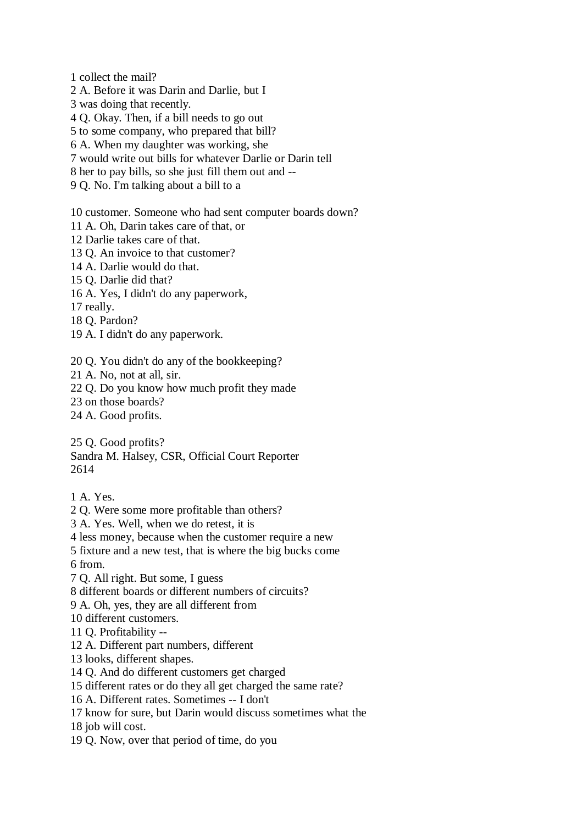1 collect the mail?

2 A. Before it was Darin and Darlie, but I

3 was doing that recently.

4 Q. Okay. Then, if a bill needs to go out

5 to some company, who prepared that bill?

6 A. When my daughter was working, she

7 would write out bills for whatever Darlie or Darin tell

8 her to pay bills, so she just fill them out and --

9 Q. No. I'm talking about a bill to a

10 customer. Someone who had sent computer boards down?

11 A. Oh, Darin takes care of that, or

12 Darlie takes care of that.

13 Q. An invoice to that customer?

14 A. Darlie would do that.

15 Q. Darlie did that?

16 A. Yes, I didn't do any paperwork,

17 really.

18 Q. Pardon?

19 A. I didn't do any paperwork.

20 Q. You didn't do any of the bookkeeping?

21 A. No, not at all, sir.

22 Q. Do you know how much profit they made

23 on those boards?

24 A. Good profits.

25 Q. Good profits?

Sandra M. Halsey, CSR, Official Court Reporter 2614

1 A. Yes.

2 Q. Were some more profitable than others?

3 A. Yes. Well, when we do retest, it is

4 less money, because when the customer require a new

5 fixture and a new test, that is where the big bucks come

6 from.

7 Q. All right. But some, I guess

8 different boards or different numbers of circuits?

9 A. Oh, yes, they are all different from

10 different customers.

11 Q. Profitability --

12 A. Different part numbers, different

13 looks, different shapes.

14 Q. And do different customers get charged

15 different rates or do they all get charged the same rate?

16 A. Different rates. Sometimes -- I don't

17 know for sure, but Darin would discuss sometimes what the

18 job will cost.

19 Q. Now, over that period of time, do you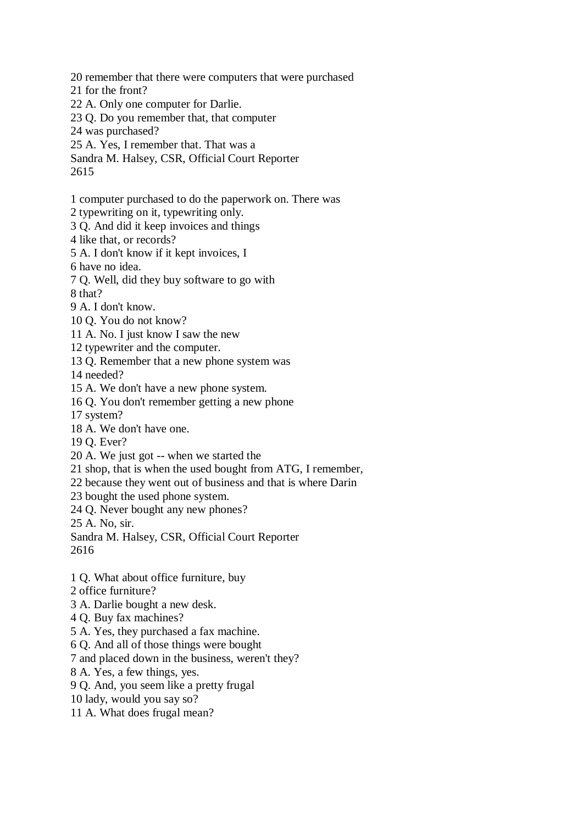- 20 remember that there were computers that were purchased
- 21 for the front?
- 22 A. Only one computer for Darlie.
- 23 Q. Do you remember that, that computer
- 24 was purchased?
- 25 A. Yes, I remember that. That was a
- Sandra M. Halsey, CSR, Official Court Reporter

2615

- 1 computer purchased to do the paperwork on. There was
- 2 typewriting on it, typewriting only.
- 3 Q. And did it keep invoices and things
- 4 like that, or records?
- 5 A. I don't know if it kept invoices, I
- 6 have no idea.
- 7 Q. Well, did they buy software to go with
- 8 that?
- 9 A. I don't know.
- 10 Q. You do not know?
- 11 A. No. I just know I saw the new
- 12 typewriter and the computer.
- 13 Q. Remember that a new phone system was
- 14 needed?
- 15 A. We don't have a new phone system.
- 16 Q. You don't remember getting a new phone
- 17 system?
- 18 A. We don't have one.
- 19 Q. Ever?
- 20 A. We just got -- when we started the
- 21 shop, that is when the used bought from ATG, I remember,
- 22 because they went out of business and that is where Darin
- 23 bought the used phone system.
- 24 Q. Never bought any new phones?
- 25 A. No, sir.
- Sandra M. Halsey, CSR, Official Court Reporter 2616
- 1 Q. What about office furniture, buy
- 2 office furniture?
- 3 A. Darlie bought a new desk.
- 4 Q. Buy fax machines?
- 5 A. Yes, they purchased a fax machine.
- 6 Q. And all of those things were bought
- 7 and placed down in the business, weren't they?
- 8 A. Yes, a few things, yes.
- 9 Q. And, you seem like a pretty frugal
- 10 lady, would you say so?
- 11 A. What does frugal mean?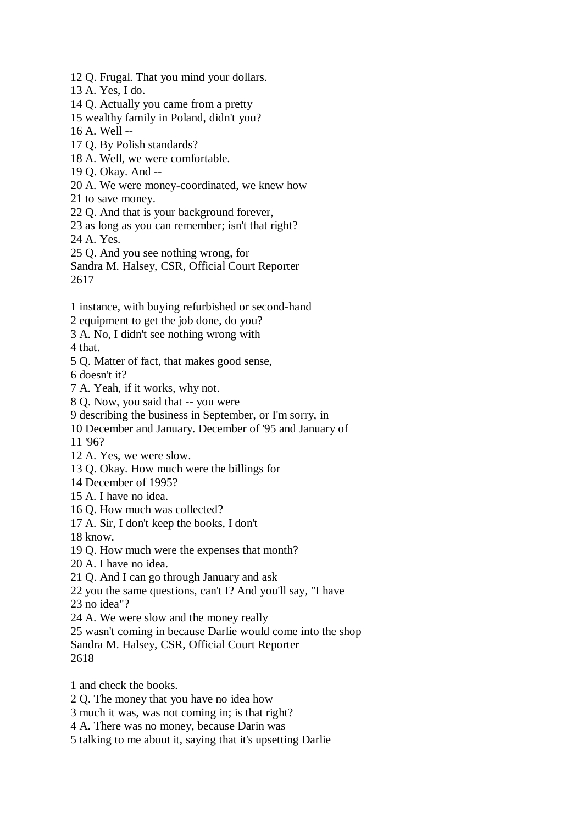- 12 Q. Frugal. That you mind your dollars.
- 13 A. Yes, I do.
- 14 Q. Actually you came from a pretty
- 15 wealthy family in Poland, didn't you?
- 16 A. Well --
- 17 Q. By Polish standards?
- 18 A. Well, we were comfortable.
- 19 Q. Okay. And --
- 20 A. We were money-coordinated, we knew how
- 21 to save money.
- 22 Q. And that is your background forever,
- 23 as long as you can remember; isn't that right? 24 A. Yes.
- 25 Q. And you see nothing wrong, for
- Sandra M. Halsey, CSR, Official Court Reporter 2617
- 1 instance, with buying refurbished or second-hand
- 2 equipment to get the job done, do you?
- 3 A. No, I didn't see nothing wrong with

4 that.

5 Q. Matter of fact, that makes good sense,

6 doesn't it?

- 7 A. Yeah, if it works, why not.
- 8 Q. Now, you said that -- you were
- 9 describing the business in September, or I'm sorry, in
- 10 December and January. December of '95 and January of
- 11 '96?
- 12 A. Yes, we were slow.
- 13 Q. Okay. How much were the billings for
- 14 December of 1995?
- 15 A. I have no idea.
- 16 Q. How much was collected?
- 17 A. Sir, I don't keep the books, I don't
- 18 know.
- 19 Q. How much were the expenses that month?
- 20 A. I have no idea.
- 21 Q. And I can go through January and ask
- 22 you the same questions, can't I? And you'll say, "I have

23 no idea"?

- 24 A. We were slow and the money really
- 25 wasn't coming in because Darlie would come into the shop
- Sandra M. Halsey, CSR, Official Court Reporter
- 2618
- 1 and check the books.
- 2 Q. The money that you have no idea how
- 3 much it was, was not coming in; is that right?
- 4 A. There was no money, because Darin was
- 5 talking to me about it, saying that it's upsetting Darlie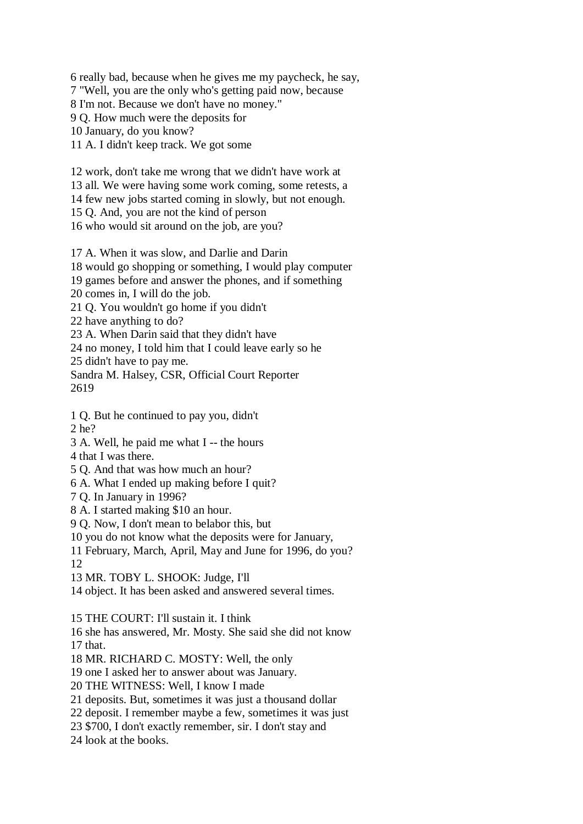6 really bad, because when he gives me my paycheck, he say, 7 "Well, you are the only who's getting paid now, because 8 I'm not. Because we don't have no money." 9 Q. How much were the deposits for 10 January, do you know? 11 A. I didn't keep track. We got some

12 work, don't take me wrong that we didn't have work at 13 all. We were having some work coming, some retests, a 14 few new jobs started coming in slowly, but not enough. 15 Q. And, you are not the kind of person

16 who would sit around on the job, are you?

17 A. When it was slow, and Darlie and Darin

18 would go shopping or something, I would play computer

19 games before and answer the phones, and if something

20 comes in, I will do the job.

21 Q. You wouldn't go home if you didn't

22 have anything to do?

23 A. When Darin said that they didn't have

24 no money, I told him that I could leave early so he

25 didn't have to pay me.

Sandra M. Halsey, CSR, Official Court Reporter 2619

1 Q. But he continued to pay you, didn't 2 he?

3 A. Well, he paid me what I -- the hours

- 4 that I was there.
- 5 Q. And that was how much an hour?

6 A. What I ended up making before I quit?

- 7 Q. In January in 1996?
- 8 A. I started making \$10 an hour.

9 Q. Now, I don't mean to belabor this, but

10 you do not know what the deposits were for January,

11 February, March, April, May and June for 1996, do you?

12

13 MR. TOBY L. SHOOK: Judge, I'll

14 object. It has been asked and answered several times.

15 THE COURT: I'll sustain it. I think

16 she has answered, Mr. Mosty. She said she did not know 17 that.

18 MR. RICHARD C. MOSTY: Well, the only

19 one I asked her to answer about was January.

20 THE WITNESS: Well, I know I made

21 deposits. But, sometimes it was just a thousand dollar

22 deposit. I remember maybe a few, sometimes it was just

23 \$700, I don't exactly remember, sir. I don't stay and

24 look at the books.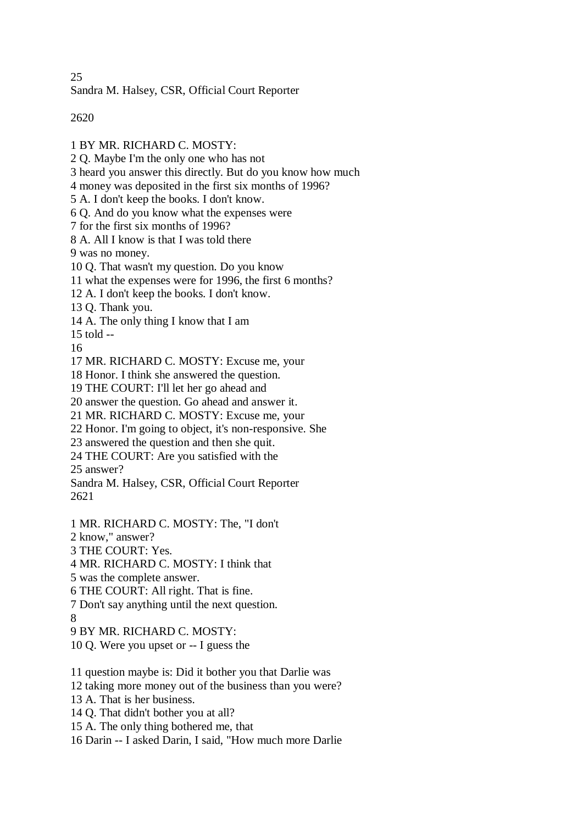25

Sandra M. Halsey, CSR, Official Court Reporter

2620

1 BY MR. RICHARD C. MOSTY: 2 Q. Maybe I'm the only one who has not 3 heard you answer this directly. But do you know how much 4 money was deposited in the first six months of 1996? 5 A. I don't keep the books. I don't know. 6 Q. And do you know what the expenses were 7 for the first six months of 1996? 8 A. All I know is that I was told there 9 was no money. 10 Q. That wasn't my question. Do you know 11 what the expenses were for 1996, the first 6 months? 12 A. I don't keep the books. I don't know. 13 Q. Thank you. 14 A. The only thing I know that I am 15 told -- 16 17 MR. RICHARD C. MOSTY: Excuse me, your 18 Honor. I think she answered the question. 19 THE COURT: I'll let her go ahead and 20 answer the question. Go ahead and answer it. 21 MR. RICHARD C. MOSTY: Excuse me, your 22 Honor. I'm going to object, it's non-responsive. She 23 answered the question and then she quit. 24 THE COURT: Are you satisfied with the 25 answer? Sandra M. Halsey, CSR, Official Court Reporter 2621 1 MR. RICHARD C. MOSTY: The, "I don't 2 know," answer? 3 THE COURT: Yes. 4 MR. RICHARD C. MOSTY: I think that 5 was the complete answer. 6 THE COURT: All right. That is fine. 7 Don't say anything until the next question. 8 9 BY MR. RICHARD C. MOSTY: 10 Q. Were you upset or -- I guess the 11 question maybe is: Did it bother you that Darlie was 12 taking more money out of the business than you were? 13 A. That is her business. 14 Q. That didn't bother you at all? 15 A. The only thing bothered me, that 16 Darin -- I asked Darin, I said, "How much more Darlie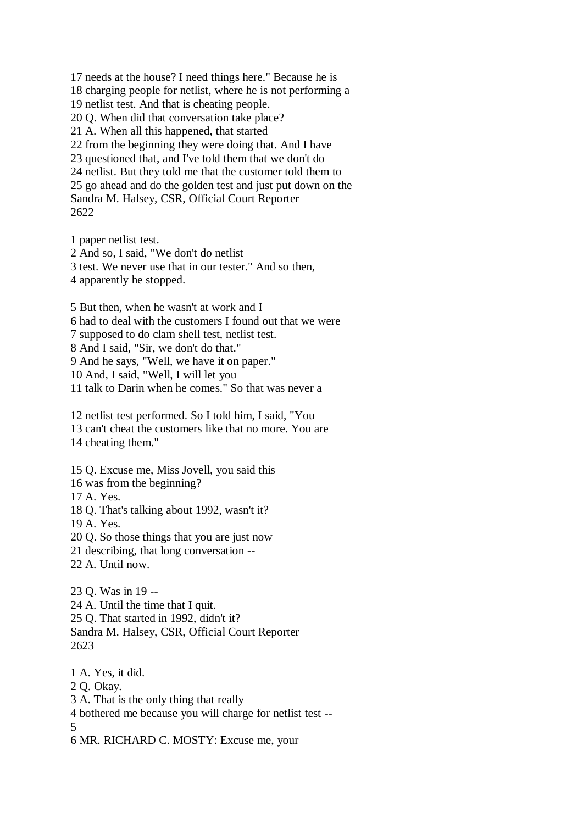17 needs at the house? I need things here." Because he is 18 charging people for netlist, where he is not performing a 19 netlist test. And that is cheating people. 20 Q. When did that conversation take place? 21 A. When all this happened, that started 22 from the beginning they were doing that. And I have 23 questioned that, and I've told them that we don't do 24 netlist. But they told me that the customer told them to 25 go ahead and do the golden test and just put down on the Sandra M. Halsey, CSR, Official Court Reporter 2622

1 paper netlist test. 2 And so, I said, "We don't do netlist 3 test. We never use that in our tester." And so then, 4 apparently he stopped. 5 But then, when he wasn't at work and I 6 had to deal with the customers I found out that we were

7 supposed to do clam shell test, netlist test.

8 And I said, "Sir, we don't do that."

9 And he says, "Well, we have it on paper."

10 And, I said, "Well, I will let you

11 talk to Darin when he comes." So that was never a

12 netlist test performed. So I told him, I said, "You 13 can't cheat the customers like that no more. You are 14 cheating them."

15 Q. Excuse me, Miss Jovell, you said this

16 was from the beginning?

17 A. Yes.

18 Q. That's talking about 1992, wasn't it?

19 A. Yes.

20 Q. So those things that you are just now

21 describing, that long conversation --

22 A. Until now.

23 Q. Was in 19 -- 24 A. Until the time that I quit. 25 Q. That started in 1992, didn't it? Sandra M. Halsey, CSR, Official Court Reporter 2623

1 A. Yes, it did. 2 Q. Okay. 3 A. That is the only thing that really 4 bothered me because you will charge for netlist test -- 5

6 MR. RICHARD C. MOSTY: Excuse me, your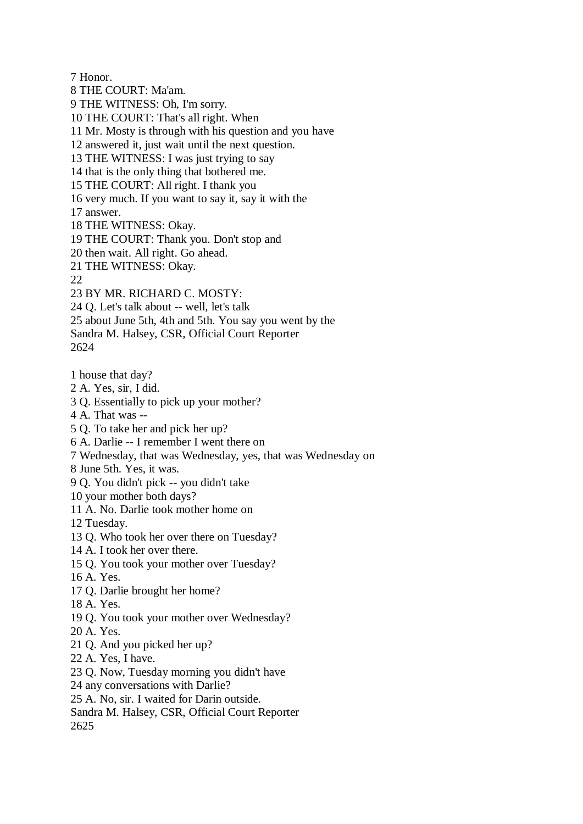7 Honor.

8 THE COURT: Ma'am. 9 THE WITNESS: Oh, I'm sorry. 10 THE COURT: That's all right. When 11 Mr. Mosty is through with his question and you have 12 answered it, just wait until the next question. 13 THE WITNESS: I was just trying to say 14 that is the only thing that bothered me. 15 THE COURT: All right. I thank you 16 very much. If you want to say it, say it with the 17 answer. 18 THE WITNESS: Okay. 19 THE COURT: Thank you. Don't stop and 20 then wait. All right. Go ahead. 21 THE WITNESS: Okay. 22 23 BY MR. RICHARD C. MOSTY: 24 Q. Let's talk about -- well, let's talk 25 about June 5th, 4th and 5th. You say you went by the Sandra M. Halsey, CSR, Official Court Reporter 2624 1 house that day? 2 A. Yes, sir, I did. 3 Q. Essentially to pick up your mother? 4 A. That was -- 5 Q. To take her and pick her up? 6 A. Darlie -- I remember I went there on 7 Wednesday, that was Wednesday, yes, that was Wednesday on 8 June 5th. Yes, it was.

9 Q. You didn't pick -- you didn't take

10 your mother both days?

11 A. No. Darlie took mother home on

12 Tuesday.

13 Q. Who took her over there on Tuesday?

14 A. I took her over there.

15 Q. You took your mother over Tuesday?

16 A. Yes.

17 Q. Darlie brought her home?

18 A. Yes.

19 Q. You took your mother over Wednesday?

20 A. Yes.

21 Q. And you picked her up?

22 A. Yes, I have.

23 Q. Now, Tuesday morning you didn't have

24 any conversations with Darlie?

25 A. No, sir. I waited for Darin outside.

Sandra M. Halsey, CSR, Official Court Reporter

2625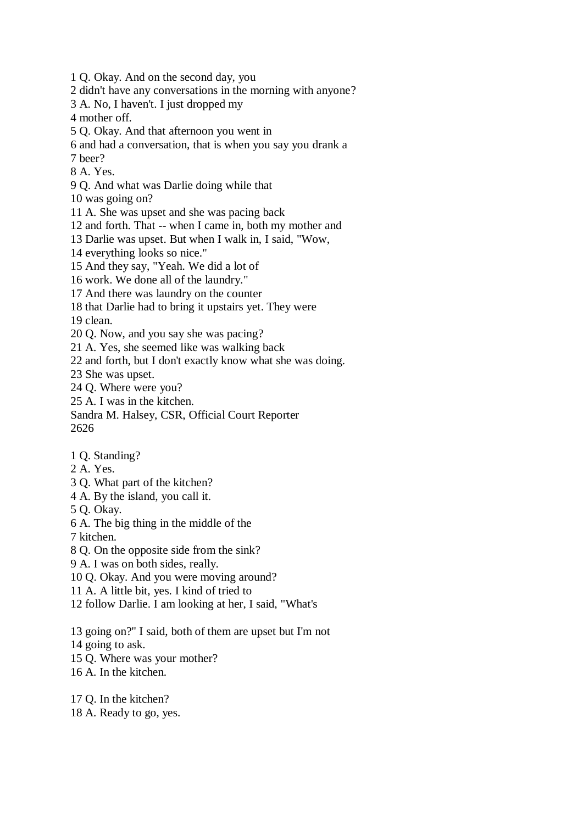1 Q. Okay. And on the second day, you 2 didn't have any conversations in the morning with anyone? 3 A. No, I haven't. I just dropped my 4 mother off. 5 Q. Okay. And that afternoon you went in 6 and had a conversation, that is when you say you drank a 7 beer? 8 A. Yes. 9 Q. And what was Darlie doing while that 10 was going on? 11 A. She was upset and she was pacing back 12 and forth. That -- when I came in, both my mother and 13 Darlie was upset. But when I walk in, I said, "Wow, 14 everything looks so nice." 15 And they say, "Yeah. We did a lot of 16 work. We done all of the laundry." 17 And there was laundry on the counter 18 that Darlie had to bring it upstairs yet. They were 19 clean. 20 Q. Now, and you say she was pacing? 21 A. Yes, she seemed like was walking back 22 and forth, but I don't exactly know what she was doing. 23 She was upset. 24 Q. Where were you? 25 A. I was in the kitchen. Sandra M. Halsey, CSR, Official Court Reporter 2626 1 Q. Standing? 2 A. Yes. 3 Q. What part of the kitchen? 4 A. By the island, you call it. 5 Q. Okay.

- 6 A. The big thing in the middle of the
- 7 kitchen.
- 8 Q. On the opposite side from the sink?
- 9 A. I was on both sides, really.
- 10 Q. Okay. And you were moving around?
- 11 A. A little bit, yes. I kind of tried to
- 12 follow Darlie. I am looking at her, I said, "What's
- 13 going on?" I said, both of them are upset but I'm not
- 14 going to ask.
- 15 Q. Where was your mother?
- 16 A. In the kitchen.
- 17 Q. In the kitchen? 18 A. Ready to go, yes.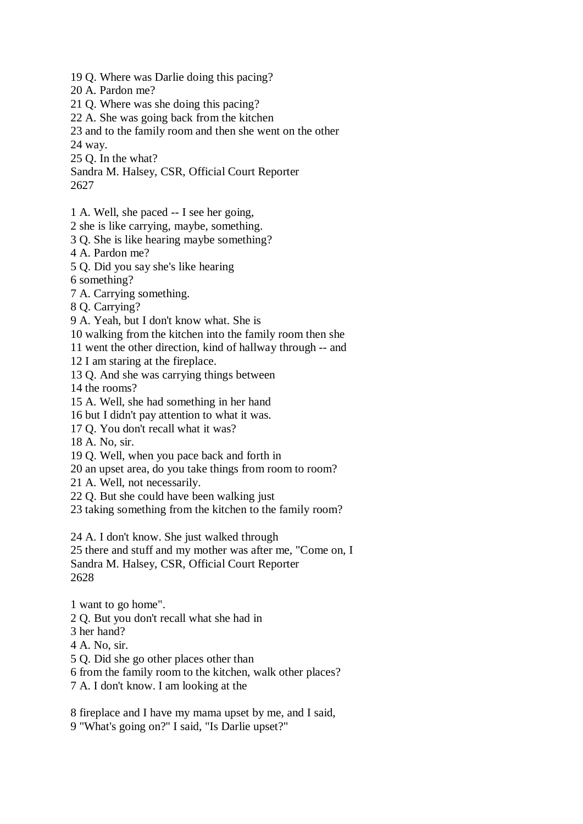- 19 Q. Where was Darlie doing this pacing?
- 20 A. Pardon me?
- 21 Q. Where was she doing this pacing?
- 22 A. She was going back from the kitchen
- 23 and to the family room and then she went on the other
- 24 way.
- 25 Q. In the what?
- Sandra M. Halsey, CSR, Official Court Reporter 2627
- 1 A. Well, she paced -- I see her going,
- 2 she is like carrying, maybe, something.
- 3 Q. She is like hearing maybe something?
- 4 A. Pardon me?
- 5 Q. Did you say she's like hearing
- 6 something?
- 7 A. Carrying something.
- 8 Q. Carrying?
- 9 A. Yeah, but I don't know what. She is
- 10 walking from the kitchen into the family room then she
- 11 went the other direction, kind of hallway through -- and
- 12 I am staring at the fireplace.
- 13 Q. And she was carrying things between
- 14 the rooms?
- 15 A. Well, she had something in her hand
- 16 but I didn't pay attention to what it was.
- 17 Q. You don't recall what it was?
- 18 A. No, sir.
- 19 Q. Well, when you pace back and forth in
- 20 an upset area, do you take things from room to room?
- 21 A. Well, not necessarily.
- 22 Q. But she could have been walking just
- 23 taking something from the kitchen to the family room?

24 A. I don't know. She just walked through

25 there and stuff and my mother was after me, "Come on, I Sandra M. Halsey, CSR, Official Court Reporter 2628

- 1 want to go home".
- 2 Q. But you don't recall what she had in
- 3 her hand?
- 4 A. No, sir.
- 5 Q. Did she go other places other than
- 6 from the family room to the kitchen, walk other places?
- 7 A. I don't know. I am looking at the
- 8 fireplace and I have my mama upset by me, and I said,
- 9 "What's going on?" I said, "Is Darlie upset?"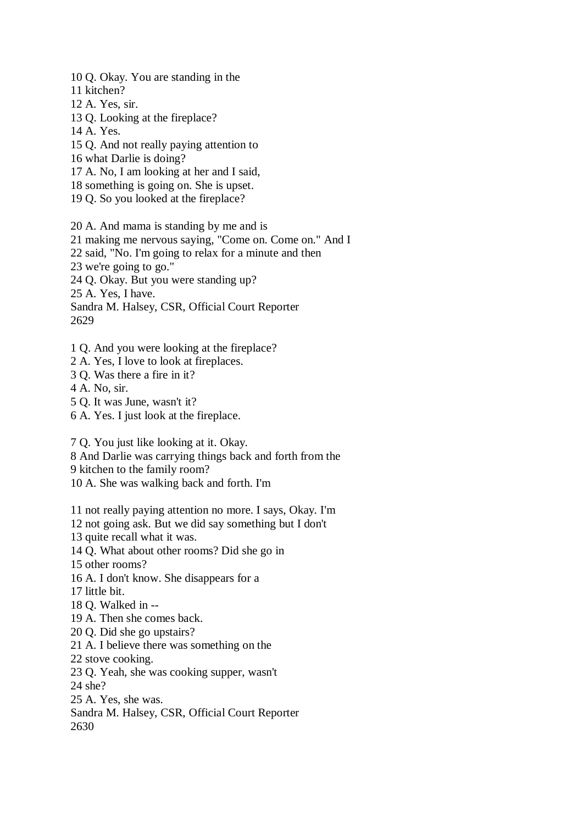10 Q. Okay. You are standing in the

- 11 kitchen?
- 12 A. Yes, sir.
- 13 Q. Looking at the fireplace?
- 14 A. Yes.
- 15 Q. And not really paying attention to
- 16 what Darlie is doing?
- 17 A. No, I am looking at her and I said,
- 18 something is going on. She is upset.
- 19 Q. So you looked at the fireplace?
- 20 A. And mama is standing by me and is
- 21 making me nervous saying, "Come on. Come on." And I
- 22 said, "No. I'm going to relax for a minute and then
- 23 we're going to go."
- 24 Q. Okay. But you were standing up?

25 A. Yes, I have.

Sandra M. Halsey, CSR, Official Court Reporter 2629

- 1 Q. And you were looking at the fireplace?
- 2 A. Yes, I love to look at fireplaces.
- 3 Q. Was there a fire in it?
- 4 A. No, sir.
- 5 Q. It was June, wasn't it?
- 6 A. Yes. I just look at the fireplace.

7 Q. You just like looking at it. Okay.

- 8 And Darlie was carrying things back and forth from the
- 9 kitchen to the family room?
- 10 A. She was walking back and forth. I'm

11 not really paying attention no more. I says, Okay. I'm

12 not going ask. But we did say something but I don't

13 quite recall what it was.

14 Q. What about other rooms? Did she go in

15 other rooms?

- 16 A. I don't know. She disappears for a
- 17 little bit.
- 18 Q. Walked in --
- 19 A. Then she comes back.
- 20 Q. Did she go upstairs?
- 21 A. I believe there was something on the
- 22 stove cooking.
- 23 Q. Yeah, she was cooking supper, wasn't

24 she?

- 25 A. Yes, she was.
- Sandra M. Halsey, CSR, Official Court Reporter 2630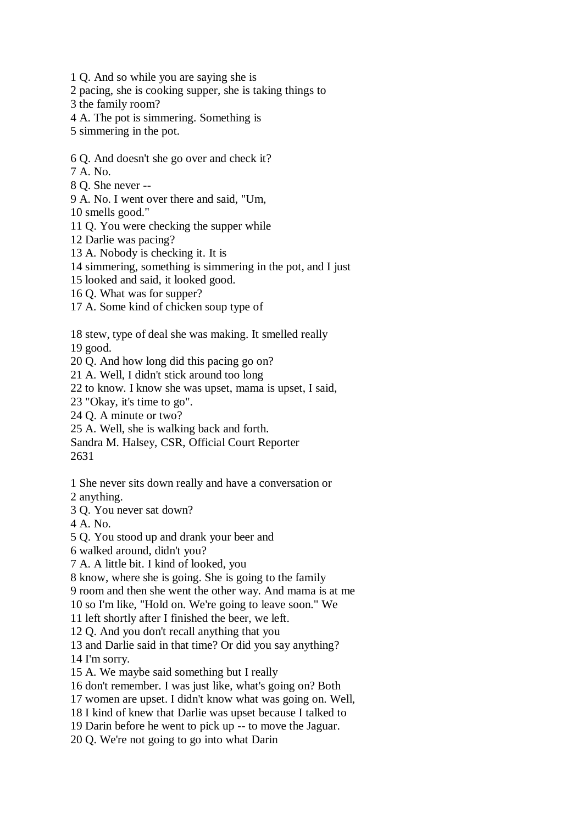1 Q. And so while you are saying she is

2 pacing, she is cooking supper, she is taking things to

3 the family room?

4 A. The pot is simmering. Something is

5 simmering in the pot.

6 Q. And doesn't she go over and check it?

7 A. No.

8 Q. She never --

9 A. No. I went over there and said, "Um,

10 smells good."

11 Q. You were checking the supper while

12 Darlie was pacing?

13 A. Nobody is checking it. It is

14 simmering, something is simmering in the pot, and I just

15 looked and said, it looked good.

16 Q. What was for supper?

17 A. Some kind of chicken soup type of

18 stew, type of deal she was making. It smelled really

19 good.

20 Q. And how long did this pacing go on?

21 A. Well, I didn't stick around too long

22 to know. I know she was upset, mama is upset, I said,

23 "Okay, it's time to go".

24 Q. A minute or two?

25 A. Well, she is walking back and forth.

Sandra M. Halsey, CSR, Official Court Reporter

2631

1 She never sits down really and have a conversation or

2 anything.

3 Q. You never sat down?

4 A. No.

5 Q. You stood up and drank your beer and

6 walked around, didn't you?

7 A. A little bit. I kind of looked, you

8 know, where she is going. She is going to the family

9 room and then she went the other way. And mama is at me

10 so I'm like, "Hold on. We're going to leave soon." We

11 left shortly after I finished the beer, we left.

12 Q. And you don't recall anything that you

13 and Darlie said in that time? Or did you say anything?

14 I'm sorry.

15 A. We maybe said something but I really

16 don't remember. I was just like, what's going on? Both

17 women are upset. I didn't know what was going on. Well,

18 I kind of knew that Darlie was upset because I talked to

19 Darin before he went to pick up -- to move the Jaguar.

20 Q. We're not going to go into what Darin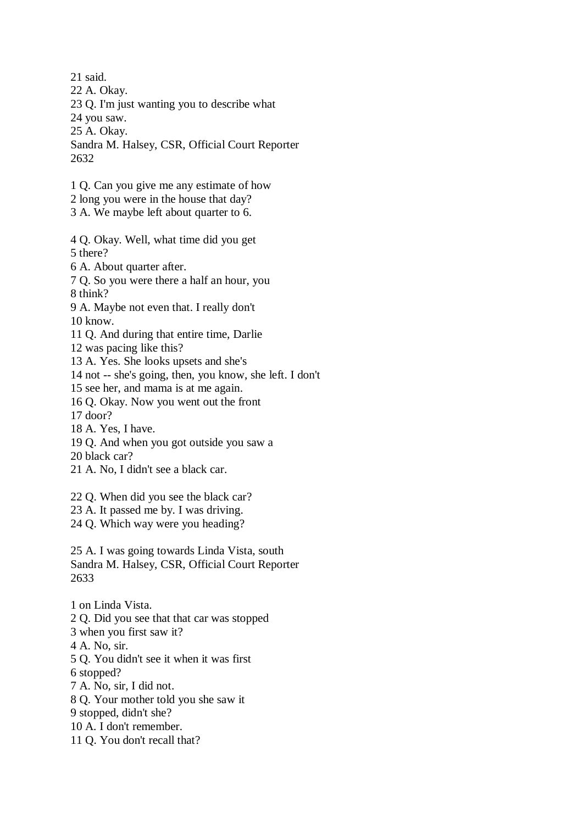21 said.

22 A. Okay.

23 Q. I'm just wanting you to describe what

24 you saw.

25 A. Okay.

Sandra M. Halsey, CSR, Official Court Reporter 2632

- 1 Q. Can you give me any estimate of how
- 2 long you were in the house that day?
- 3 A. We maybe left about quarter to 6.
- 4 Q. Okay. Well, what time did you get 5 there?
- 6 A. About quarter after.
- 7 Q. So you were there a half an hour, you

8 think?

9 A. Maybe not even that. I really don't

10 know.

11 Q. And during that entire time, Darlie

12 was pacing like this?

13 A. Yes. She looks upsets and she's

14 not -- she's going, then, you know, she left. I don't

15 see her, and mama is at me again.

16 Q. Okay. Now you went out the front

17 door?

18 A. Yes, I have.

19 Q. And when you got outside you saw a

20 black car?

- 21 A. No, I didn't see a black car.
- 22 Q. When did you see the black car?

23 A. It passed me by. I was driving.

24 Q. Which way were you heading?

25 A. I was going towards Linda Vista, south Sandra M. Halsey, CSR, Official Court Reporter 2633

1 on Linda Vista.

2 Q. Did you see that that car was stopped

3 when you first saw it?

4 A. No, sir.

5 Q. You didn't see it when it was first

6 stopped?

7 A. No, sir, I did not.

8 Q. Your mother told you she saw it

9 stopped, didn't she?

- 10 A. I don't remember.
- 11 Q. You don't recall that?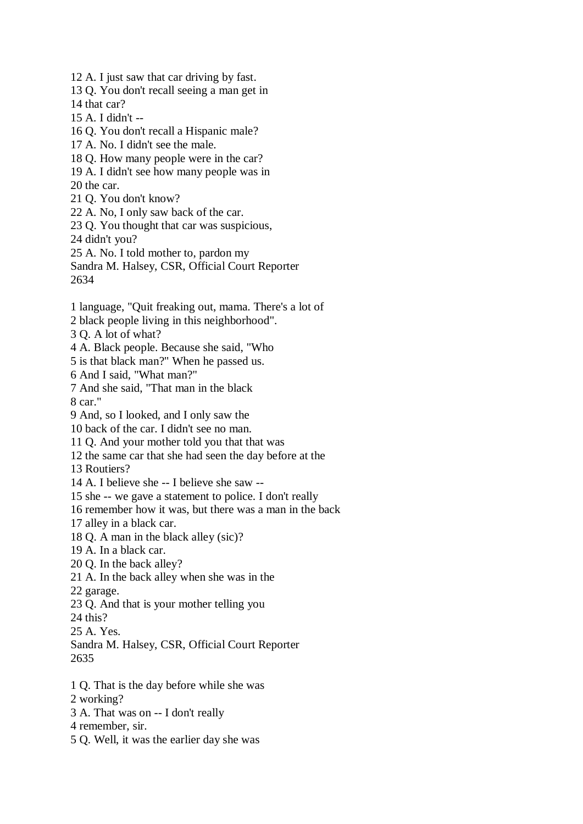12 A. I just saw that car driving by fast. 13 Q. You don't recall seeing a man get in 14 that car? 15 A. I didn't -- 16 Q. You don't recall a Hispanic male? 17 A. No. I didn't see the male. 18 Q. How many people were in the car? 19 A. I didn't see how many people was in 20 the car. 21 Q. You don't know? 22 A. No, I only saw back of the car. 23 Q. You thought that car was suspicious, 24 didn't you? 25 A. No. I told mother to, pardon my Sandra M. Halsey, CSR, Official Court Reporter 2634 1 language, "Quit freaking out, mama. There's a lot of 2 black people living in this neighborhood". 3 Q. A lot of what? 4 A. Black people. Because she said, "Who 5 is that black man?" When he passed us. 6 And I said, "What man?" 7 And she said, "That man in the black 8 car." 9 And, so I looked, and I only saw the 10 back of the car. I didn't see no man. 11 Q. And your mother told you that that was 12 the same car that she had seen the day before at the 13 Routiers? 14 A. I believe she -- I believe she saw -- 15 she -- we gave a statement to police. I don't really 16 remember how it was, but there was a man in the back 17 alley in a black car. 18 Q. A man in the black alley (sic)? 19 A. In a black car. 20 Q. In the back alley? 21 A. In the back alley when she was in the 22 garage. 23 Q. And that is your mother telling you 24 this? 25 A. Yes. Sandra M. Halsey, CSR, Official Court Reporter 2635 1 Q. That is the day before while she was 2 working? 3 A. That was on -- I don't really 4 remember, sir. 5 Q. Well, it was the earlier day she was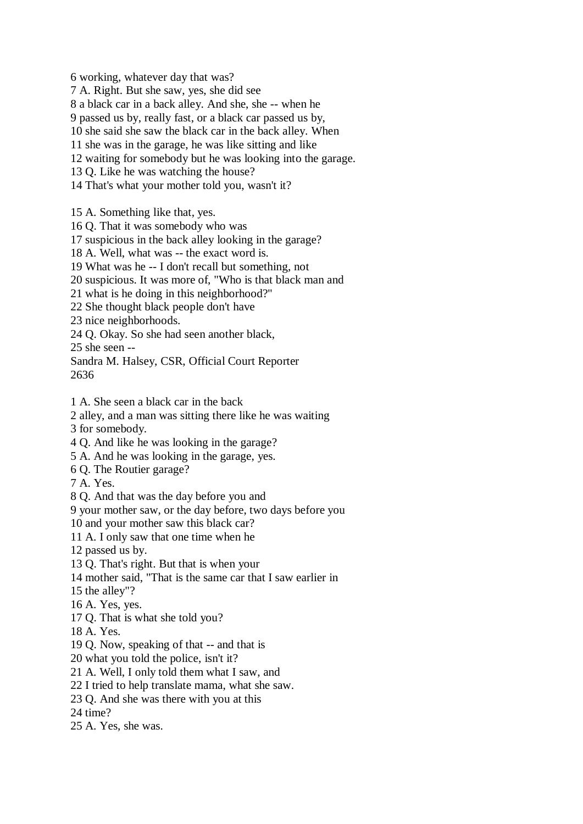6 working, whatever day that was?

7 A. Right. But she saw, yes, she did see

8 a black car in a back alley. And she, she -- when he

9 passed us by, really fast, or a black car passed us by,

10 she said she saw the black car in the back alley. When

11 she was in the garage, he was like sitting and like

12 waiting for somebody but he was looking into the garage.

13 Q. Like he was watching the house?

14 That's what your mother told you, wasn't it?

15 A. Something like that, yes.

16 Q. That it was somebody who was

17 suspicious in the back alley looking in the garage?

18 A. Well, what was -- the exact word is.

19 What was he -- I don't recall but something, not

20 suspicious. It was more of, "Who is that black man and

21 what is he doing in this neighborhood?"

22 She thought black people don't have

23 nice neighborhoods.

24 Q. Okay. So she had seen another black,

25 she seen --

Sandra M. Halsey, CSR, Official Court Reporter

2636

1 A. She seen a black car in the back

2 alley, and a man was sitting there like he was waiting

3 for somebody.

4 Q. And like he was looking in the garage?

5 A. And he was looking in the garage, yes.

6 Q. The Routier garage?

7 A. Yes.

8 Q. And that was the day before you and

9 your mother saw, or the day before, two days before you

10 and your mother saw this black car?

11 A. I only saw that one time when he

12 passed us by.

13 Q. That's right. But that is when your

14 mother said, "That is the same car that I saw earlier in

15 the alley"?

16 A. Yes, yes.

17 Q. That is what she told you?

18 A. Yes.

19 Q. Now, speaking of that -- and that is

20 what you told the police, isn't it?

21 A. Well, I only told them what I saw, and

22 I tried to help translate mama, what she saw.

23 Q. And she was there with you at this

24 time?

25 A. Yes, she was.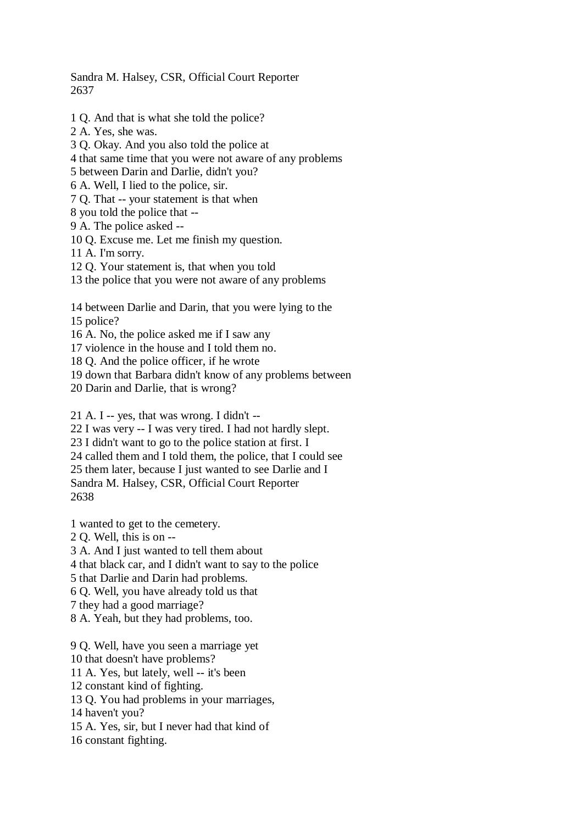Sandra M. Halsey, CSR, Official Court Reporter 2637

- 1 Q. And that is what she told the police?
- 2 A. Yes, she was.
- 3 Q. Okay. And you also told the police at
- 4 that same time that you were not aware of any problems
- 5 between Darin and Darlie, didn't you?
- 6 A. Well, I lied to the police, sir.
- 7 Q. That -- your statement is that when
- 8 you told the police that --
- 9 A. The police asked --
- 10 Q. Excuse me. Let me finish my question.
- 11 A. I'm sorry.
- 12 Q. Your statement is, that when you told
- 13 the police that you were not aware of any problems
- 14 between Darlie and Darin, that you were lying to the
- 15 police?
- 16 A. No, the police asked me if I saw any
- 17 violence in the house and I told them no.
- 18 Q. And the police officer, if he wrote
- 19 down that Barbara didn't know of any problems between
- 20 Darin and Darlie, that is wrong?

21 A. I -- yes, that was wrong. I didn't --

22 I was very -- I was very tired. I had not hardly slept.

23 I didn't want to go to the police station at first. I

24 called them and I told them, the police, that I could see

25 them later, because I just wanted to see Darlie and I

Sandra M. Halsey, CSR, Official Court Reporter

2638

1 wanted to get to the cemetery.

2 Q. Well, this is on --

3 A. And I just wanted to tell them about

4 that black car, and I didn't want to say to the police

5 that Darlie and Darin had problems.

6 Q. Well, you have already told us that

- 7 they had a good marriage?
- 8 A. Yeah, but they had problems, too.

9 Q. Well, have you seen a marriage yet

10 that doesn't have problems?

11 A. Yes, but lately, well -- it's been

12 constant kind of fighting.

13 Q. You had problems in your marriages,

14 haven't you?

15 A. Yes, sir, but I never had that kind of

16 constant fighting.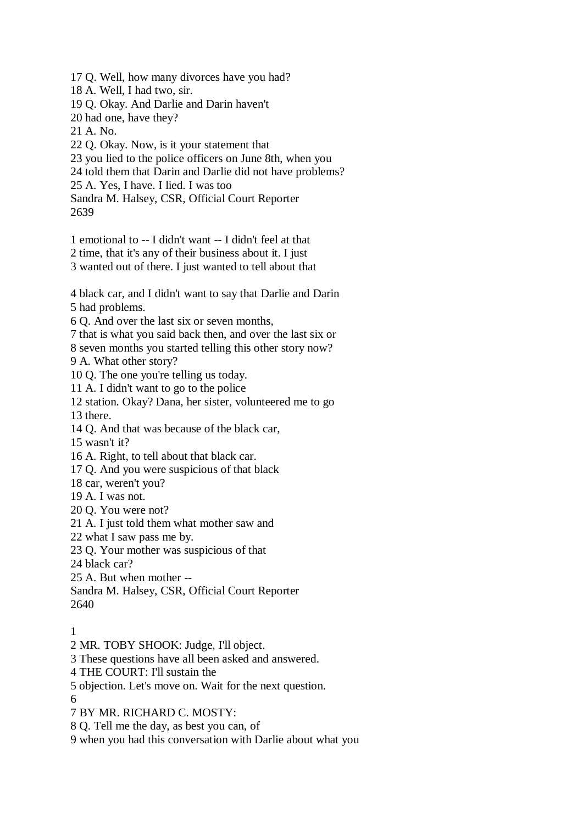17 Q. Well, how many divorces have you had?

- 18 A. Well, I had two, sir.
- 19 Q. Okay. And Darlie and Darin haven't
- 20 had one, have they?
- 21 A. No.
- 22 Q. Okay. Now, is it your statement that
- 23 you lied to the police officers on June 8th, when you
- 24 told them that Darin and Darlie did not have problems?
- 25 A. Yes, I have. I lied. I was too

Sandra M. Halsey, CSR, Official Court Reporter 2639

- 1 emotional to -- I didn't want -- I didn't feel at that
- 2 time, that it's any of their business about it. I just
- 3 wanted out of there. I just wanted to tell about that

4 black car, and I didn't want to say that Darlie and Darin 5 had problems.

6 Q. And over the last six or seven months,

7 that is what you said back then, and over the last six or

8 seven months you started telling this other story now?

9 A. What other story?

10 Q. The one you're telling us today.

11 A. I didn't want to go to the police

12 station. Okay? Dana, her sister, volunteered me to go 13 there.

14 Q. And that was because of the black car,

15 wasn't it?

16 A. Right, to tell about that black car.

17 Q. And you were suspicious of that black

18 car, weren't you?

- 19 A. I was not.
- 20 Q. You were not?

21 A. I just told them what mother saw and

22 what I saw pass me by.

23 Q. Your mother was suspicious of that

24 black car?

25 A. But when mother --

Sandra M. Halsey, CSR, Official Court Reporter 2640

## 1

2 MR. TOBY SHOOK: Judge, I'll object.

3 These questions have all been asked and answered.

- 4 THE COURT: I'll sustain the
- 5 objection. Let's move on. Wait for the next question.
- 6

7 BY MR. RICHARD C. MOSTY:

8 Q. Tell me the day, as best you can, of

9 when you had this conversation with Darlie about what you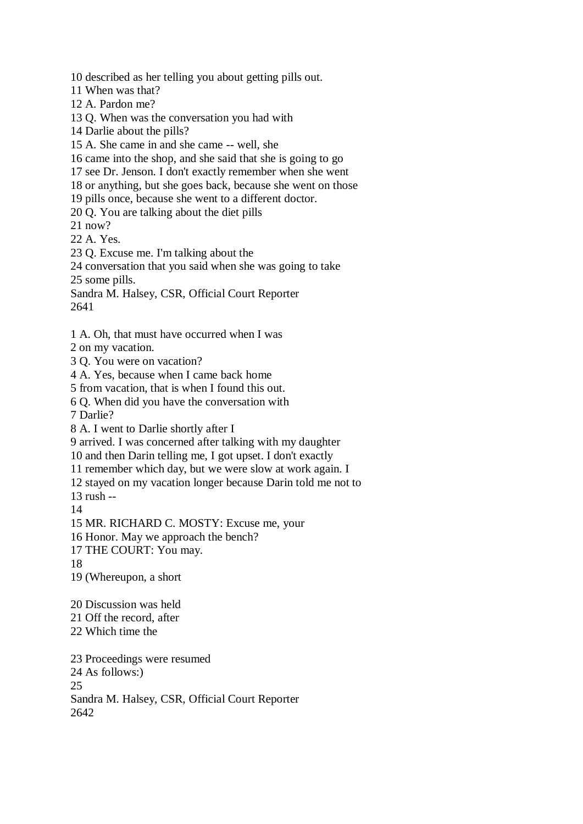10 described as her telling you about getting pills out.

11 When was that?

12 A. Pardon me?

13 Q. When was the conversation you had with

14 Darlie about the pills?

15 A. She came in and she came -- well, she

16 came into the shop, and she said that she is going to go

17 see Dr. Jenson. I don't exactly remember when she went

18 or anything, but she goes back, because she went on those

19 pills once, because she went to a different doctor.

20 Q. You are talking about the diet pills

21 now?

22 A. Yes.

23 Q. Excuse me. I'm talking about the

24 conversation that you said when she was going to take

25 some pills.

Sandra M. Halsey, CSR, Official Court Reporter 2641

1 A. Oh, that must have occurred when I was

2 on my vacation.

3 Q. You were on vacation?

4 A. Yes, because when I came back home

5 from vacation, that is when I found this out.

6 Q. When did you have the conversation with

7 Darlie?

8 A. I went to Darlie shortly after I

9 arrived. I was concerned after talking with my daughter

10 and then Darin telling me, I got upset. I don't exactly

11 remember which day, but we were slow at work again. I

12 stayed on my vacation longer because Darin told me not to

13 rush --

14

15 MR. RICHARD C. MOSTY: Excuse me, your

16 Honor. May we approach the bench?

17 THE COURT: You may.

18

19 (Whereupon, a short

20 Discussion was held

21 Off the record, after

22 Which time the

23 Proceedings were resumed 24 As follows:) 25 Sandra M. Halsey, CSR, Official Court Reporter 2642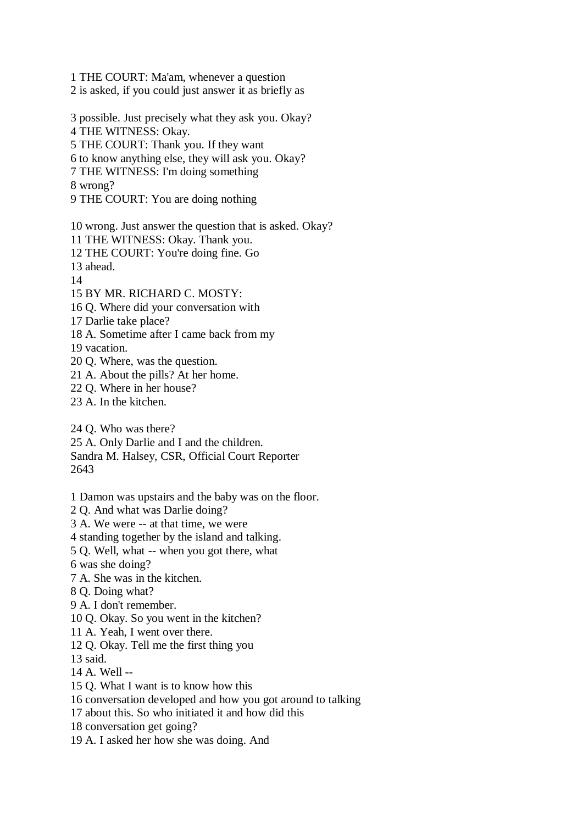1 THE COURT: Ma'am, whenever a question 2 is asked, if you could just answer it as briefly as

- 3 possible. Just precisely what they ask you. Okay? 4 THE WITNESS: Okay. 5 THE COURT: Thank you. If they want 6 to know anything else, they will ask you. Okay? 7 THE WITNESS: I'm doing something 8 wrong?
- 9 THE COURT: You are doing nothing

10 wrong. Just answer the question that is asked. Okay?

11 THE WITNESS: Okay. Thank you.

12 THE COURT: You're doing fine. Go

13 ahead.

14

15 BY MR. RICHARD C. MOSTY:

16 Q. Where did your conversation with

17 Darlie take place?

18 A. Sometime after I came back from my

- 19 vacation.
- 20 Q. Where, was the question.
- 21 A. About the pills? At her home.
- 22 Q. Where in her house?
- 23 A. In the kitchen.
- 24 Q. Who was there?

25 A. Only Darlie and I and the children.

Sandra M. Halsey, CSR, Official Court Reporter 2643

- 1 Damon was upstairs and the baby was on the floor.
- 2 Q. And what was Darlie doing?
- 3 A. We were -- at that time, we were
- 4 standing together by the island and talking.
- 5 Q. Well, what -- when you got there, what
- 6 was she doing?
- 7 A. She was in the kitchen.
- 8 Q. Doing what?
- 9 A. I don't remember.
- 10 Q. Okay. So you went in the kitchen?
- 11 A. Yeah, I went over there.
- 12 Q. Okay. Tell me the first thing you
- 13 said.
- 14 A. Well --
- 15 Q. What I want is to know how this
- 16 conversation developed and how you got around to talking
- 17 about this. So who initiated it and how did this
- 18 conversation get going?
- 19 A. I asked her how she was doing. And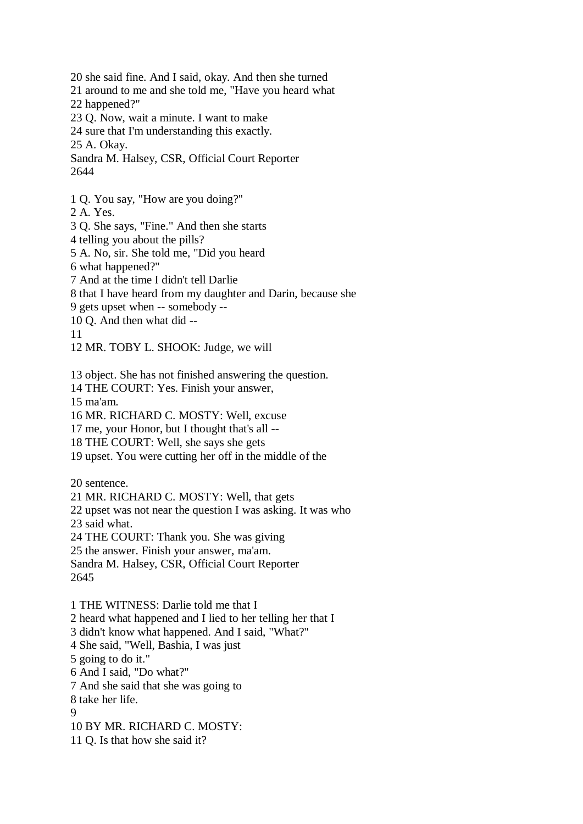20 she said fine. And I said, okay. And then she turned 21 around to me and she told me, "Have you heard what 22 happened?" 23 Q. Now, wait a minute. I want to make 24 sure that I'm understanding this exactly. 25 A. Okay. Sandra M. Halsey, CSR, Official Court Reporter 2644 1 Q. You say, "How are you doing?" 2 A. Yes. 3 Q. She says, "Fine." And then she starts 4 telling you about the pills? 5 A. No, sir. She told me, "Did you heard 6 what happened?" 7 And at the time I didn't tell Darlie 8 that I have heard from my daughter and Darin, because she 9 gets upset when -- somebody -- 10 Q. And then what did -- 11 12 MR. TOBY L. SHOOK: Judge, we will 13 object. She has not finished answering the question. 14 THE COURT: Yes. Finish your answer, 15 ma'am. 16 MR. RICHARD C. MOSTY: Well, excuse 17 me, your Honor, but I thought that's all -- 18 THE COURT: Well, she says she gets 19 upset. You were cutting her off in the middle of the 20 sentence. 21 MR. RICHARD C. MOSTY: Well, that gets 22 upset was not near the question I was asking. It was who 23 said what. 24 THE COURT: Thank you. She was giving 25 the answer. Finish your answer, ma'am. Sandra M. Halsey, CSR, Official Court Reporter 2645 1 THE WITNESS: Darlie told me that I 2 heard what happened and I lied to her telling her that I 3 didn't know what happened. And I said, "What?" 4 She said, "Well, Bashia, I was just 5 going to do it." 6 And I said, "Do what?" 7 And she said that she was going to 8 take her life. 9 10 BY MR. RICHARD C. MOSTY: 11 Q. Is that how she said it?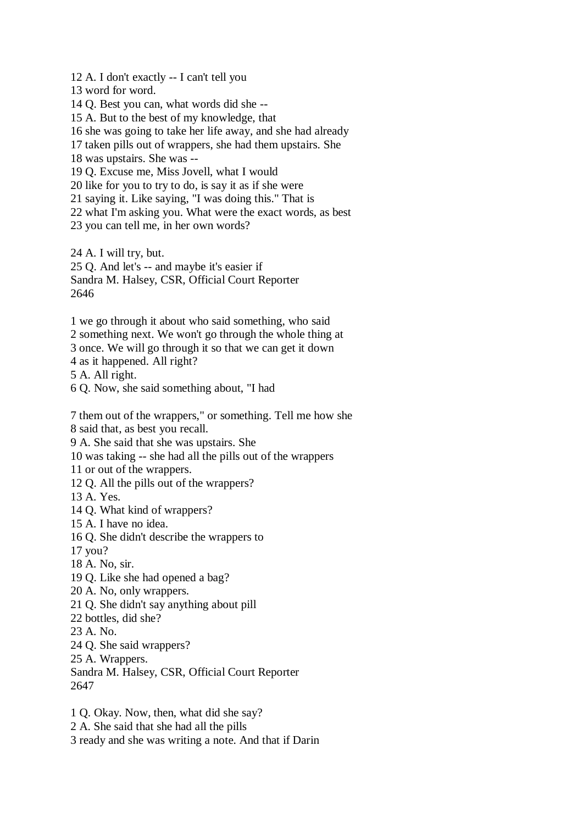12 A. I don't exactly -- I can't tell you 13 word for word. 14 Q. Best you can, what words did she -- 15 A. But to the best of my knowledge, that 16 she was going to take her life away, and she had already 17 taken pills out of wrappers, she had them upstairs. She 18 was upstairs. She was -- 19 Q. Excuse me, Miss Jovell, what I would 20 like for you to try to do, is say it as if she were 21 saying it. Like saying, "I was doing this." That is 22 what I'm asking you. What were the exact words, as best 23 you can tell me, in her own words? 24 A. I will try, but. 25 Q. And let's -- and maybe it's easier if Sandra M. Halsey, CSR, Official Court Reporter 2646 1 we go through it about who said something, who said 2 something next. We won't go through the whole thing at 3 once. We will go through it so that we can get it down 4 as it happened. All right? 5 A. All right. 6 Q. Now, she said something about, "I had 7 them out of the wrappers," or something. Tell me how she 8 said that, as best you recall. 9 A. She said that she was upstairs. She 10 was taking -- she had all the pills out of the wrappers 11 or out of the wrappers. 12 Q. All the pills out of the wrappers? 13 A. Yes. 14 Q. What kind of wrappers? 15 A. I have no idea. 16 Q. She didn't describe the wrappers to 17 you? 18 A. No, sir. 19 Q. Like she had opened a bag? 20 A. No, only wrappers. 21 Q. She didn't say anything about pill 22 bottles, did she? 23 A. No. 24 Q. She said wrappers? 25 A. Wrappers. Sandra M. Halsey, CSR, Official Court Reporter 2647 1 Q. Okay. Now, then, what did she say? 2 A. She said that she had all the pills

3 ready and she was writing a note. And that if Darin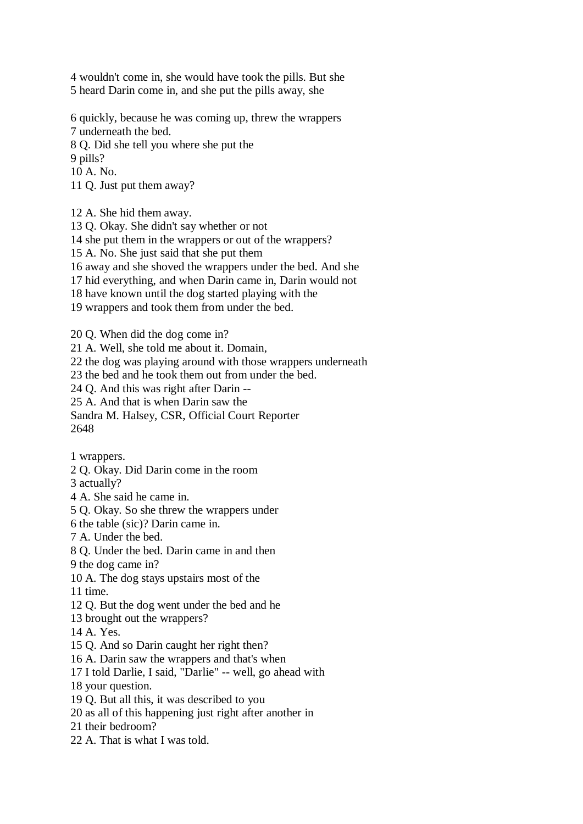4 wouldn't come in, she would have took the pills. But she 5 heard Darin come in, and she put the pills away, she

6 quickly, because he was coming up, threw the wrappers

7 underneath the bed.

8 Q. Did she tell you where she put the

9 pills?

10 A. No.

11 Q. Just put them away?

12 A. She hid them away.

13 Q. Okay. She didn't say whether or not

14 she put them in the wrappers or out of the wrappers?

15 A. No. She just said that she put them

16 away and she shoved the wrappers under the bed. And she

17 hid everything, and when Darin came in, Darin would not

18 have known until the dog started playing with the

19 wrappers and took them from under the bed.

20 Q. When did the dog come in?

21 A. Well, she told me about it. Domain,

22 the dog was playing around with those wrappers underneath

23 the bed and he took them out from under the bed.

24 Q. And this was right after Darin --

25 A. And that is when Darin saw the

Sandra M. Halsey, CSR, Official Court Reporter 2648

1 wrappers.

2 Q. Okay. Did Darin come in the room

3 actually?

4 A. She said he came in.

5 Q. Okay. So she threw the wrappers under

6 the table (sic)? Darin came in.

7 A. Under the bed.

8 Q. Under the bed. Darin came in and then

9 the dog came in?

10 A. The dog stays upstairs most of the

11 time.

12 Q. But the dog went under the bed and he

13 brought out the wrappers?

14 A. Yes.

15 Q. And so Darin caught her right then?

16 A. Darin saw the wrappers and that's when

17 I told Darlie, I said, "Darlie" -- well, go ahead with

18 your question.

19 Q. But all this, it was described to you

20 as all of this happening just right after another in

21 their bedroom?

22 A. That is what I was told.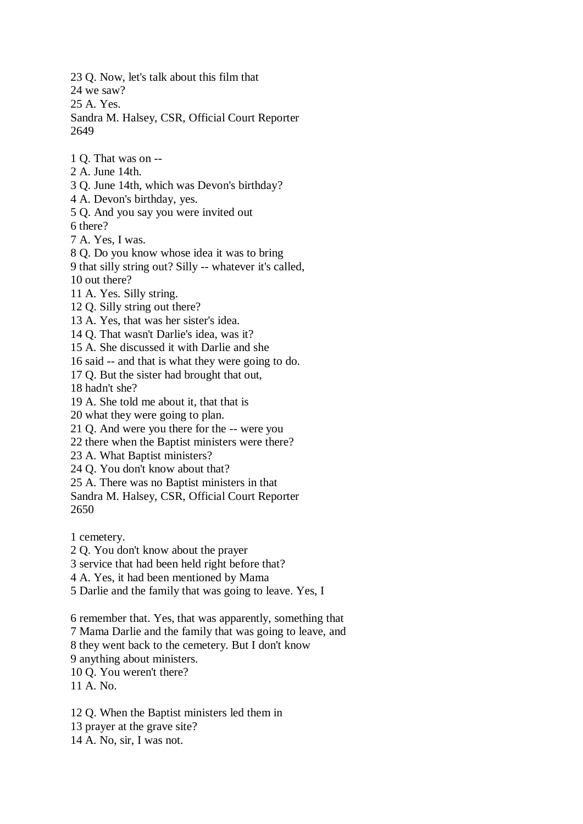23 Q. Now, let's talk about this film that

24 we saw?

25 A. Yes.

Sandra M. Halsey, CSR, Official Court Reporter 2649

- 1 Q. That was on --
- 2 A. June 14th.
- 3 Q. June 14th, which was Devon's birthday?
- 4 A. Devon's birthday, yes.
- 5 Q. And you say you were invited out 6 there?

- 7 A. Yes, I was.
- 8 Q. Do you know whose idea it was to bring
- 9 that silly string out? Silly -- whatever it's called,
- 10 out there?
- 11 A. Yes. Silly string.
- 12 Q. Silly string out there?
- 13 A. Yes, that was her sister's idea.
- 14 Q. That wasn't Darlie's idea, was it?
- 15 A. She discussed it with Darlie and she
- 16 said -- and that is what they were going to do.
- 17 Q. But the sister had brought that out,
- 18 hadn't she?
- 19 A. She told me about it, that that is
- 20 what they were going to plan.
- 21 Q. And were you there for the -- were you
- 22 there when the Baptist ministers were there?
- 23 A. What Baptist ministers?
- 24 Q. You don't know about that?
- 25 A. There was no Baptist ministers in that
- Sandra M. Halsey, CSR, Official Court Reporter 2650
- 1 cemetery.
- 2 Q. You don't know about the prayer
- 3 service that had been held right before that?
- 4 A. Yes, it had been mentioned by Mama
- 5 Darlie and the family that was going to leave. Yes, I
- 6 remember that. Yes, that was apparently, something that 7 Mama Darlie and the family that was going to leave, and 8 they went back to the cemetery. But I don't know 9 anything about ministers. 10 Q. You weren't there?
- 11 A. No.
- 12 Q. When the Baptist ministers led them in 13 prayer at the grave site? 14 A. No, sir, I was not.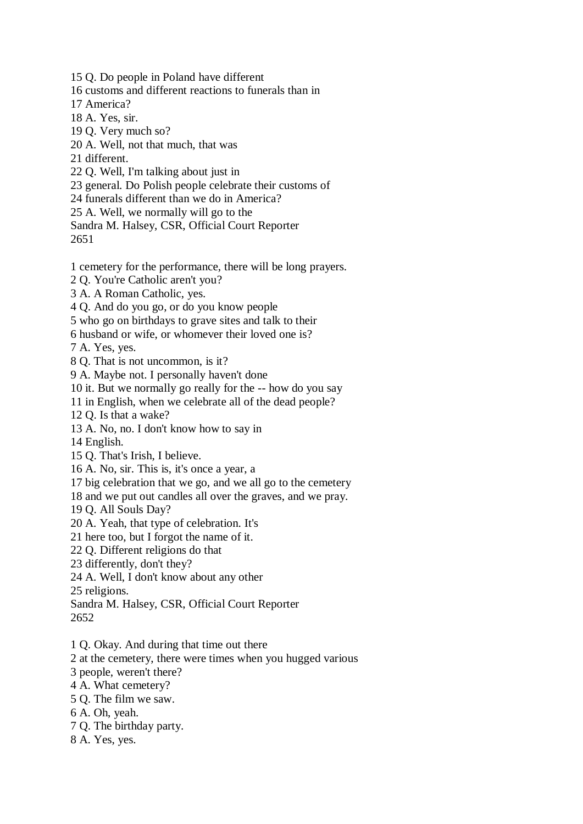15 Q. Do people in Poland have different

16 customs and different reactions to funerals than in

17 America?

18 A. Yes, sir.

19 Q. Very much so?

20 A. Well, not that much, that was

21 different.

22 Q. Well, I'm talking about just in

23 general. Do Polish people celebrate their customs of

24 funerals different than we do in America?

25 A. Well, we normally will go to the

Sandra M. Halsey, CSR, Official Court Reporter 2651

1 cemetery for the performance, there will be long prayers.

2 Q. You're Catholic aren't you?

3 A. A Roman Catholic, yes.

4 Q. And do you go, or do you know people

5 who go on birthdays to grave sites and talk to their

6 husband or wife, or whomever their loved one is?

7 A. Yes, yes.

8 Q. That is not uncommon, is it?

9 A. Maybe not. I personally haven't done

10 it. But we normally go really for the -- how do you say

11 in English, when we celebrate all of the dead people?

12 Q. Is that a wake?

13 A. No, no. I don't know how to say in

14 English.

15 Q. That's Irish, I believe.

16 A. No, sir. This is, it's once a year, a

17 big celebration that we go, and we all go to the cemetery

18 and we put out candles all over the graves, and we pray.

19 Q. All Souls Day?

20 A. Yeah, that type of celebration. It's

21 here too, but I forgot the name of it.

22 Q. Different religions do that

23 differently, don't they?

24 A. Well, I don't know about any other

25 religions.

Sandra M. Halsey, CSR, Official Court Reporter 2652

1 Q. Okay. And during that time out there

2 at the cemetery, there were times when you hugged various

3 people, weren't there?

4 A. What cemetery?

5 Q. The film we saw.

6 A. Oh, yeah.

7 Q. The birthday party.

8 A. Yes, yes.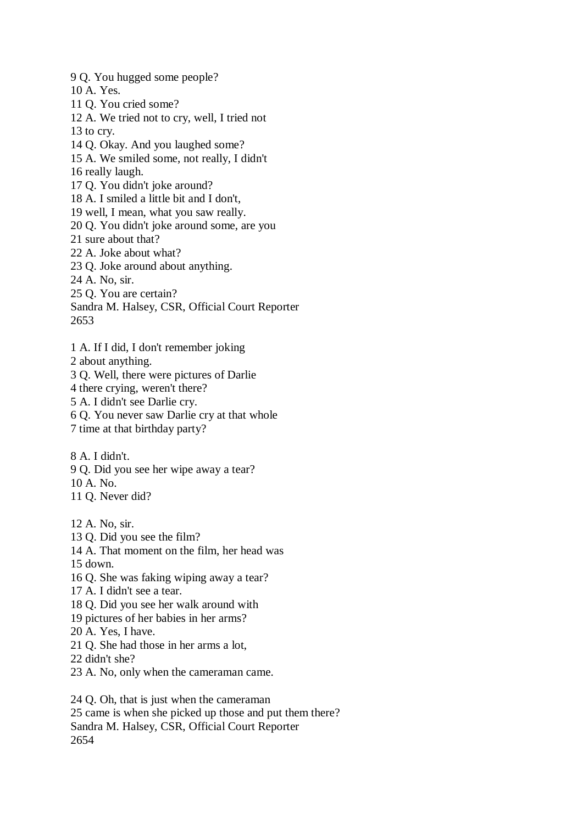9 Q. You hugged some people? 10 A. Yes. 11 Q. You cried some? 12 A. We tried not to cry, well, I tried not 13 to cry. 14 Q. Okay. And you laughed some? 15 A. We smiled some, not really, I didn't 16 really laugh. 17 Q. You didn't joke around? 18 A. I smiled a little bit and I don't, 19 well, I mean, what you saw really. 20 Q. You didn't joke around some, are you 21 sure about that? 22 A. Joke about what? 23 Q. Joke around about anything. 24 A. No, sir. 25 Q. You are certain? Sandra M. Halsey, CSR, Official Court Reporter 2653 1 A. If I did, I don't remember joking 2 about anything. 3 Q. Well, there were pictures of Darlie 4 there crying, weren't there? 5 A. I didn't see Darlie cry.

6 Q. You never saw Darlie cry at that whole

7 time at that birthday party?

8 A. I didn't.

9 Q. Did you see her wipe away a tear?

10 A. No.

11 Q. Never did?

12 A. No, sir.

13 Q. Did you see the film?

14 A. That moment on the film, her head was

15 down.

16 Q. She was faking wiping away a tear?

17 A. I didn't see a tear.

18 Q. Did you see her walk around with

19 pictures of her babies in her arms?

20 A. Yes, I have.

21 Q. She had those in her arms a lot,

22 didn't she?

23 A. No, only when the cameraman came.

24 Q. Oh, that is just when the cameraman 25 came is when she picked up those and put them there? Sandra M. Halsey, CSR, Official Court Reporter 2654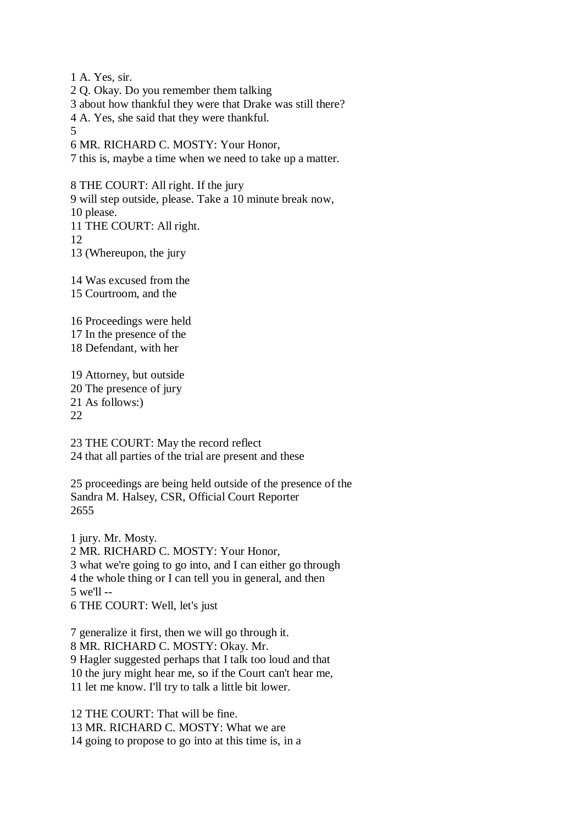1 A. Yes, sir.

2 Q. Okay. Do you remember them talking

3 about how thankful they were that Drake was still there?

4 A. Yes, she said that they were thankful.

5

6 MR. RICHARD C. MOSTY: Your Honor,

7 this is, maybe a time when we need to take up a matter.

8 THE COURT: All right. If the jury 9 will step outside, please. Take a 10 minute break now, 10 please. 11 THE COURT: All right. 12 13 (Whereupon, the jury

14 Was excused from the 15 Courtroom, and the

16 Proceedings were held 17 In the presence of the 18 Defendant, with her

19 Attorney, but outside 20 The presence of jury 21 As follows:)  $22$ 

23 THE COURT: May the record reflect 24 that all parties of the trial are present and these

25 proceedings are being held outside of the presence of the Sandra M. Halsey, CSR, Official Court Reporter 2655

1 jury. Mr. Mosty. 2 MR. RICHARD C. MOSTY: Your Honor, 3 what we're going to go into, and I can either go through 4 the whole thing or I can tell you in general, and then 5 we'll -- 6 THE COURT: Well, let's just

7 generalize it first, then we will go through it. 8 MR. RICHARD C. MOSTY: Okay. Mr. 9 Hagler suggested perhaps that I talk too loud and that 10 the jury might hear me, so if the Court can't hear me, 11 let me know. I'll try to talk a little bit lower.

12 THE COURT: That will be fine. 13 MR. RICHARD C. MOSTY: What we are 14 going to propose to go into at this time is, in a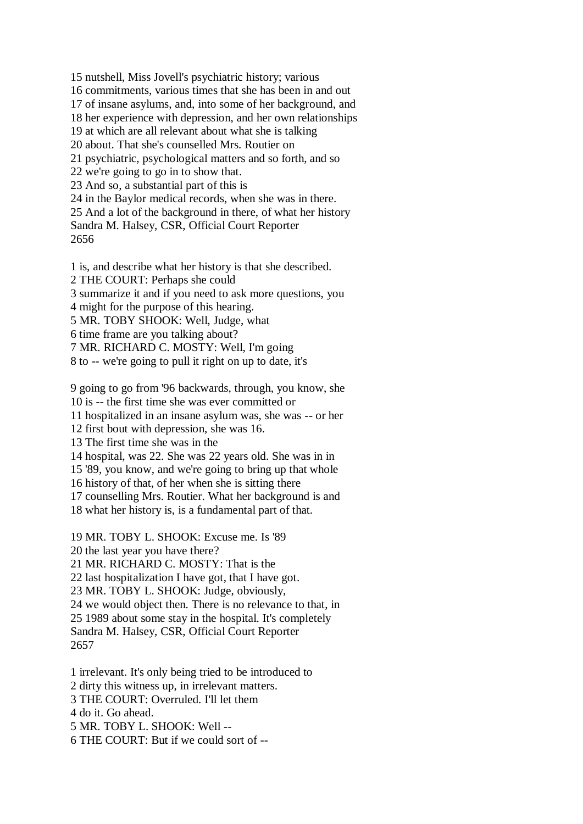15 nutshell, Miss Jovell's psychiatric history; various 16 commitments, various times that she has been in and out 17 of insane asylums, and, into some of her background, and 18 her experience with depression, and her own relationships 19 at which are all relevant about what she is talking 20 about. That she's counselled Mrs. Routier on 21 psychiatric, psychological matters and so forth, and so 22 we're going to go in to show that. 23 And so, a substantial part of this is 24 in the Baylor medical records, when she was in there. 25 And a lot of the background in there, of what her history Sandra M. Halsey, CSR, Official Court Reporter 2656

1 is, and describe what her history is that she described. 2 THE COURT: Perhaps she could 3 summarize it and if you need to ask more questions, you 4 might for the purpose of this hearing. 5 MR. TOBY SHOOK: Well, Judge, what 6 time frame are you talking about?

7 MR. RICHARD C. MOSTY: Well, I'm going

8 to -- we're going to pull it right on up to date, it's

9 going to go from '96 backwards, through, you know, she

10 is -- the first time she was ever committed or

11 hospitalized in an insane asylum was, she was -- or her

12 first bout with depression, she was 16.

13 The first time she was in the

14 hospital, was 22. She was 22 years old. She was in in

15 '89, you know, and we're going to bring up that whole

16 history of that, of her when she is sitting there

17 counselling Mrs. Routier. What her background is and

18 what her history is, is a fundamental part of that.

19 MR. TOBY L. SHOOK: Excuse me. Is '89

20 the last year you have there?

21 MR. RICHARD C. MOSTY: That is the

22 last hospitalization I have got, that I have got.

23 MR. TOBY L. SHOOK: Judge, obviously,

24 we would object then. There is no relevance to that, in

25 1989 about some stay in the hospital. It's completely

Sandra M. Halsey, CSR, Official Court Reporter 2657

1 irrelevant. It's only being tried to be introduced to 2 dirty this witness up, in irrelevant matters. 3 THE COURT: Overruled. I'll let them 4 do it. Go ahead. 5 MR. TOBY L. SHOOK: Well -- 6 THE COURT: But if we could sort of --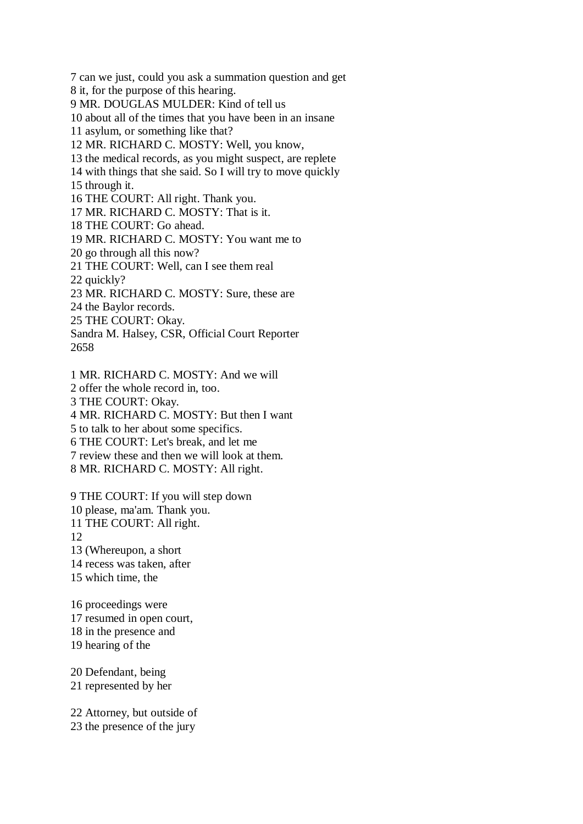7 can we just, could you ask a summation question and get

8 it, for the purpose of this hearing.

9 MR. DOUGLAS MULDER: Kind of tell us

10 about all of the times that you have been in an insane

11 asylum, or something like that?

12 MR. RICHARD C. MOSTY: Well, you know,

13 the medical records, as you might suspect, are replete

14 with things that she said. So I will try to move quickly

15 through it.

16 THE COURT: All right. Thank you.

17 MR. RICHARD C. MOSTY: That is it.

18 THE COURT: Go ahead.

19 MR. RICHARD C. MOSTY: You want me to

20 go through all this now?

21 THE COURT: Well, can I see them real

22 quickly?

23 MR. RICHARD C. MOSTY: Sure, these are

24 the Baylor records.

25 THE COURT: Okay.

Sandra M. Halsey, CSR, Official Court Reporter 2658

1 MR. RICHARD C. MOSTY: And we will 2 offer the whole record in, too. 3 THE COURT: Okay. 4 MR. RICHARD C. MOSTY: But then I want 5 to talk to her about some specifics. 6 THE COURT: Let's break, and let me 7 review these and then we will look at them.

8 MR. RICHARD C. MOSTY: All right.

9 THE COURT: If you will step down 10 please, ma'am. Thank you. 11 THE COURT: All right. 12 13 (Whereupon, a short 14 recess was taken, after 15 which time, the

16 proceedings were 17 resumed in open court, 18 in the presence and 19 hearing of the

20 Defendant, being 21 represented by her

22 Attorney, but outside of 23 the presence of the jury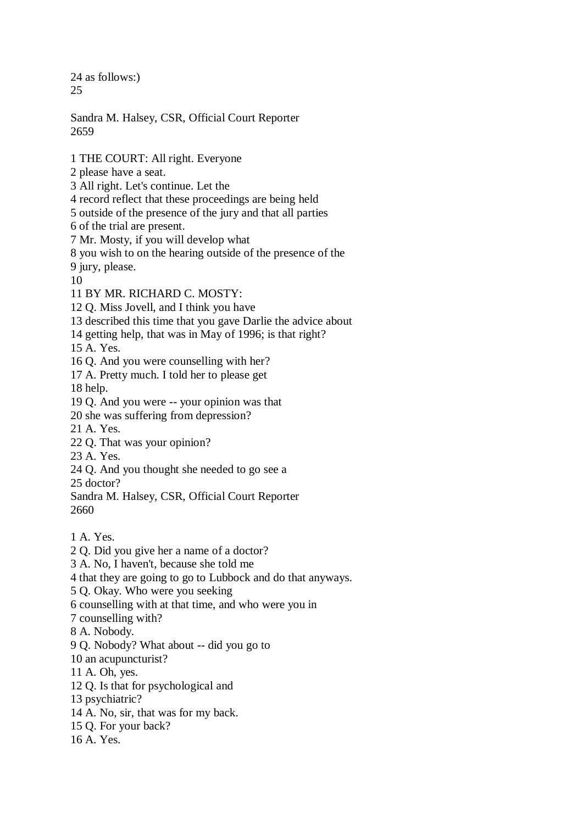24 as follows:) 25

Sandra M. Halsey, CSR, Official Court Reporter 2659

1 THE COURT: All right. Everyone

2 please have a seat.

3 All right. Let's continue. Let the

4 record reflect that these proceedings are being held

5 outside of the presence of the jury and that all parties

6 of the trial are present.

7 Mr. Mosty, if you will develop what

8 you wish to on the hearing outside of the presence of the

9 jury, please.

10

11 BY MR. RICHARD C. MOSTY:

12 Q. Miss Jovell, and I think you have

13 described this time that you gave Darlie the advice about

14 getting help, that was in May of 1996; is that right?

15 A. Yes.

16 Q. And you were counselling with her?

17 A. Pretty much. I told her to please get

18 help.

19 Q. And you were -- your opinion was that

20 she was suffering from depression?

21 A. Yes.

22 Q. That was your opinion?

23 A. Yes.

24 Q. And you thought she needed to go see a

25 doctor?

Sandra M. Halsey, CSR, Official Court Reporter 2660

- 1 A. Yes.
- 2 Q. Did you give her a name of a doctor?
- 3 A. No, I haven't, because she told me
- 4 that they are going to go to Lubbock and do that anyways.

5 Q. Okay. Who were you seeking

6 counselling with at that time, and who were you in

7 counselling with?

8 A. Nobody.

9 Q. Nobody? What about -- did you go to

10 an acupuncturist?

11 A. Oh, yes.

12 Q. Is that for psychological and

13 psychiatric?

14 A. No, sir, that was for my back.

15 Q. For your back?

16 A. Yes.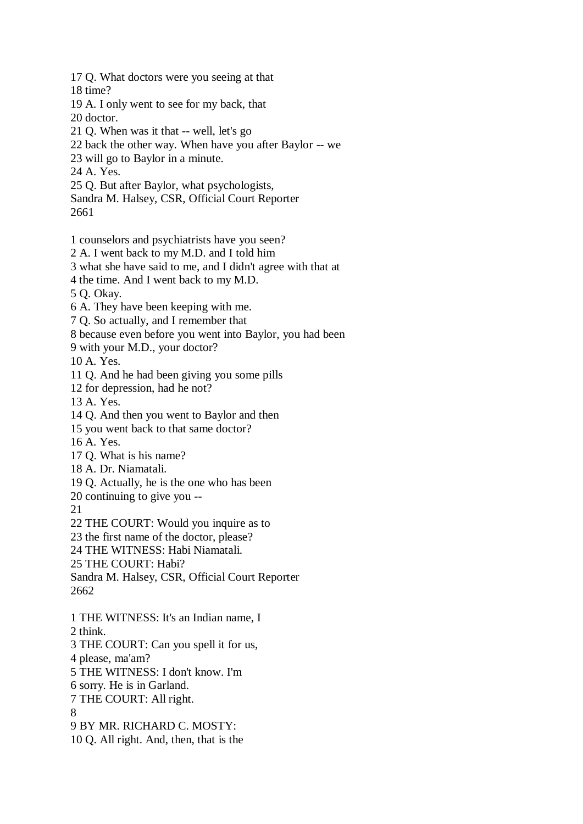18 time? 19 A. I only went to see for my back, that 20 doctor. 21 Q. When was it that -- well, let's go 22 back the other way. When have you after Baylor -- we 23 will go to Baylor in a minute. 24 A. Yes. 25 Q. But after Baylor, what psychologists, Sandra M. Halsey, CSR, Official Court Reporter 2661 1 counselors and psychiatrists have you seen? 2 A. I went back to my M.D. and I told him 3 what she have said to me, and I didn't agree with that at 4 the time. And I went back to my M.D. 5 Q. Okay. 6 A. They have been keeping with me. 7 Q. So actually, and I remember that 8 because even before you went into Baylor, you had been 9 with your M.D., your doctor? 10 A. Yes. 11 Q. And he had been giving you some pills 12 for depression, had he not? 13 A. Yes. 14 Q. And then you went to Baylor and then 15 you went back to that same doctor? 16 A. Yes. 17 Q. What is his name? 18 A. Dr. Niamatali. 19 Q. Actually, he is the one who has been 20 continuing to give you -- 21 22 THE COURT: Would you inquire as to 23 the first name of the doctor, please? 24 THE WITNESS: Habi Niamatali. 25 THE COURT: Habi? Sandra M. Halsey, CSR, Official Court Reporter 2662 1 THE WITNESS: It's an Indian name, I 2 think. 3 THE COURT: Can you spell it for us, 4 please, ma'am? 5 THE WITNESS: I don't know. I'm 6 sorry. He is in Garland. 7 THE COURT: All right. 8 9 BY MR. RICHARD C. MOSTY: 10 Q. All right. And, then, that is the

17 Q. What doctors were you seeing at that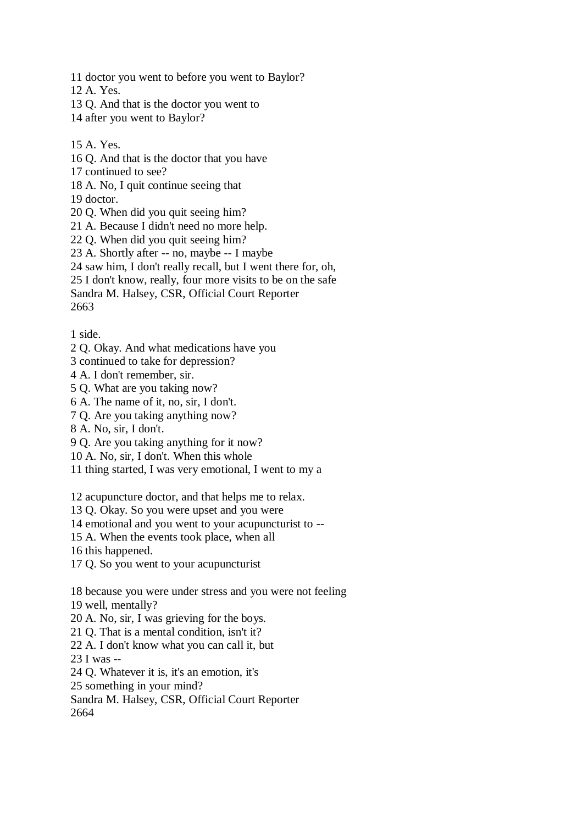11 doctor you went to before you went to Baylor?

12 A. Yes.

13 Q. And that is the doctor you went to

14 after you went to Baylor?

15 A. Yes.

16 Q. And that is the doctor that you have

17 continued to see?

18 A. No, I quit continue seeing that

19 doctor.

20 Q. When did you quit seeing him?

21 A. Because I didn't need no more help.

22 Q. When did you quit seeing him?

23 A. Shortly after -- no, maybe -- I maybe

24 saw him, I don't really recall, but I went there for, oh,

25 I don't know, really, four more visits to be on the safe

Sandra M. Halsey, CSR, Official Court Reporter

2663

1 side.

2 Q. Okay. And what medications have you

3 continued to take for depression?

4 A. I don't remember, sir.

5 Q. What are you taking now?

6 A. The name of it, no, sir, I don't.

7 Q. Are you taking anything now?

8 A. No, sir, I don't.

9 Q. Are you taking anything for it now?

10 A. No, sir, I don't. When this whole

11 thing started, I was very emotional, I went to my a

12 acupuncture doctor, and that helps me to relax.

13 Q. Okay. So you were upset and you were

14 emotional and you went to your acupuncturist to --

15 A. When the events took place, when all

16 this happened.

17 Q. So you went to your acupuncturist

18 because you were under stress and you were not feeling

19 well, mentally?

20 A. No, sir, I was grieving for the boys.

21 Q. That is a mental condition, isn't it?

22 A. I don't know what you can call it, but

23 I was --

24 Q. Whatever it is, it's an emotion, it's

25 something in your mind?

Sandra M. Halsey, CSR, Official Court Reporter

2664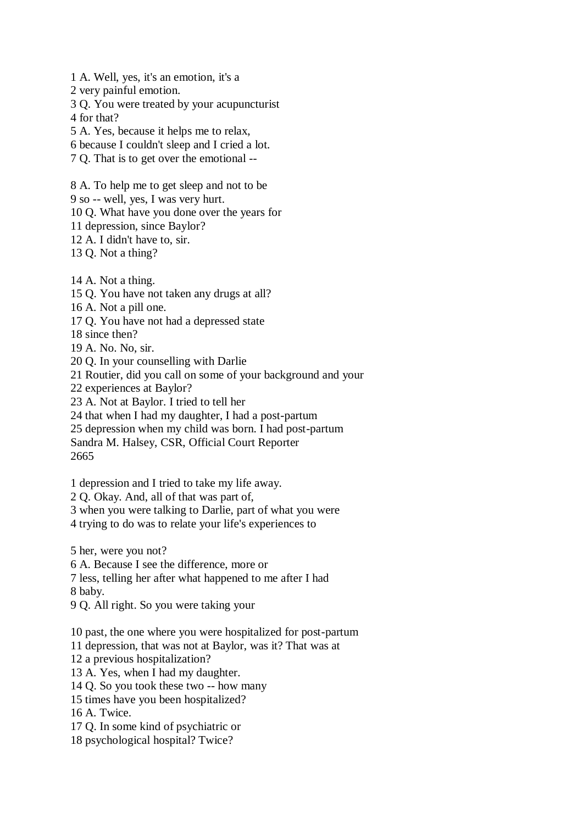- 1 A. Well, yes, it's an emotion, it's a
- 2 very painful emotion.
- 3 Q. You were treated by your acupuncturist 4 for that?
- 5 A. Yes, because it helps me to relax,
- 6 because I couldn't sleep and I cried a lot.
- 7 Q. That is to get over the emotional --
- 8 A. To help me to get sleep and not to be
- 9 so -- well, yes, I was very hurt.
- 10 Q. What have you done over the years for
- 11 depression, since Baylor?
- 12 A. I didn't have to, sir.
- 13 Q. Not a thing?
- 14 A. Not a thing.
- 15 Q. You have not taken any drugs at all?
- 16 A. Not a pill one.
- 17 Q. You have not had a depressed state
- 18 since then?
- 19 A. No. No, sir.
- 20 Q. In your counselling with Darlie
- 21 Routier, did you call on some of your background and your
- 22 experiences at Baylor?
- 23 A. Not at Baylor. I tried to tell her
- 24 that when I had my daughter, I had a post-partum
- 25 depression when my child was born. I had post-partum
- Sandra M. Halsey, CSR, Official Court Reporter
- 2665
- 1 depression and I tried to take my life away.
- 2 Q. Okay. And, all of that was part of,
- 3 when you were talking to Darlie, part of what you were
- 4 trying to do was to relate your life's experiences to
- 5 her, were you not?
- 6 A. Because I see the difference, more or
- 7 less, telling her after what happened to me after I had
- 8 baby.
- 9 Q. All right. So you were taking your
- 10 past, the one where you were hospitalized for post-partum
- 11 depression, that was not at Baylor, was it? That was at
- 12 a previous hospitalization?
- 13 A. Yes, when I had my daughter.
- 14 Q. So you took these two -- how many
- 15 times have you been hospitalized?
- 16 A. Twice.
- 17 Q. In some kind of psychiatric or
- 18 psychological hospital? Twice?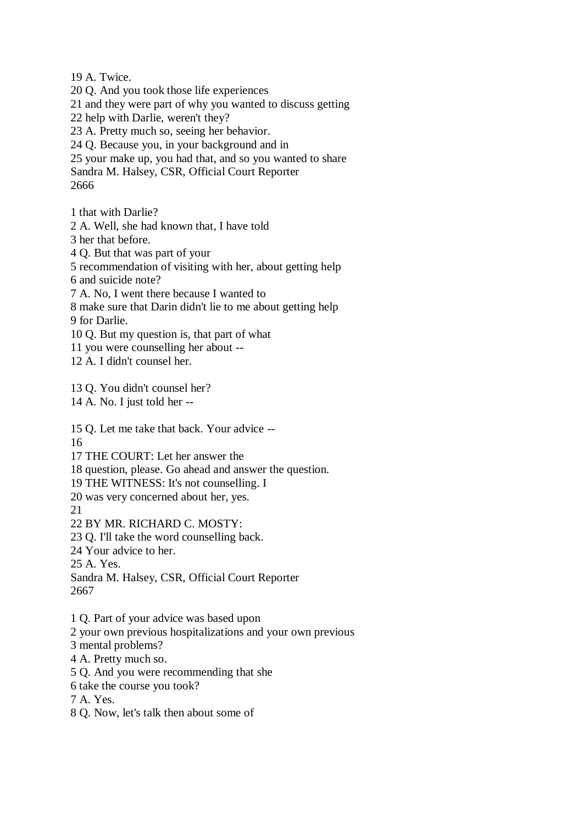19 A. Twice.

20 Q. And you took those life experiences

21 and they were part of why you wanted to discuss getting

22 help with Darlie, weren't they?

23 A. Pretty much so, seeing her behavior.

24 Q. Because you, in your background and in

25 your make up, you had that, and so you wanted to share

Sandra M. Halsey, CSR, Official Court Reporter

2666

1 that with Darlie?

2 A. Well, she had known that, I have told

3 her that before.

4 Q. But that was part of your

5 recommendation of visiting with her, about getting help

6 and suicide note?

7 A. No, I went there because I wanted to

8 make sure that Darin didn't lie to me about getting help

9 for Darlie.

10 Q. But my question is, that part of what

11 you were counselling her about --

12 A. I didn't counsel her.

13 Q. You didn't counsel her?

14 A. No. I just told her --

15 Q. Let me take that back. Your advice --

16

17 THE COURT: Let her answer the

18 question, please. Go ahead and answer the question.

19 THE WITNESS: It's not counselling. I

20 was very concerned about her, yes.

21

22 BY MR. RICHARD C. MOSTY:

23 Q. I'll take the word counselling back.

24 Your advice to her.

25 A. Yes.

Sandra M. Halsey, CSR, Official Court Reporter 2667

1 Q. Part of your advice was based upon

2 your own previous hospitalizations and your own previous

3 mental problems?

4 A. Pretty much so.

5 Q. And you were recommending that she

6 take the course you took?

7 A. Yes.

8 Q. Now, let's talk then about some of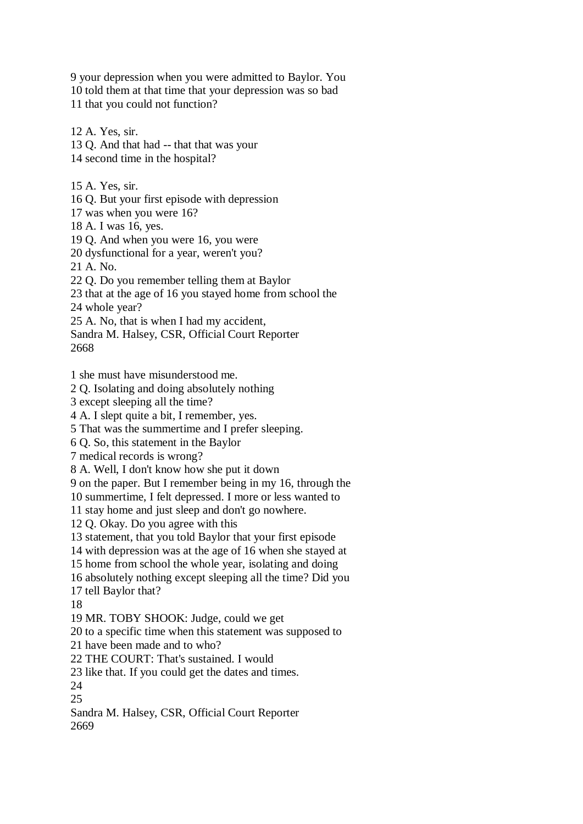9 your depression when you were admitted to Baylor. You 10 told them at that time that your depression was so bad 11 that you could not function?

12 A. Yes, sir. 13 Q. And that had -- that that was your 14 second time in the hospital? 15 A. Yes, sir. 16 Q. But your first episode with depression 17 was when you were 16? 18 A. I was 16, yes. 19 Q. And when you were 16, you were 20 dysfunctional for a year, weren't you? 21 A. No. 22 Q. Do you remember telling them at Baylor 23 that at the age of 16 you stayed home from school the 24 whole year? 25 A. No, that is when I had my accident, Sandra M. Halsey, CSR, Official Court Reporter 2668

1 she must have misunderstood me.

2 Q. Isolating and doing absolutely nothing

3 except sleeping all the time?

4 A. I slept quite a bit, I remember, yes.

5 That was the summertime and I prefer sleeping.

6 Q. So, this statement in the Baylor

7 medical records is wrong?

8 A. Well, I don't know how she put it down

9 on the paper. But I remember being in my 16, through the

10 summertime, I felt depressed. I more or less wanted to

11 stay home and just sleep and don't go nowhere.

12 Q. Okay. Do you agree with this

13 statement, that you told Baylor that your first episode

14 with depression was at the age of 16 when she stayed at

15 home from school the whole year, isolating and doing

16 absolutely nothing except sleeping all the time? Did you

17 tell Baylor that?

18

19 MR. TOBY SHOOK: Judge, could we get

20 to a specific time when this statement was supposed to

21 have been made and to who?

22 THE COURT: That's sustained. I would

23 like that. If you could get the dates and times.

24

25

Sandra M. Halsey, CSR, Official Court Reporter 2669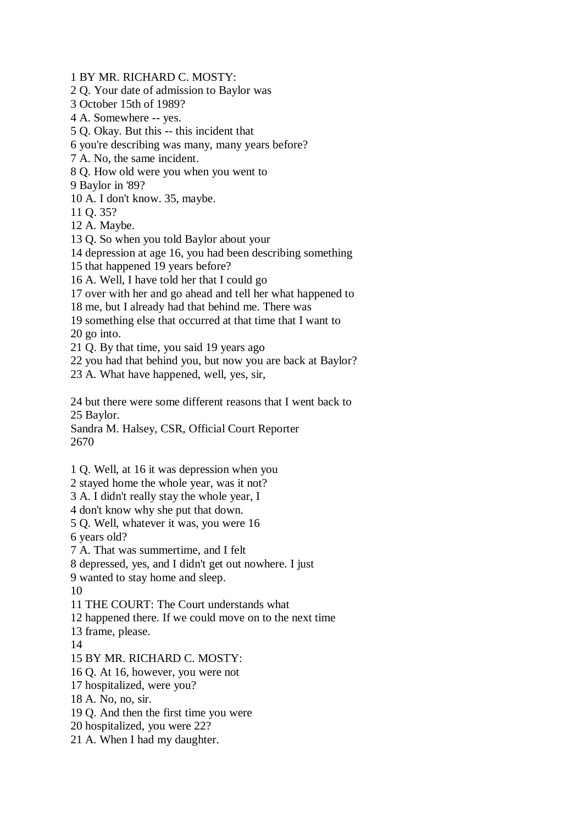1 BY MR. RICHARD C. MOSTY:

2 Q. Your date of admission to Baylor was

3 October 15th of 1989?

4 A. Somewhere -- yes.

5 Q. Okay. But this -- this incident that

6 you're describing was many, many years before?

7 A. No, the same incident.

8 Q. How old were you when you went to

9 Baylor in '89?

10 A. I don't know. 35, maybe.

11 Q. 35?

12 A. Maybe.

13 Q. So when you told Baylor about your

14 depression at age 16, you had been describing something

15 that happened 19 years before?

16 A. Well, I have told her that I could go

17 over with her and go ahead and tell her what happened to

18 me, but I already had that behind me. There was

19 something else that occurred at that time that I want to 20 go into.

21 Q. By that time, you said 19 years ago

22 you had that behind you, but now you are back at Baylor?

23 A. What have happened, well, yes, sir,

24 but there were some different reasons that I went back to 25 Baylor.

Sandra M. Halsey, CSR, Official Court Reporter 2670

1 Q. Well, at 16 it was depression when you

2 stayed home the whole year, was it not?

3 A. I didn't really stay the whole year, I

4 don't know why she put that down.

5 Q. Well, whatever it was, you were 16

6 years old?

7 A. That was summertime, and I felt

8 depressed, yes, and I didn't get out nowhere. I just

9 wanted to stay home and sleep.

10

11 THE COURT: The Court understands what

12 happened there. If we could move on to the next time

13 frame, please.

14

15 BY MR. RICHARD C. MOSTY:

16 Q. At 16, however, you were not

17 hospitalized, were you?

18 A. No, no, sir.

19 Q. And then the first time you were

20 hospitalized, you were 22?

21 A. When I had my daughter.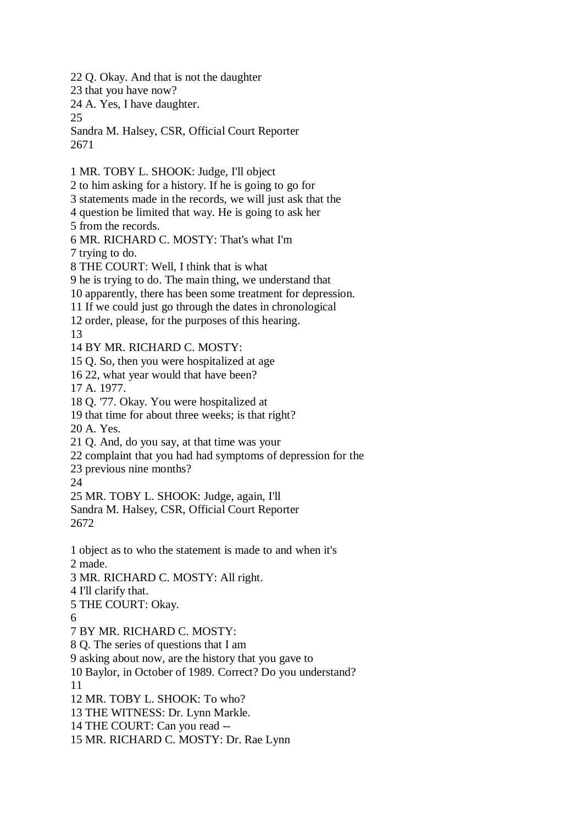22 Q. Okay. And that is not the daughter

23 that you have now?

24 A. Yes, I have daughter.

25

Sandra M. Halsey, CSR, Official Court Reporter 2671

1 MR. TOBY L. SHOOK: Judge, I'll object 2 to him asking for a history. If he is going to go for 3 statements made in the records, we will just ask that the 4 question be limited that way. He is going to ask her 5 from the records. 6 MR. RICHARD C. MOSTY: That's what I'm 7 trying to do. 8 THE COURT: Well, I think that is what 9 he is trying to do. The main thing, we understand that 10 apparently, there has been some treatment for depression. 11 If we could just go through the dates in chronological 12 order, please, for the purposes of this hearing. 13 14 BY MR. RICHARD C. MOSTY: 15 Q. So, then you were hospitalized at age 16 22, what year would that have been? 17 A. 1977. 18 Q. '77. Okay. You were hospitalized at 19 that time for about three weeks; is that right? 20 A. Yes. 21 Q. And, do you say, at that time was your 22 complaint that you had had symptoms of depression for the 23 previous nine months? 24 25 MR. TOBY L. SHOOK: Judge, again, I'll Sandra M. Halsey, CSR, Official Court Reporter 2672 1 object as to who the statement is made to and when it's 2 made. 3 MR. RICHARD C. MOSTY: All right. 4 I'll clarify that. 5 THE COURT: Okay. 6 7 BY MR. RICHARD C. MOSTY: 8 Q. The series of questions that I am 9 asking about now, are the history that you gave to 10 Baylor, in October of 1989. Correct? Do you understand? 11 12 MR. TOBY L. SHOOK: To who? 13 THE WITNESS: Dr. Lynn Markle. 14 THE COURT: Can you read -- 15 MR. RICHARD C. MOSTY: Dr. Rae Lynn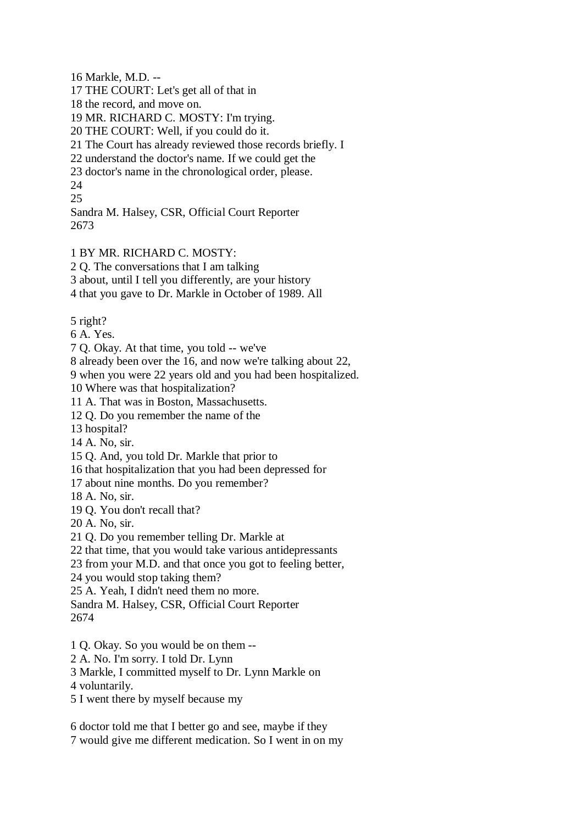16 Markle, M.D. --

17 THE COURT: Let's get all of that in

18 the record, and move on.

19 MR. RICHARD C. MOSTY: I'm trying.

20 THE COURT: Well, if you could do it.

21 The Court has already reviewed those records briefly. I

22 understand the doctor's name. If we could get the

23 doctor's name in the chronological order, please.

24

25

Sandra M. Halsey, CSR, Official Court Reporter 2673

## 1 BY MR. RICHARD C. MOSTY:

2 Q. The conversations that I am talking

3 about, until I tell you differently, are your history

4 that you gave to Dr. Markle in October of 1989. All

5 right?

6 A. Yes.

7 Q. Okay. At that time, you told -- we've

8 already been over the 16, and now we're talking about 22,

9 when you were 22 years old and you had been hospitalized.

10 Where was that hospitalization?

11 A. That was in Boston, Massachusetts.

12 Q. Do you remember the name of the

13 hospital?

14 A. No, sir.

15 Q. And, you told Dr. Markle that prior to

16 that hospitalization that you had been depressed for

17 about nine months. Do you remember?

18 A. No, sir.

19 Q. You don't recall that?

20 A. No, sir.

21 Q. Do you remember telling Dr. Markle at

22 that time, that you would take various antidepressants

23 from your M.D. and that once you got to feeling better,

24 you would stop taking them?

25 A. Yeah, I didn't need them no more.

Sandra M. Halsey, CSR, Official Court Reporter 2674

- 1 Q. Okay. So you would be on them --
- 2 A. No. I'm sorry. I told Dr. Lynn

3 Markle, I committed myself to Dr. Lynn Markle on

4 voluntarily.

5 I went there by myself because my

6 doctor told me that I better go and see, maybe if they

7 would give me different medication. So I went in on my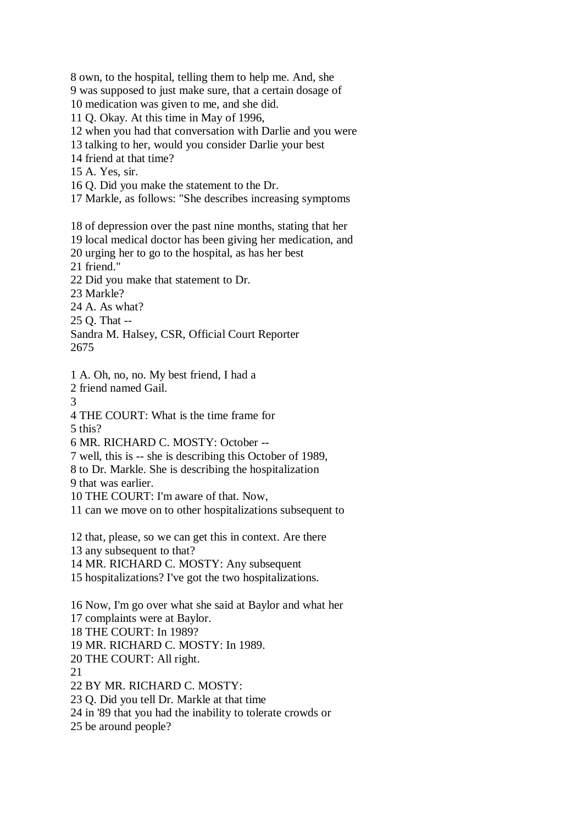8 own, to the hospital, telling them to help me. And, she 9 was supposed to just make sure, that a certain dosage of 10 medication was given to me, and she did. 11 Q. Okay. At this time in May of 1996, 12 when you had that conversation with Darlie and you were 13 talking to her, would you consider Darlie your best 14 friend at that time? 15 A. Yes, sir. 16 Q. Did you make the statement to the Dr. 17 Markle, as follows: "She describes increasing symptoms 18 of depression over the past nine months, stating that her 19 local medical doctor has been giving her medication, and 20 urging her to go to the hospital, as has her best 21 friend." 22 Did you make that statement to Dr. 23 Markle? 24 A. As what? 25 Q. That -- Sandra M. Halsey, CSR, Official Court Reporter 2675 1 A. Oh, no, no. My best friend, I had a 2 friend named Gail. 3 4 THE COURT: What is the time frame for 5 this? 6 MR. RICHARD C. MOSTY: October -- 7 well, this is -- she is describing this October of 1989, 8 to Dr. Markle. She is describing the hospitalization 9 that was earlier. 10 THE COURT: I'm aware of that. Now, 11 can we move on to other hospitalizations subsequent to 12 that, please, so we can get this in context. Are there 13 any subsequent to that? 14 MR. RICHARD C. MOSTY: Any subsequent 15 hospitalizations? I've got the two hospitalizations. 16 Now, I'm go over what she said at Baylor and what her 17 complaints were at Baylor. 18 THE COURT: In 1989? 19 MR. RICHARD C. MOSTY: In 1989. 20 THE COURT: All right. 21 22 BY MR. RICHARD C. MOSTY: 23 Q. Did you tell Dr. Markle at that time 24 in '89 that you had the inability to tolerate crowds or

25 be around people?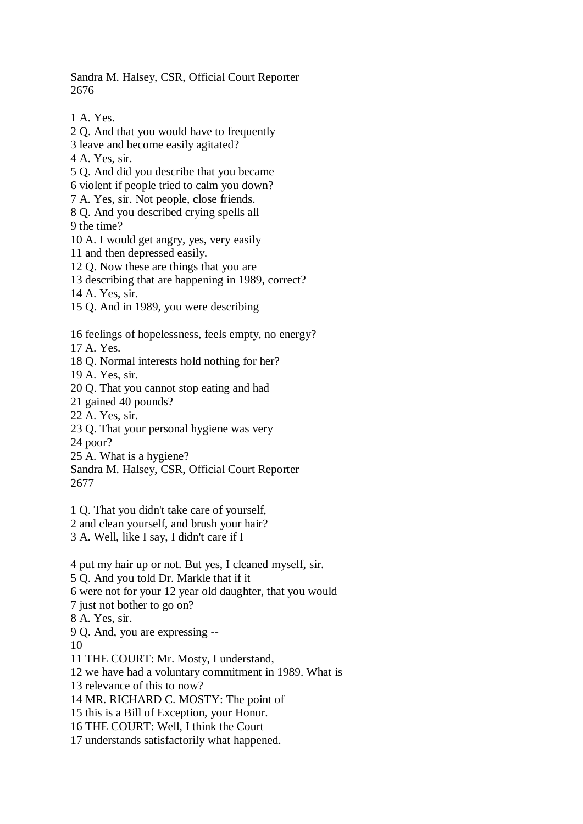Sandra M. Halsey, CSR, Official Court Reporter 2676

1 A. Yes. 2 Q. And that you would have to frequently 3 leave and become easily agitated? 4 A. Yes, sir. 5 Q. And did you describe that you became 6 violent if people tried to calm you down? 7 A. Yes, sir. Not people, close friends. 8 Q. And you described crying spells all 9 the time? 10 A. I would get angry, yes, very easily 11 and then depressed easily. 12 Q. Now these are things that you are 13 describing that are happening in 1989, correct? 14 A. Yes, sir. 15 Q. And in 1989, you were describing 16 feelings of hopelessness, feels empty, no energy? 17 A. Yes. 18 Q. Normal interests hold nothing for her? 19 A. Yes, sir. 20 Q. That you cannot stop eating and had 21 gained 40 pounds? 22 A. Yes, sir. 23 Q. That your personal hygiene was very 24 poor? 25 A. What is a hygiene? Sandra M. Halsey, CSR, Official Court Reporter 2677 1 Q. That you didn't take care of yourself, 2 and clean yourself, and brush your hair? 3 A. Well, like I say, I didn't care if I

4 put my hair up or not. But yes, I cleaned myself, sir. 5 Q. And you told Dr. Markle that if it 6 were not for your 12 year old daughter, that you would 7 just not bother to go on? 8 A. Yes, sir. 9 Q. And, you are expressing -- 10 11 THE COURT: Mr. Mosty, I understand, 12 we have had a voluntary commitment in 1989. What is 13 relevance of this to now? 14 MR. RICHARD C. MOSTY: The point of 15 this is a Bill of Exception, your Honor. 16 THE COURT: Well, I think the Court

17 understands satisfactorily what happened.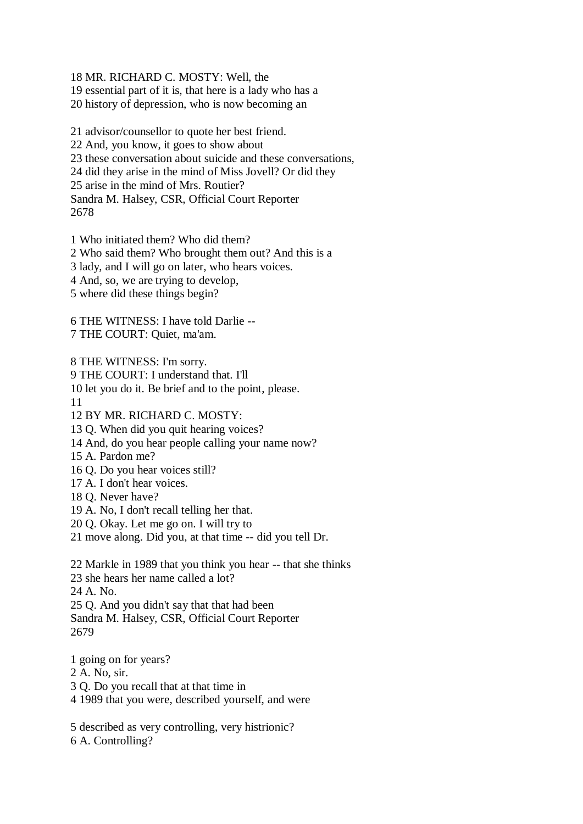18 MR. RICHARD C. MOSTY: Well, the

19 essential part of it is, that here is a lady who has a

20 history of depression, who is now becoming an

21 advisor/counsellor to quote her best friend. 22 And, you know, it goes to show about 23 these conversation about suicide and these conversations, 24 did they arise in the mind of Miss Jovell? Or did they 25 arise in the mind of Mrs. Routier? Sandra M. Halsey, CSR, Official Court Reporter 2678

1 Who initiated them? Who did them? 2 Who said them? Who brought them out? And this is a 3 lady, and I will go on later, who hears voices.

4 And, so, we are trying to develop,

5 where did these things begin?

6 THE WITNESS: I have told Darlie -- 7 THE COURT: Quiet, ma'am.

8 THE WITNESS: I'm sorry.

9 THE COURT: I understand that. I'll

10 let you do it. Be brief and to the point, please.

11

12 BY MR. RICHARD C. MOSTY:

13 Q. When did you quit hearing voices?

14 And, do you hear people calling your name now?

15 A. Pardon me?

16 Q. Do you hear voices still?

17 A. I don't hear voices.

18 Q. Never have?

19 A. No, I don't recall telling her that.

20 Q. Okay. Let me go on. I will try to

21 move along. Did you, at that time -- did you tell Dr.

22 Markle in 1989 that you think you hear -- that she thinks 23 she hears her name called a lot? 24 A. No. 25 Q. And you didn't say that that had been Sandra M. Halsey, CSR, Official Court Reporter 2679

1 going on for years?

2 A. No, sir.

3 Q. Do you recall that at that time in

4 1989 that you were, described yourself, and were

5 described as very controlling, very histrionic? 6 A. Controlling?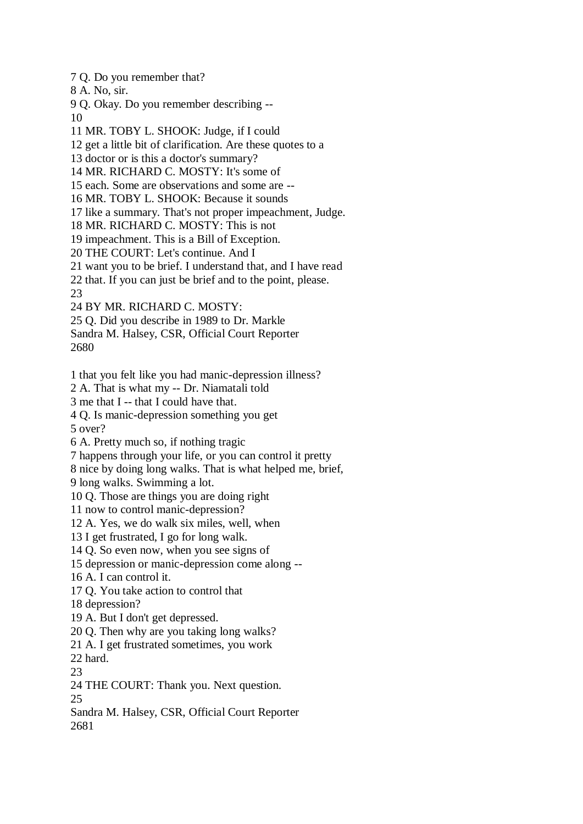7 Q. Do you remember that?

8 A. No, sir.

9 Q. Okay. Do you remember describing -- 10

11 MR. TOBY L. SHOOK: Judge, if I could

12 get a little bit of clarification. Are these quotes to a

13 doctor or is this a doctor's summary?

14 MR. RICHARD C. MOSTY: It's some of

15 each. Some are observations and some are --

16 MR. TOBY L. SHOOK: Because it sounds

17 like a summary. That's not proper impeachment, Judge.

18 MR. RICHARD C. MOSTY: This is not

19 impeachment. This is a Bill of Exception.

20 THE COURT: Let's continue. And I

21 want you to be brief. I understand that, and I have read

22 that. If you can just be brief and to the point, please.

23

24 BY MR. RICHARD C. MOSTY:

25 Q. Did you describe in 1989 to Dr. Markle

Sandra M. Halsey, CSR, Official Court Reporter 2680

1 that you felt like you had manic-depression illness?

2 A. That is what my -- Dr. Niamatali told

3 me that I -- that I could have that.

4 Q. Is manic-depression something you get

5 over?

6 A. Pretty much so, if nothing tragic

7 happens through your life, or you can control it pretty

8 nice by doing long walks. That is what helped me, brief,

9 long walks. Swimming a lot.

10 Q. Those are things you are doing right

11 now to control manic-depression?

12 A. Yes, we do walk six miles, well, when

13 I get frustrated, I go for long walk.

14 Q. So even now, when you see signs of

15 depression or manic-depression come along --

16 A. I can control it.

17 Q. You take action to control that

18 depression?

19 A. But I don't get depressed.

20 Q. Then why are you taking long walks?

21 A. I get frustrated sometimes, you work

22 hard.

23

24 THE COURT: Thank you. Next question.

25

Sandra M. Halsey, CSR, Official Court Reporter 2681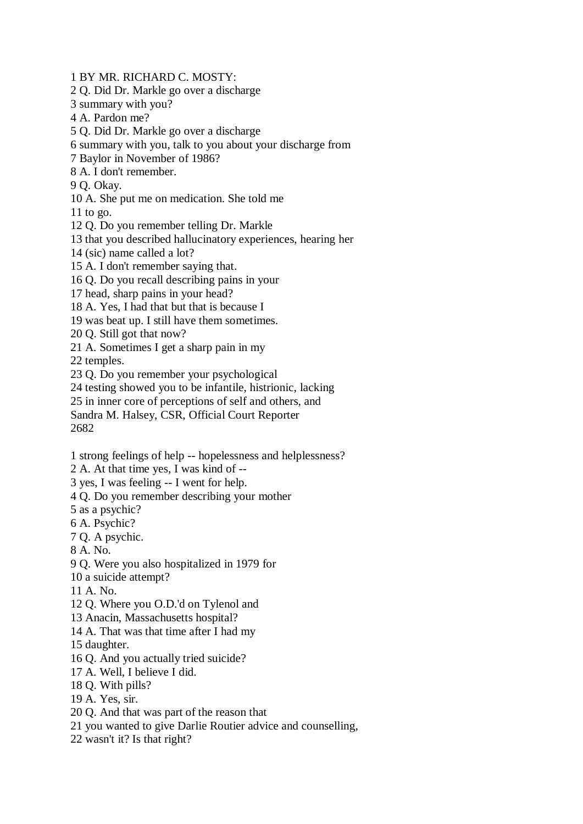1 BY MR. RICHARD C. MOSTY:

2 Q. Did Dr. Markle go over a discharge

3 summary with you?

4 A. Pardon me?

5 Q. Did Dr. Markle go over a discharge

6 summary with you, talk to you about your discharge from

7 Baylor in November of 1986?

8 A. I don't remember.

9 Q. Okay.

10 A. She put me on medication. She told me

11 to go.

12 Q. Do you remember telling Dr. Markle

13 that you described hallucinatory experiences, hearing her

14 (sic) name called a lot?

15 A. I don't remember saying that.

16 Q. Do you recall describing pains in your

17 head, sharp pains in your head?

18 A. Yes, I had that but that is because I

19 was beat up. I still have them sometimes.

20 Q. Still got that now?

21 A. Sometimes I get a sharp pain in my

22 temples.

23 Q. Do you remember your psychological

24 testing showed you to be infantile, histrionic, lacking

25 in inner core of perceptions of self and others, and

Sandra M. Halsey, CSR, Official Court Reporter 2682

1 strong feelings of help -- hopelessness and helplessness?

2 A. At that time yes, I was kind of --

3 yes, I was feeling -- I went for help.

4 Q. Do you remember describing your mother

5 as a psychic?

6 A. Psychic?

7 Q. A psychic.

8 A. No.

9 Q. Were you also hospitalized in 1979 for

10 a suicide attempt?

11 A. No.

12 Q. Where you O.D.'d on Tylenol and

13 Anacin, Massachusetts hospital?

14 A. That was that time after I had my

15 daughter.

16 Q. And you actually tried suicide?

17 A. Well, I believe I did.

18 Q. With pills?

19 A. Yes, sir.

20 Q. And that was part of the reason that

21 you wanted to give Darlie Routier advice and counselling,

22 wasn't it? Is that right?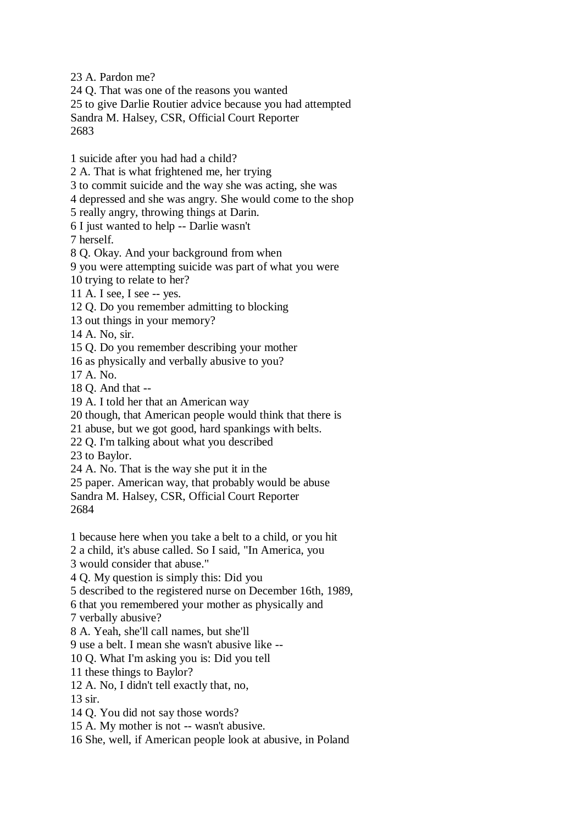23 A. Pardon me?

24 Q. That was one of the reasons you wanted

25 to give Darlie Routier advice because you had attempted Sandra M. Halsey, CSR, Official Court Reporter

2683

1 suicide after you had had a child?

2 A. That is what frightened me, her trying

3 to commit suicide and the way she was acting, she was

4 depressed and she was angry. She would come to the shop

5 really angry, throwing things at Darin.

6 I just wanted to help -- Darlie wasn't

7 herself.

8 Q. Okay. And your background from when

9 you were attempting suicide was part of what you were

10 trying to relate to her?

11 A. I see, I see -- yes.

12 Q. Do you remember admitting to blocking

13 out things in your memory?

14 A. No, sir.

15 Q. Do you remember describing your mother

16 as physically and verbally abusive to you?

17 A. No.

18 Q. And that --

19 A. I told her that an American way

20 though, that American people would think that there is

21 abuse, but we got good, hard spankings with belts.

22 Q. I'm talking about what you described

23 to Baylor.

24 A. No. That is the way she put it in the

25 paper. American way, that probably would be abuse

Sandra M. Halsey, CSR, Official Court Reporter 2684

1 because here when you take a belt to a child, or you hit

2 a child, it's abuse called. So I said, "In America, you

3 would consider that abuse."

4 Q. My question is simply this: Did you

5 described to the registered nurse on December 16th, 1989,

6 that you remembered your mother as physically and

7 verbally abusive?

8 A. Yeah, she'll call names, but she'll

9 use a belt. I mean she wasn't abusive like --

10 Q. What I'm asking you is: Did you tell

11 these things to Baylor?

12 A. No, I didn't tell exactly that, no,

13 sir.

14 Q. You did not say those words?

15 A. My mother is not -- wasn't abusive.

16 She, well, if American people look at abusive, in Poland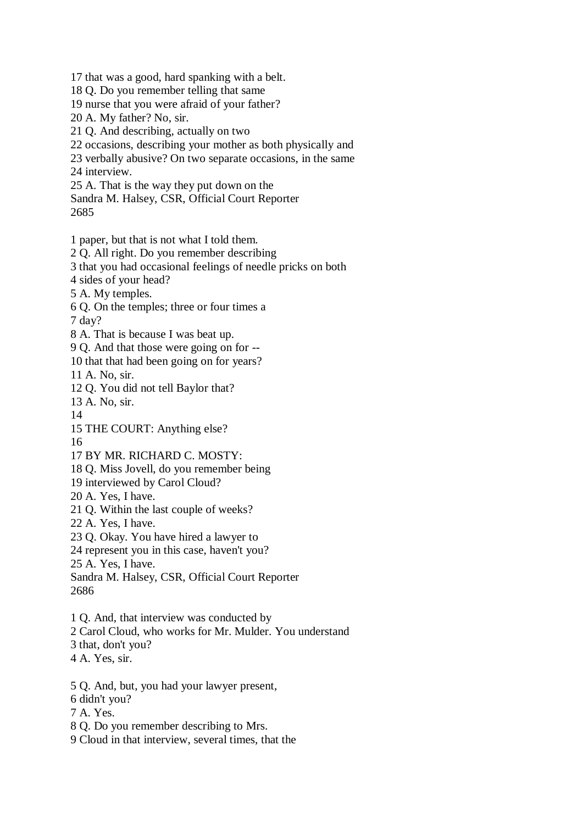17 that was a good, hard spanking with a belt.

- 18 Q. Do you remember telling that same
- 19 nurse that you were afraid of your father?
- 20 A. My father? No, sir.
- 21 Q. And describing, actually on two
- 22 occasions, describing your mother as both physically and
- 23 verbally abusive? On two separate occasions, in the same
- 24 interview.

25 A. That is the way they put down on the

Sandra M. Halsey, CSR, Official Court Reporter 2685

- 1 paper, but that is not what I told them.
- 2 Q. All right. Do you remember describing
- 3 that you had occasional feelings of needle pricks on both
- 4 sides of your head?
- 5 A. My temples.
- 6 Q. On the temples; three or four times a
- 7 day?
- 8 A. That is because I was beat up.
- 9 Q. And that those were going on for --
- 10 that that had been going on for years?
- 11 A. No, sir.
- 12 Q. You did not tell Baylor that?
- 13 A. No, sir.
- 14
- 15 THE COURT: Anything else?
- 16
- 17 BY MR. RICHARD C. MOSTY:
- 18 Q. Miss Jovell, do you remember being
- 19 interviewed by Carol Cloud?
- 20 A. Yes, I have.
- 21 Q. Within the last couple of weeks?
- 22 A. Yes, I have.
- 23 Q. Okay. You have hired a lawyer to
- 24 represent you in this case, haven't you?
- 25 A. Yes, I have.

Sandra M. Halsey, CSR, Official Court Reporter 2686

- 1 Q. And, that interview was conducted by
- 2 Carol Cloud, who works for Mr. Mulder. You understand
- 3 that, don't you?
- 4 A. Yes, sir.
- 5 Q. And, but, you had your lawyer present,
- 6 didn't you?
- 7 A. Yes.
- 8 Q. Do you remember describing to Mrs.
- 9 Cloud in that interview, several times, that the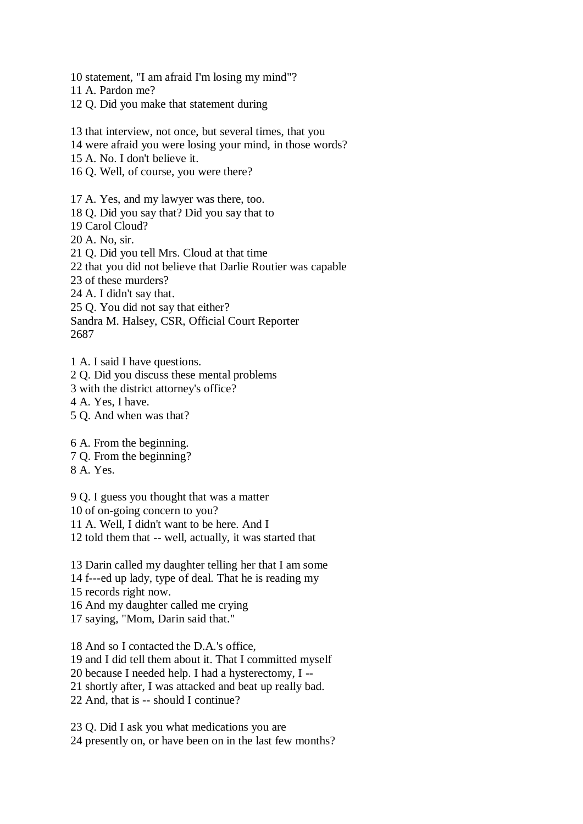10 statement, "I am afraid I'm losing my mind"?

11 A. Pardon me?

12 Q. Did you make that statement during

13 that interview, not once, but several times, that you

14 were afraid you were losing your mind, in those words?

15 A. No. I don't believe it.

16 Q. Well, of course, you were there?

17 A. Yes, and my lawyer was there, too.

18 Q. Did you say that? Did you say that to

19 Carol Cloud?

20 A. No, sir.

21 Q. Did you tell Mrs. Cloud at that time

22 that you did not believe that Darlie Routier was capable

23 of these murders?

24 A. I didn't say that.

25 Q. You did not say that either?

Sandra M. Halsey, CSR, Official Court Reporter

2687

1 A. I said I have questions.

2 Q. Did you discuss these mental problems

3 with the district attorney's office?

4 A. Yes, I have.

5 Q. And when was that?

6 A. From the beginning.

7 Q. From the beginning?

8 A. Yes.

9 Q. I guess you thought that was a matter

10 of on-going concern to you?

11 A. Well, I didn't want to be here. And I

12 told them that -- well, actually, it was started that

13 Darin called my daughter telling her that I am some

14 f---ed up lady, type of deal. That he is reading my

15 records right now.

16 And my daughter called me crying

17 saying, "Mom, Darin said that."

18 And so I contacted the D.A.'s office,

19 and I did tell them about it. That I committed myself

20 because I needed help. I had a hysterectomy, I --

21 shortly after, I was attacked and beat up really bad.

22 And, that is -- should I continue?

23 Q. Did I ask you what medications you are 24 presently on, or have been on in the last few months?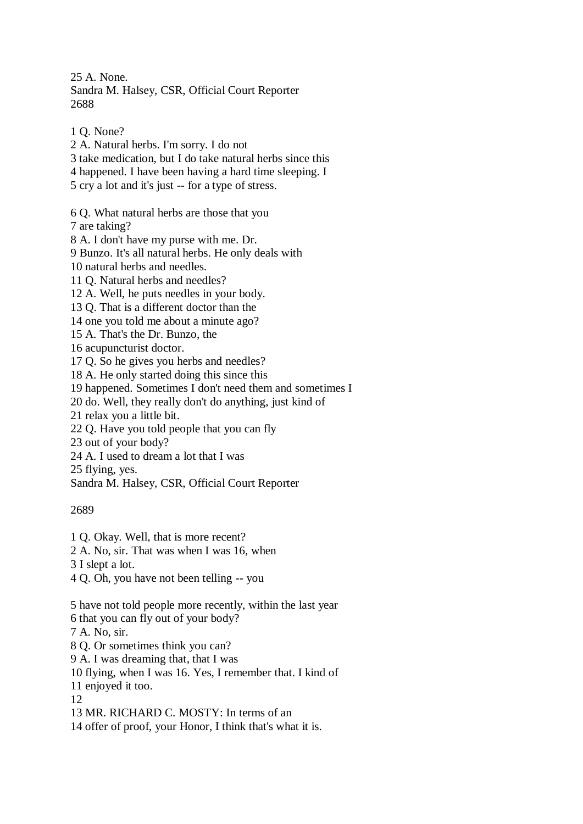25 A. None. Sandra M. Halsey, CSR, Official Court Reporter 2688

2 A. Natural herbs. I'm sorry. I do not 3 take medication, but I do take natural herbs since this 4 happened. I have been having a hard time sleeping. I 5 cry a lot and it's just -- for a type of stress. 6 Q. What natural herbs are those that you 7 are taking? 8 A. I don't have my purse with me. Dr. 9 Bunzo. It's all natural herbs. He only deals with 10 natural herbs and needles. 11 Q. Natural herbs and needles? 12 A. Well, he puts needles in your body. 13 Q. That is a different doctor than the 14 one you told me about a minute ago? 15 A. That's the Dr. Bunzo, the 16 acupuncturist doctor. 17 Q. So he gives you herbs and needles? 18 A. He only started doing this since this 19 happened. Sometimes I don't need them and sometimes I 20 do. Well, they really don't do anything, just kind of 21 relax you a little bit. 22 Q. Have you told people that you can fly 23 out of your body? 24 A. I used to dream a lot that I was 25 flying, yes.

Sandra M. Halsey, CSR, Official Court Reporter

2689

1 Q. None?

1 Q. Okay. Well, that is more recent?

2 A. No, sir. That was when I was 16, when

3 I slept a lot.

4 Q. Oh, you have not been telling -- you

5 have not told people more recently, within the last year

6 that you can fly out of your body?

7 A. No, sir.

8 Q. Or sometimes think you can?

9 A. I was dreaming that, that I was

10 flying, when I was 16. Yes, I remember that. I kind of

11 enjoyed it too.

12

13 MR. RICHARD C. MOSTY: In terms of an

14 offer of proof, your Honor, I think that's what it is.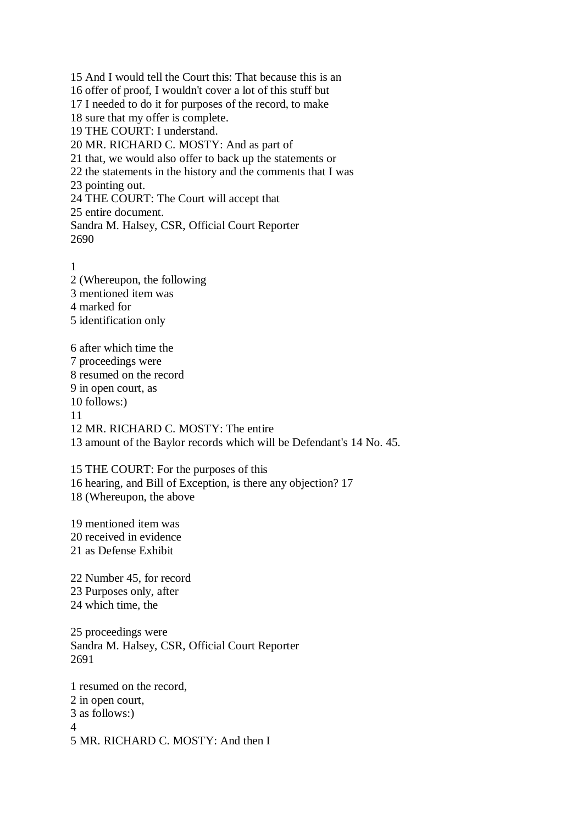15 And I would tell the Court this: That because this is an 16 offer of proof, I wouldn't cover a lot of this stuff but 17 I needed to do it for purposes of the record, to make 18 sure that my offer is complete. 19 THE COURT: I understand. 20 MR. RICHARD C. MOSTY: And as part of 21 that, we would also offer to back up the statements or 22 the statements in the history and the comments that I was 23 pointing out. 24 THE COURT: The Court will accept that 25 entire document. Sandra M. Halsey, CSR, Official Court Reporter 2690

1 2 (Whereupon, the following 3 mentioned item was 4 marked for 5 identification only

6 after which time the 7 proceedings were 8 resumed on the record 9 in open court, as 10 follows:) 11 12 MR. RICHARD C. MOSTY: The entire 13 amount of the Baylor records which will be Defendant's 14 No. 45.

15 THE COURT: For the purposes of this 16 hearing, and Bill of Exception, is there any objection? 17 18 (Whereupon, the above

19 mentioned item was 20 received in evidence 21 as Defense Exhibit

22 Number 45, for record 23 Purposes only, after 24 which time, the

25 proceedings were Sandra M. Halsey, CSR, Official Court Reporter 2691

1 resumed on the record, 2 in open court, 3 as follows:) 4 5 MR. RICHARD C. MOSTY: And then I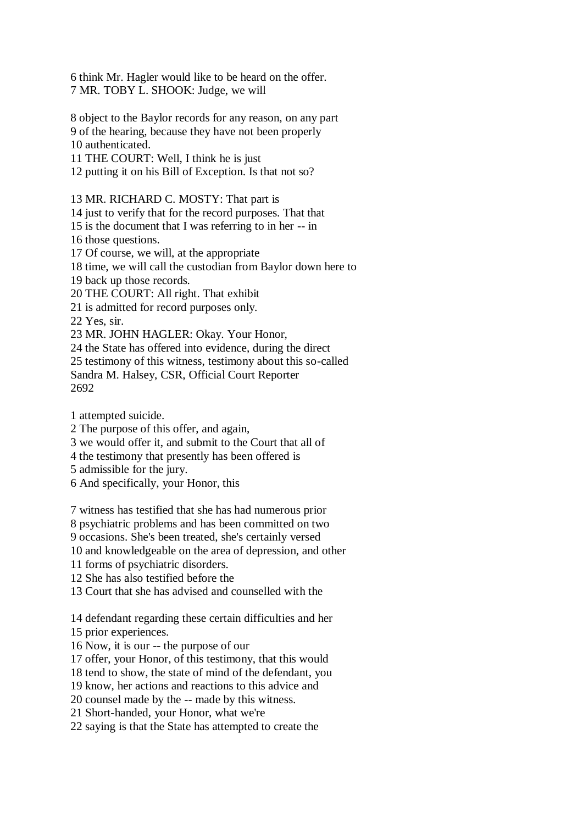6 think Mr. Hagler would like to be heard on the offer. 7 MR. TOBY L. SHOOK: Judge, we will

8 object to the Baylor records for any reason, on any part 9 of the hearing, because they have not been properly 10 authenticated.

11 THE COURT: Well, I think he is just

12 putting it on his Bill of Exception. Is that not so?

13 MR. RICHARD C. MOSTY: That part is 14 just to verify that for the record purposes. That that 15 is the document that I was referring to in her -- in 16 those questions. 17 Of course, we will, at the appropriate 18 time, we will call the custodian from Baylor down here to 19 back up those records. 20 THE COURT: All right. That exhibit 21 is admitted for record purposes only. 22 Yes, sir. 23 MR. JOHN HAGLER: Okay. Your Honor, 24 the State has offered into evidence, during the direct 25 testimony of this witness, testimony about this so-called Sandra M. Halsey, CSR, Official Court Reporter

2692

1 attempted suicide.

2 The purpose of this offer, and again,

3 we would offer it, and submit to the Court that all of

4 the testimony that presently has been offered is

5 admissible for the jury.

6 And specifically, your Honor, this

7 witness has testified that she has had numerous prior

8 psychiatric problems and has been committed on two

9 occasions. She's been treated, she's certainly versed

10 and knowledgeable on the area of depression, and other

11 forms of psychiatric disorders.

12 She has also testified before the

13 Court that she has advised and counselled with the

14 defendant regarding these certain difficulties and her

15 prior experiences.

16 Now, it is our -- the purpose of our

17 offer, your Honor, of this testimony, that this would

18 tend to show, the state of mind of the defendant, you

19 know, her actions and reactions to this advice and

20 counsel made by the -- made by this witness.

21 Short-handed, your Honor, what we're

22 saying is that the State has attempted to create the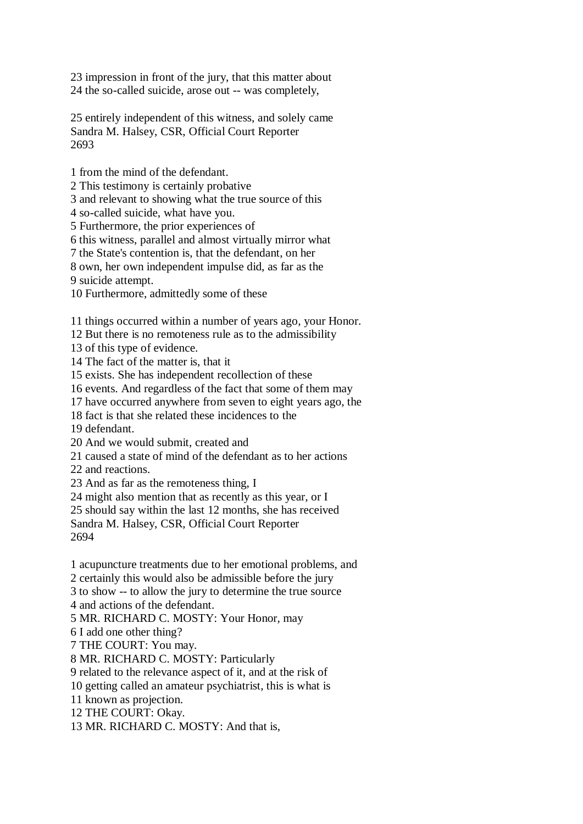23 impression in front of the jury, that this matter about 24 the so-called suicide, arose out -- was completely,

25 entirely independent of this witness, and solely came Sandra M. Halsey, CSR, Official Court Reporter 2693

1 from the mind of the defendant.

2 This testimony is certainly probative

3 and relevant to showing what the true source of this

4 so-called suicide, what have you.

5 Furthermore, the prior experiences of

6 this witness, parallel and almost virtually mirror what

7 the State's contention is, that the defendant, on her

8 own, her own independent impulse did, as far as the

9 suicide attempt.

10 Furthermore, admittedly some of these

11 things occurred within a number of years ago, your Honor.

12 But there is no remoteness rule as to the admissibility

13 of this type of evidence.

14 The fact of the matter is, that it

15 exists. She has independent recollection of these

16 events. And regardless of the fact that some of them may

17 have occurred anywhere from seven to eight years ago, the

18 fact is that she related these incidences to the

19 defendant.

20 And we would submit, created and

21 caused a state of mind of the defendant as to her actions

22 and reactions.

23 And as far as the remoteness thing, I

24 might also mention that as recently as this year, or I

25 should say within the last 12 months, she has received

Sandra M. Halsey, CSR, Official Court Reporter 2694

1 acupuncture treatments due to her emotional problems, and

2 certainly this would also be admissible before the jury

3 to show -- to allow the jury to determine the true source

4 and actions of the defendant.

5 MR. RICHARD C. MOSTY: Your Honor, may

6 I add one other thing?

7 THE COURT: You may.

8 MR. RICHARD C. MOSTY: Particularly

9 related to the relevance aspect of it, and at the risk of

10 getting called an amateur psychiatrist, this is what is

11 known as projection.

12 THE COURT: Okay.

13 MR. RICHARD C. MOSTY: And that is,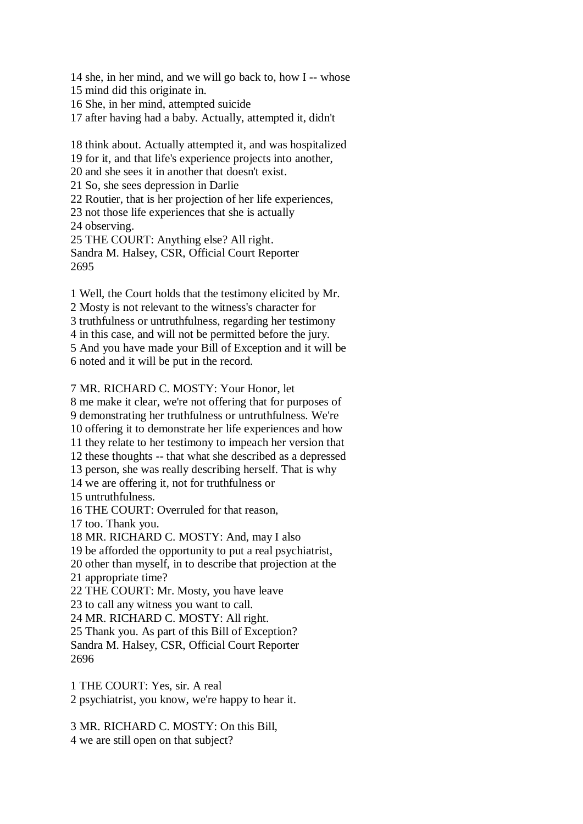14 she, in her mind, and we will go back to, how I -- whose

15 mind did this originate in.

16 She, in her mind, attempted suicide

17 after having had a baby. Actually, attempted it, didn't

18 think about. Actually attempted it, and was hospitalized 19 for it, and that life's experience projects into another, 20 and she sees it in another that doesn't exist. 21 So, she sees depression in Darlie 22 Routier, that is her projection of her life experiences, 23 not those life experiences that she is actually 24 observing. 25 THE COURT: Anything else? All right. Sandra M. Halsey, CSR, Official Court Reporter 2695

1 Well, the Court holds that the testimony elicited by Mr. 2 Mosty is not relevant to the witness's character for 3 truthfulness or untruthfulness, regarding her testimony 4 in this case, and will not be permitted before the jury. 5 And you have made your Bill of Exception and it will be 6 noted and it will be put in the record.

## 7 MR. RICHARD C. MOSTY: Your Honor, let

8 me make it clear, we're not offering that for purposes of 9 demonstrating her truthfulness or untruthfulness. We're 10 offering it to demonstrate her life experiences and how 11 they relate to her testimony to impeach her version that 12 these thoughts -- that what she described as a depressed 13 person, she was really describing herself. That is why 14 we are offering it, not for truthfulness or 15 untruthfulness. 16 THE COURT: Overruled for that reason, 17 too. Thank you. 18 MR. RICHARD C. MOSTY: And, may I also 19 be afforded the opportunity to put a real psychiatrist, 20 other than myself, in to describe that projection at the 21 appropriate time? 22 THE COURT: Mr. Mosty, you have leave 23 to call any witness you want to call. 24 MR. RICHARD C. MOSTY: All right. 25 Thank you. As part of this Bill of Exception?

Sandra M. Halsey, CSR, Official Court Reporter 2696

1 THE COURT: Yes, sir. A real

2 psychiatrist, you know, we're happy to hear it.

3 MR. RICHARD C. MOSTY: On this Bill,

4 we are still open on that subject?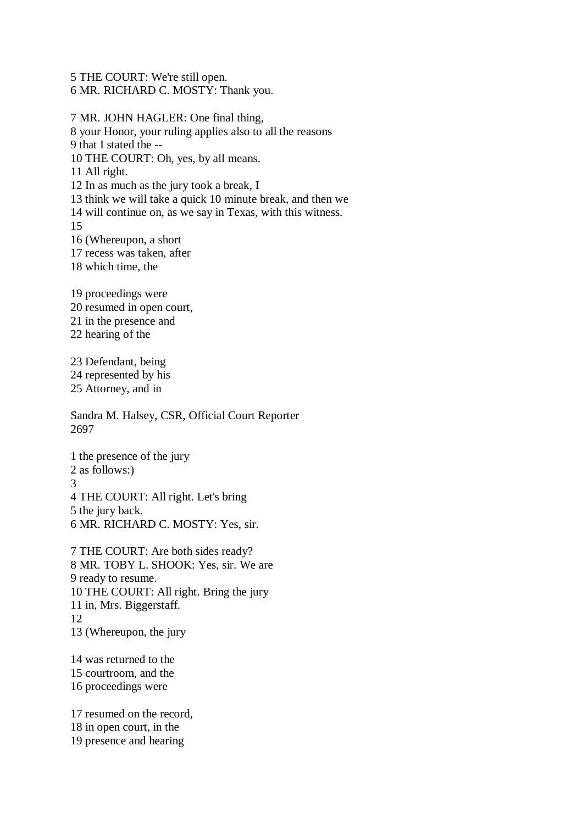5 THE COURT: We're still open.

6 MR. RICHARD C. MOSTY: Thank you.

7 MR. JOHN HAGLER: One final thing, 8 your Honor, your ruling applies also to all the reasons 9 that I stated the -- 10 THE COURT: Oh, yes, by all means. 11 All right. 12 In as much as the jury took a break, I 13 think we will take a quick 10 minute break, and then we 14 will continue on, as we say in Texas, with this witness. 15 16 (Whereupon, a short 17 recess was taken, after 18 which time, the 19 proceedings were 20 resumed in open court, 21 in the presence and 22 hearing of the 23 Defendant, being 24 represented by his 25 Attorney, and in Sandra M. Halsey, CSR, Official Court Reporter 2697 1 the presence of the jury 2 as follows:) 3 4 THE COURT: All right. Let's bring 5 the jury back.

6 MR. RICHARD C. MOSTY: Yes, sir.

7 THE COURT: Are both sides ready? 8 MR. TOBY L. SHOOK: Yes, sir. We are 9 ready to resume. 10 THE COURT: All right. Bring the jury 11 in, Mrs. Biggerstaff. 12 13 (Whereupon, the jury

14 was returned to the 15 courtroom, and the 16 proceedings were

17 resumed on the record, 18 in open court, in the 19 presence and hearing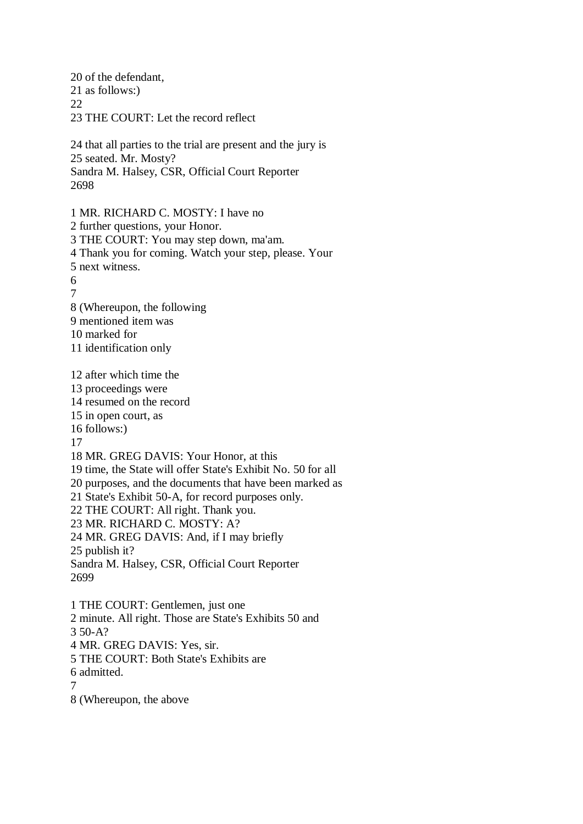20 of the defendant, 21 as follows:) 22 23 THE COURT: Let the record reflect

24 that all parties to the trial are present and the jury is 25 seated. Mr. Mosty? Sandra M. Halsey, CSR, Official Court Reporter 2698

1 MR. RICHARD C. MOSTY: I have no 2 further questions, your Honor. 3 THE COURT: You may step down, ma'am. 4 Thank you for coming. Watch your step, please. Your 5 next witness. 6 7 8 (Whereupon, the following 9 mentioned item was 10 marked for 11 identification only 12 after which time the 13 proceedings were 14 resumed on the record 15 in open court, as 16 follows:) 17 18 MR. GREG DAVIS: Your Honor, at this 19 time, the State will offer State's Exhibit No. 50 for all 20 purposes, and the documents that have been marked as 21 State's Exhibit 50-A, for record purposes only. 22 THE COURT: All right. Thank you. 23 MR. RICHARD C. MOSTY: A? 24 MR. GREG DAVIS: And, if I may briefly 25 publish it? Sandra M. Halsey, CSR, Official Court Reporter 2699 1 THE COURT: Gentlemen, just one 2 minute. All right. Those are State's Exhibits 50 and

3 50-A?

4 MR. GREG DAVIS: Yes, sir.

5 THE COURT: Both State's Exhibits are

6 admitted.

7

8 (Whereupon, the above